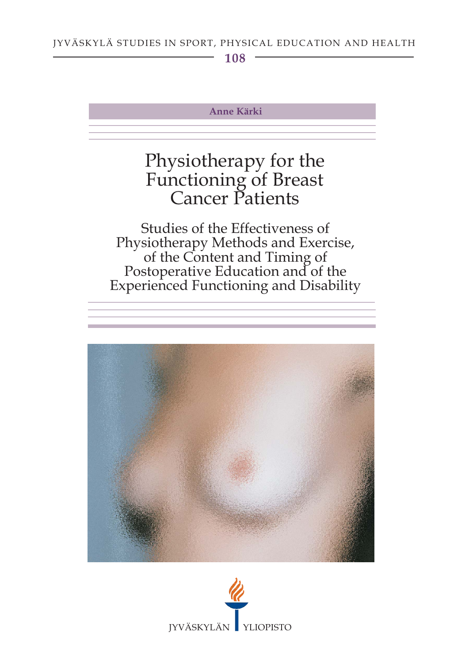108

#### **Anne Kärki**

# Physiotherapy for the Functioning of Breast<br>Cancer Patients

Studies of the Effectiveness of Physiotherapy Methods and Exercise,<br>of the Content and Timing of Postoperative Education and of the **Experienced Functioning and Disability** 



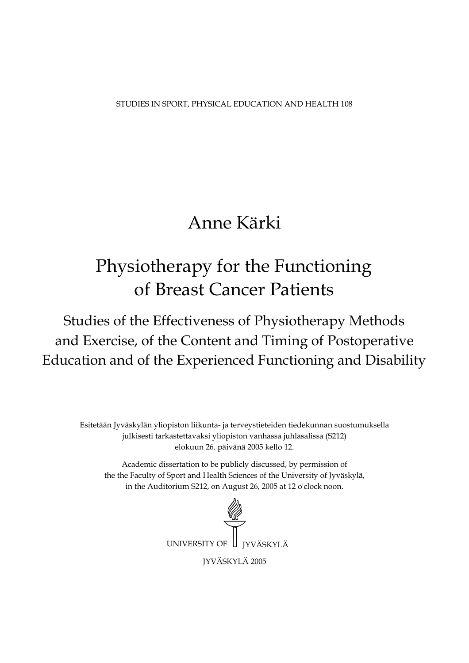STUDIES IN SPORT, PHYSICAL EDUCATION AND HEALTH 108

## Anne Kärki

## Physiotherapy for the Functioning of Breast Cancer Patients

Studies of the Effectiveness of Physiotherapy Methods and Exercise, of the Content and Timing of Postoperative Education and of the Experienced Functioning and Disability

Esitetään Jyväskylän yliopiston liikunta- ja terveystieteiden tiedekunnan suostumuksella julkisesti tarkastettavaksi yliopiston vanhassa juhlasalissa (S212) elokuun 26. päivänä 2005 kello 12.

Academic dissertation to be publicly discussed, by permission of the the Faculty of Sport and Health Sciences of the University of Jyväskylä, in the Auditorium S212, on August 26, 2005 at 12 o'clock noon.

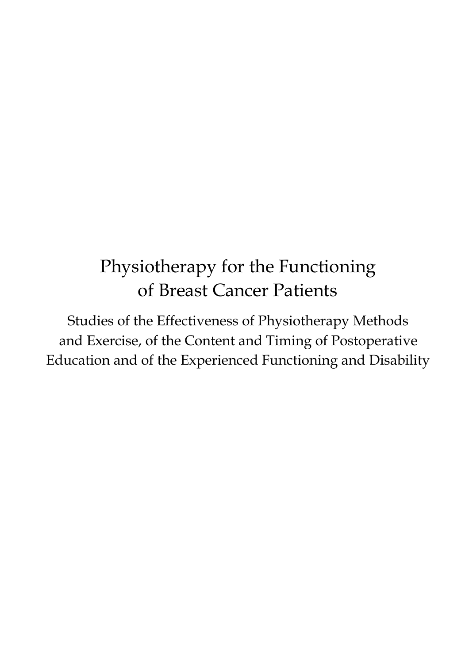## Physiotherapy for the Functioning of Breast Cancer Patients

Studies of the Effectiveness of Physiotherapy Methods and Exercise, of the Content and Timing of Postoperative Education and of the Experienced Functioning and Disability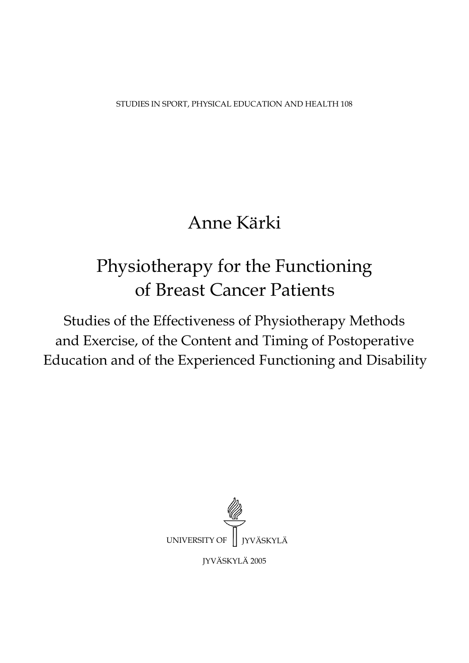STUDIES IN SPORT, PHYSICAL EDUCATION AND HEALTH 108

## Anne Kärki

## Physiotherapy for the Functioning of Breast Cancer Patients

Studies of the Effectiveness of Physiotherapy Methods and Exercise, of the Content and Timing of Postoperative Education and of the Experienced Functioning and Disability

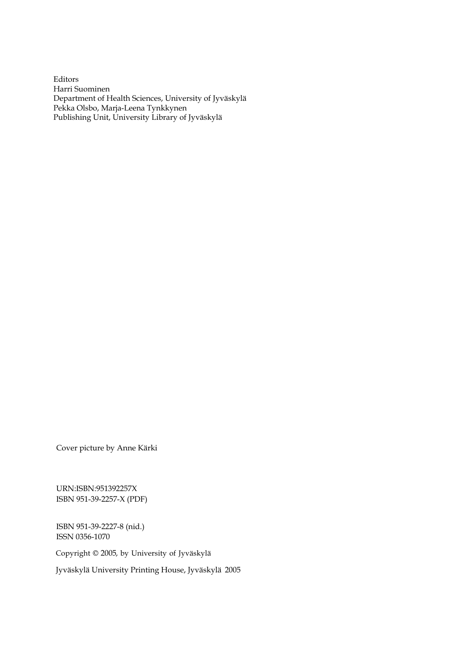Editors Harri Suominen Department of Health Sciences, University of Jyväskylä Pekka Olsbo, Marja-Leena Tynkkynen Publishing Unit, University Library of Jyväskylä

URN:ISBN:951392257X ISBN 951-39-2257-X (PDF) Cover picture by Anne Kärki<br>URN:ISBN:951392257X<br>ISBN 951-39-2257-X (PDF)<br>ISBN 951-39-2227-8 (nid.)<br>ISSN 0356-1070<br>Copyright © 2005, by University of Jyväskylä<br>Jyväskylä University Printing House, Jyväskylä 2005

ISBN 951-39-2227-8 (nid.) ISSN 0356-1070

Copyright © 2005, by University of Jyväskylä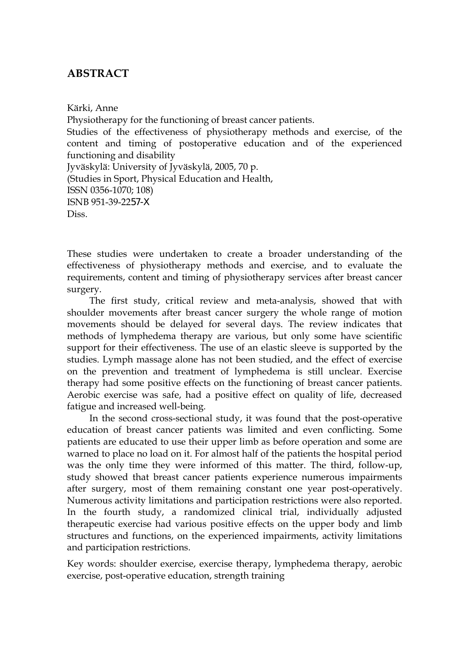### **ABSTRACT**

Kärki, Anne Physiotherapy for the functioning of breast cancer patients. Studies of the effectiveness of physiotherapy methods and exercise, of the content and timing of postoperative education and of the experienced functioning and disability Jyväskylä: University of Jyväskylä, 2005, 70 p. (Studies in Sport, Physical Education and Health, ISSN 0356-1070; 108) ISNB 951-39-2257-X Diss.

These studies were undertaken to create a broader understanding of the effectiveness of physiotherapy methods and exercise, and to evaluate the requirements, content and timing of physiotherapy services after breast cancer surgery.

The first study, critical review and meta-analysis, showed that with shoulder movements after breast cancer surgery the whole range of motion movements should be delayed for several days. The review indicates that methods of lymphedema therapy are various, but only some have scientific support for their effectiveness. The use of an elastic sleeve is supported by the studies. Lymph massage alone has not been studied, and the effect of exercise on the prevention and treatment of lymphedema is still unclear. Exercise therapy had some positive effects on the functioning of breast cancer patients. Aerobic exercise was safe, had a positive effect on quality of life, decreased fatigue and increased well-being.

In the second cross-sectional study, it was found that the post-operative education of breast cancer patients was limited and even conflicting. Some patients are educated to use their upper limb as before operation and some are warned to place no load on it. For almost half of the patients the hospital period was the only time they were informed of this matter. The third, follow-up, study showed that breast cancer patients experience numerous impairments after surgery, most of them remaining constant one year post-operatively. Numerous activity limitations and participation restrictions were also reported. In the fourth study, a randomized clinical trial, individually adjusted therapeutic exercise had various positive effects on the upper body and limb structures and functions, on the experienced impairments, activity limitations and participation restrictions.

Key words: shoulder exercise, exercise therapy, lymphedema therapy, aerobic exercise, post-operative education, strength training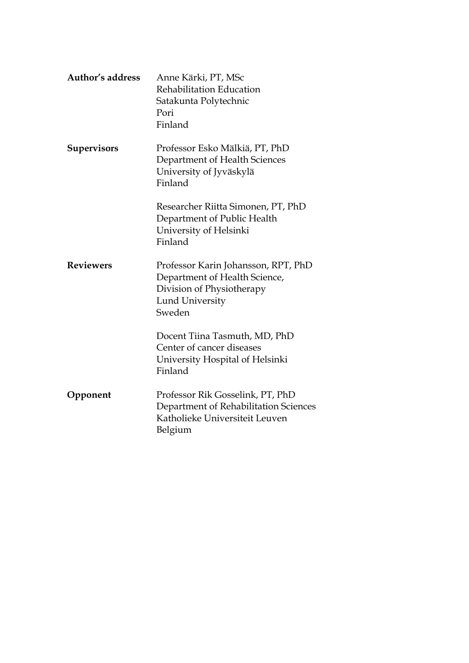| <b>Author's address</b> | Anne Kärki, PT, MSc<br>Rehabilitation Education<br>Satakunta Polytechnic<br>Pori<br>Finland                                           |
|-------------------------|---------------------------------------------------------------------------------------------------------------------------------------|
| <b>Supervisors</b>      | Professor Esko Mälkiä, PT, PhD<br>Department of Health Sciences<br>University of Jyväskylä<br>Finland                                 |
|                         | Researcher Riitta Simonen, PT, PhD<br>Department of Public Health<br>University of Helsinki<br>Finland                                |
| <b>Reviewers</b>        | Professor Karin Johansson, RPT, PhD<br>Department of Health Science,<br>Division of Physiotherapy<br><b>Lund University</b><br>Sweden |
|                         | Docent Tiina Tasmuth, MD, PhD<br>Center of cancer diseases<br>University Hospital of Helsinki<br>Finland                              |
| Opponent                | Professor Rik Gosselink, PT, PhD<br>Department of Rehabilitation Sciences<br>Katholieke Universiteit Leuven<br>Belgium                |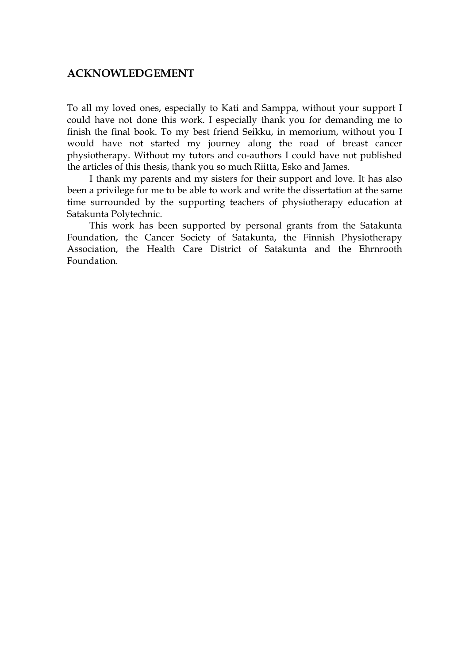#### **ACKNOWLEDGEMENT**

To all my loved ones, especially to Kati and Samppa, without your support I could have not done this work. I especially thank you for demanding me to finish the final book. To my best friend Seikku, in memorium, without you I would have not started my journey along the road of breast cancer physiotherapy. Without my tutors and co-authors I could have not published the articles of this thesis, thank you so much Riitta, Esko and James.

I thank my parents and my sisters for their support and love. It has also been a privilege for me to be able to work and write the dissertation at the same time surrounded by the supporting teachers of physiotherapy education at Satakunta Polytechnic.

This work has been supported by personal grants from the Satakunta Foundation, the Cancer Society of Satakunta, the Finnish Physiotherapy Association, the Health Care District of Satakunta and the Ehrnrooth Foundation.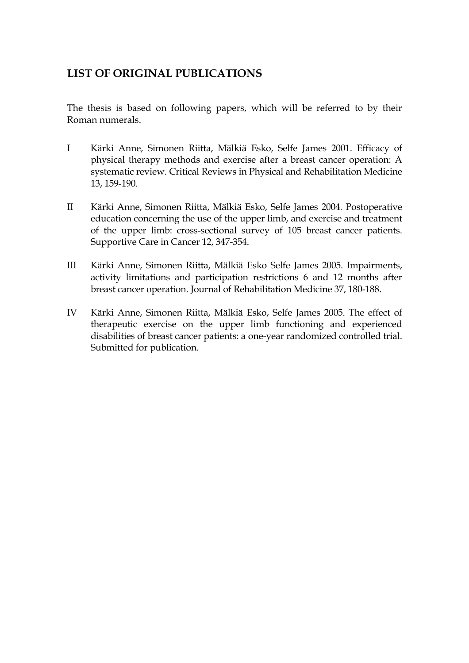### **LIST OF ORIGINAL PUBLICATIONS**

The thesis is based on following papers, which will be referred to by their Roman numerals.

- I Kärki Anne, Simonen Riitta, Mälkiä Esko, Selfe James 2001. Efficacy of physical therapy methods and exercise after a breast cancer operation: A systematic review. Critical Reviews in Physical and Rehabilitation Medicine 13, 159-190.
- II Kärki Anne, Simonen Riitta, Mälkiä Esko, Selfe James 2004. Postoperative education concerning the use of the upper limb, and exercise and treatment of the upper limb: cross-sectional survey of 105 breast cancer patients. Supportive Care in Cancer 12, 347-354.
- III Kärki Anne, Simonen Riitta, Mälkiä Esko Selfe James 2005. Impairments, activity limitations and participation restrictions 6 and 12 months after breast cancer operation. Journal of Rehabilitation Medicine 37, 180-188.
- IV Kärki Anne, Simonen Riitta, Mälkiä Esko, Selfe James 2005. The effect of therapeutic exercise on the upper limb functioning and experienced disabilities of breast cancer patients: a one-year randomized controlled trial. Submitted for publication.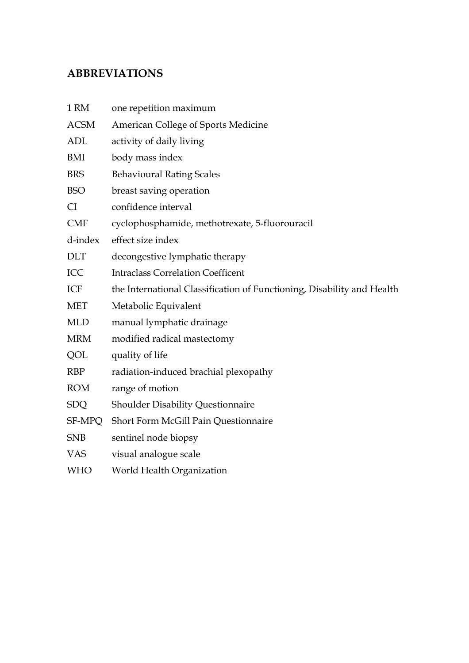## **ABBREVIATIONS**

| 1 RM        | one repetition maximum                                                 |
|-------------|------------------------------------------------------------------------|
| <b>ACSM</b> | American College of Sports Medicine                                    |
| <b>ADL</b>  | activity of daily living                                               |
| BMI         | body mass index                                                        |
| <b>BRS</b>  | <b>Behavioural Rating Scales</b>                                       |
| <b>BSO</b>  | breast saving operation                                                |
| <b>CI</b>   | confidence interval                                                    |
| <b>CMF</b>  | cyclophosphamide, methotrexate, 5-fluorouracil                         |
| d-index     | effect size index                                                      |
| <b>DLT</b>  | decongestive lymphatic therapy                                         |
| ICC         | <b>Intraclass Correlation Coefficent</b>                               |
| ICF         | the International Classification of Functioning, Disability and Health |
| <b>MET</b>  | Metabolic Equivalent                                                   |
| <b>MLD</b>  | manual lymphatic drainage                                              |
| <b>MRM</b>  | modified radical mastectomy                                            |
| QOL         | quality of life                                                        |
| <b>RBP</b>  | radiation-induced brachial plexopathy                                  |
| <b>ROM</b>  | range of motion                                                        |
| <b>SDQ</b>  | Shoulder Disability Questionnaire                                      |
| SF-MPQ      | Short Form McGill Pain Questionnaire                                   |
| <b>SNB</b>  | sentinel node biopsy                                                   |
| <b>VAS</b>  | visual analogue scale                                                  |
| <b>WHO</b>  | World Health Organization                                              |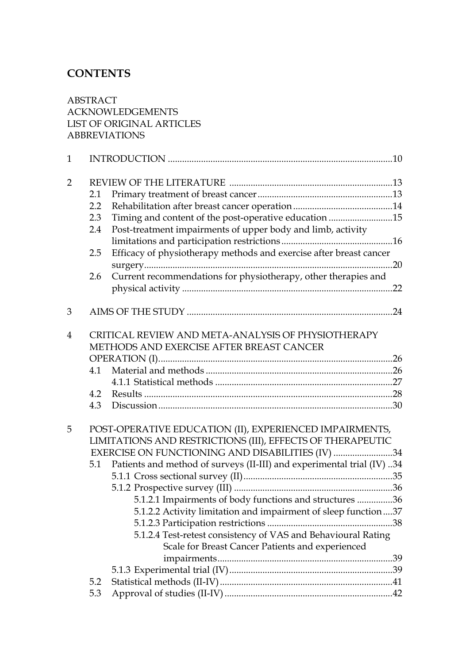## **CONTENTS**

ABSTRACT ACKNOWLEDGEMENTS LIST OF ORIGINAL ARTICLES ABBREVIATIONS

| $\mathbf{1}$   |     |                                                                                                                   |  |
|----------------|-----|-------------------------------------------------------------------------------------------------------------------|--|
| $\overline{2}$ |     |                                                                                                                   |  |
|                | 2.1 |                                                                                                                   |  |
|                | 2.2 |                                                                                                                   |  |
|                | 2.3 | Timing and content of the post-operative education 15                                                             |  |
|                | 2.4 | Post-treatment impairments of upper body and limb, activity                                                       |  |
|                |     |                                                                                                                   |  |
|                | 2.5 | Efficacy of physiotherapy methods and exercise after breast cancer                                                |  |
|                |     |                                                                                                                   |  |
|                | 2.6 | Current recommendations for physiotherapy, other therapies and                                                    |  |
|                |     |                                                                                                                   |  |
|                |     |                                                                                                                   |  |
| 3              |     |                                                                                                                   |  |
|                |     |                                                                                                                   |  |
| $\overline{4}$ |     | CRITICAL REVIEW AND META-ANALYSIS OF PHYSIOTHERAPY                                                                |  |
|                |     | METHODS AND EXERCISE AFTER BREAST CANCER                                                                          |  |
|                |     |                                                                                                                   |  |
|                | 4.1 |                                                                                                                   |  |
|                |     |                                                                                                                   |  |
|                | 4.2 |                                                                                                                   |  |
|                | 4.3 |                                                                                                                   |  |
|                |     |                                                                                                                   |  |
| 5              |     | POST-OPERATIVE EDUCATION (II), EXPERIENCED IMPAIRMENTS,                                                           |  |
|                |     | LIMITATIONS AND RESTRICTIONS (III), EFFECTS OF THERAPEUTIC                                                        |  |
|                |     | EXERCISE ON FUNCTIONING AND DISABILITIES (IV) 34                                                                  |  |
|                |     | 5.1 Patients and method of surveys (II-III) and experimental trial (IV) 34                                        |  |
|                |     |                                                                                                                   |  |
|                |     |                                                                                                                   |  |
|                |     | 5.1.2.1 Impairments of body functions and structures 36                                                           |  |
|                |     | 5.1.2.2 Activity limitation and impairment of sleep function37                                                    |  |
|                |     |                                                                                                                   |  |
|                |     | 5.1.2.4 Test-retest consistency of VAS and Behavioural Rating<br>Scale for Breast Cancer Patients and experienced |  |
|                |     |                                                                                                                   |  |
|                |     |                                                                                                                   |  |
|                |     |                                                                                                                   |  |
|                | 5.2 |                                                                                                                   |  |
|                | 5.3 |                                                                                                                   |  |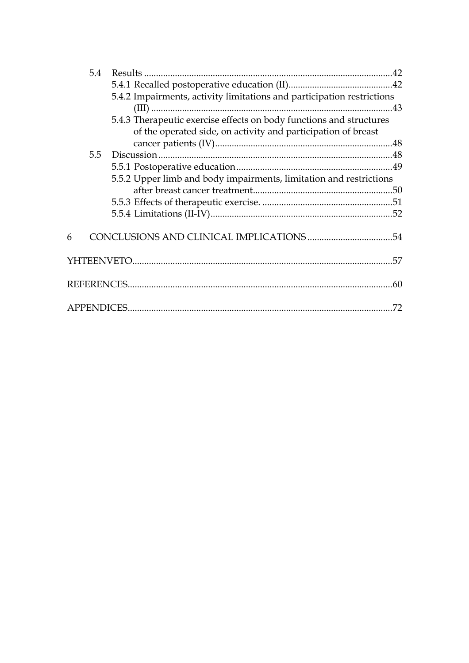|   | 5.4 |                                                                        |     |
|---|-----|------------------------------------------------------------------------|-----|
|   |     |                                                                        |     |
|   |     | 5.4.2 Impairments, activity limitations and participation restrictions |     |
|   |     |                                                                        |     |
|   |     | 5.4.3 Therapeutic exercise effects on body functions and structures    |     |
|   |     | of the operated side, on activity and participation of breast          |     |
|   |     |                                                                        |     |
|   | 5.5 |                                                                        |     |
|   |     |                                                                        |     |
|   |     | 5.5.2 Upper limb and body impairments, limitation and restrictions     |     |
|   |     |                                                                        |     |
|   |     |                                                                        |     |
|   |     |                                                                        |     |
|   |     |                                                                        |     |
| 6 |     |                                                                        |     |
|   |     |                                                                        |     |
|   |     |                                                                        |     |
|   |     |                                                                        |     |
|   |     |                                                                        |     |
|   |     |                                                                        | .72 |
|   |     |                                                                        |     |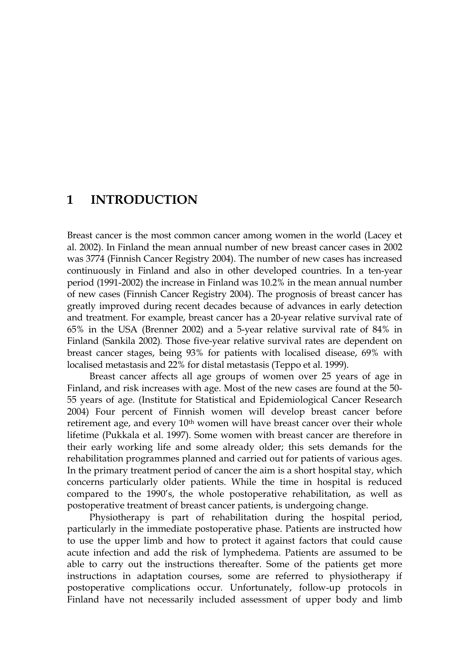### **1 INTRODUCTION**

Breast cancer is the most common cancer among women in the world (Lacey et al. 2002). In Finland the mean annual number of new breast cancer cases in 2002 was 3774 (Finnish Cancer Registry 2004). The number of new cases has increased continuously in Finland and also in other developed countries. In a ten-year period (1991-2002) the increase in Finland was 10.2% in the mean annual number of new cases (Finnish Cancer Registry 2004). The prognosis of breast cancer has greatly improved during recent decades because of advances in early detection and treatment. For example, breast cancer has a 20-year relative survival rate of 65% in the USA (Brenner 2002) and a 5-year relative survival rate of 84% in Finland (Sankila 2002). Those five-year relative survival rates are dependent on breast cancer stages, being 93% for patients with localised disease, 69% with localised metastasis and 22% for distal metastasis (Teppo et al. 1999).

Breast cancer affects all age groups of women over 25 years of age in Finland, and risk increases with age. Most of the new cases are found at the 50- 55 years of age. (Institute for Statistical and Epidemiological Cancer Research 2004) Four percent of Finnish women will develop breast cancer before retirement age, and every  $10<sup>th</sup>$  women will have breast cancer over their whole lifetime (Pukkala et al. 1997). Some women with breast cancer are therefore in their early working life and some already older; this sets demands for the rehabilitation programmes planned and carried out for patients of various ages. In the primary treatment period of cancer the aim is a short hospital stay, which concerns particularly older patients. While the time in hospital is reduced compared to the 1990's, the whole postoperative rehabilitation, as well as postoperative treatment of breast cancer patients, is undergoing change.

Physiotherapy is part of rehabilitation during the hospital period, particularly in the immediate postoperative phase. Patients are instructed how to use the upper limb and how to protect it against factors that could cause acute infection and add the risk of lymphedema. Patients are assumed to be able to carry out the instructions thereafter. Some of the patients get more instructions in adaptation courses, some are referred to physiotherapy if postoperative complications occur. Unfortunately, follow-up protocols in Finland have not necessarily included assessment of upper body and limb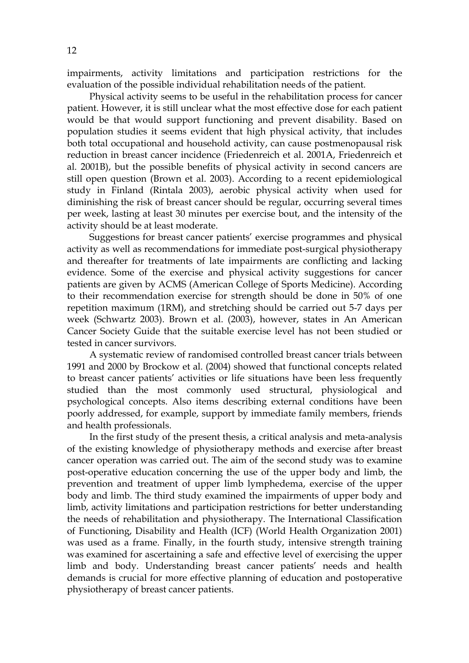impairments, activity limitations and participation restrictions for the evaluation of the possible individual rehabilitation needs of the patient.

Physical activity seems to be useful in the rehabilitation process for cancer patient. However, it is still unclear what the most effective dose for each patient would be that would support functioning and prevent disability. Based on population studies it seems evident that high physical activity, that includes both total occupational and household activity, can cause postmenopausal risk reduction in breast cancer incidence (Friedenreich et al. 2001A, Friedenreich et al. 2001B), but the possible benefits of physical activity in second cancers are still open question (Brown et al. 2003). According to a recent epidemiological study in Finland (Rintala 2003), aerobic physical activity when used for diminishing the risk of breast cancer should be regular, occurring several times per week, lasting at least 30 minutes per exercise bout, and the intensity of the activity should be at least moderate.

Suggestions for breast cancer patients' exercise programmes and physical activity as well as recommendations for immediate post-surgical physiotherapy and thereafter for treatments of late impairments are conflicting and lacking evidence. Some of the exercise and physical activity suggestions for cancer patients are given by ACMS (American College of Sports Medicine). According to their recommendation exercise for strength should be done in 50% of one repetition maximum (1RM), and stretching should be carried out 5-7 days per week (Schwartz 2003). Brown et al. (2003), however, states in An American Cancer Society Guide that the suitable exercise level has not been studied or tested in cancer survivors.

A systematic review of randomised controlled breast cancer trials between 1991 and 2000 by Brockow et al. (2004) showed that functional concepts related to breast cancer patients' activities or life situations have been less frequently studied than the most commonly used structural, physiological and psychological concepts. Also items describing external conditions have been poorly addressed, for example, support by immediate family members, friends and health professionals.

In the first study of the present thesis, a critical analysis and meta-analysis of the existing knowledge of physiotherapy methods and exercise after breast cancer operation was carried out. The aim of the second study was to examine post-operative education concerning the use of the upper body and limb, the prevention and treatment of upper limb lymphedema, exercise of the upper body and limb. The third study examined the impairments of upper body and limb, activity limitations and participation restrictions for better understanding the needs of rehabilitation and physiotherapy. The International Classification of Functioning, Disability and Health (ICF) (World Health Organization 2001) was used as a frame. Finally, in the fourth study, intensive strength training was examined for ascertaining a safe and effective level of exercising the upper limb and body. Understanding breast cancer patients' needs and health demands is crucial for more effective planning of education and postoperative physiotherapy of breast cancer patients.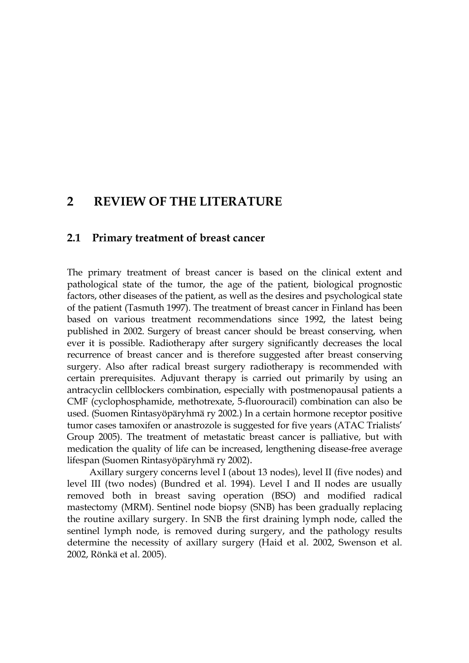### **2 REVIEW OF THE LITERATURE**

#### **2.1 Primary treatment of breast cancer**

The primary treatment of breast cancer is based on the clinical extent and pathological state of the tumor, the age of the patient, biological prognostic factors, other diseases of the patient, as well as the desires and psychological state of the patient (Tasmuth 1997). The treatment of breast cancer in Finland has been based on various treatment recommendations since 1992, the latest being published in 2002. Surgery of breast cancer should be breast conserving, when ever it is possible. Radiotherapy after surgery significantly decreases the local recurrence of breast cancer and is therefore suggested after breast conserving surgery. Also after radical breast surgery radiotherapy is recommended with certain prerequisites. Adjuvant therapy is carried out primarily by using an antracyclin cellblockers combination, especially with postmenopausal patients a CMF (cyclophosphamide, methotrexate, 5-fluorouracil) combination can also be used. (Suomen Rintasyöpäryhmä ry 2002.) In a certain hormone receptor positive tumor cases tamoxifen or anastrozole is suggested for five years (ATAC Trialists' Group 2005). The treatment of metastatic breast cancer is palliative, but with medication the quality of life can be increased, lengthening disease-free average lifespan (Suomen Rintasyöpäryhmä ry 2002).

Axillary surgery concerns level I (about 13 nodes), level II (five nodes) and level III (two nodes) (Bundred et al. 1994). Level I and II nodes are usually removed both in breast saving operation (BSO) and modified radical mastectomy (MRM). Sentinel node biopsy (SNB) has been gradually replacing the routine axillary surgery. In SNB the first draining lymph node, called the sentinel lymph node, is removed during surgery, and the pathology results determine the necessity of axillary surgery (Haid et al. 2002, Swenson et al. 2002, Rönkä et al. 2005).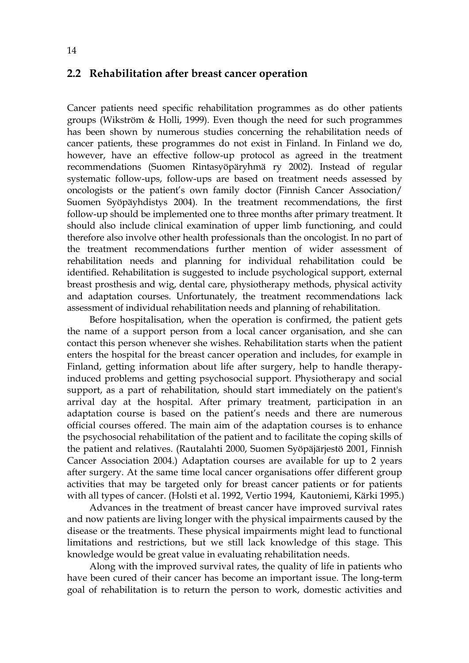#### **2.2 Rehabilitation after breast cancer operation**

Cancer patients need specific rehabilitation programmes as do other patients groups (Wikström & Holli, 1999). Even though the need for such programmes has been shown by numerous studies concerning the rehabilitation needs of cancer patients, these programmes do not exist in Finland. In Finland we do, however, have an effective follow-up protocol as agreed in the treatment recommendations (Suomen Rintasyöpäryhmä ry 2002). Instead of regular systematic follow-ups, follow-ups are based on treatment needs assessed by oncologists or the patient's own family doctor (Finnish Cancer Association/ Suomen Syöpäyhdistys 2004). In the treatment recommendations, the first follow-up should be implemented one to three months after primary treatment. It should also include clinical examination of upper limb functioning, and could therefore also involve other health professionals than the oncologist. In no part of the treatment recommendations further mention of wider assessment of rehabilitation needs and planning for individual rehabilitation could be identified. Rehabilitation is suggested to include psychological support, external breast prosthesis and wig, dental care, physiotherapy methods, physical activity and adaptation courses. Unfortunately, the treatment recommendations lack assessment of individual rehabilitation needs and planning of rehabilitation.

Before hospitalisation, when the operation is confirmed, the patient gets the name of a support person from a local cancer organisation, and she can contact this person whenever she wishes. Rehabilitation starts when the patient enters the hospital for the breast cancer operation and includes, for example in Finland, getting information about life after surgery, help to handle therapyinduced problems and getting psychosocial support. Physiotherapy and social support, as a part of rehabilitation, should start immediately on the patient's arrival day at the hospital. After primary treatment, participation in an adaptation course is based on the patient's needs and there are numerous official courses offered. The main aim of the adaptation courses is to enhance the psychosocial rehabilitation of the patient and to facilitate the coping skills of the patient and relatives. (Rautalahti 2000, Suomen Syöpäjärjestö 2001, Finnish Cancer Association 2004.) Adaptation courses are available for up to 2 years after surgery. At the same time local cancer organisations offer different group activities that may be targeted only for breast cancer patients or for patients with all types of cancer. (Holsti et al. 1992, Vertio 1994, Kautoniemi, Kärki 1995.)

Advances in the treatment of breast cancer have improved survival rates and now patients are living longer with the physical impairments caused by the disease or the treatments. These physical impairments might lead to functional limitations and restrictions, but we still lack knowledge of this stage. This knowledge would be great value in evaluating rehabilitation needs.

Along with the improved survival rates, the quality of life in patients who have been cured of their cancer has become an important issue. The long-term goal of rehabilitation is to return the person to work, domestic activities and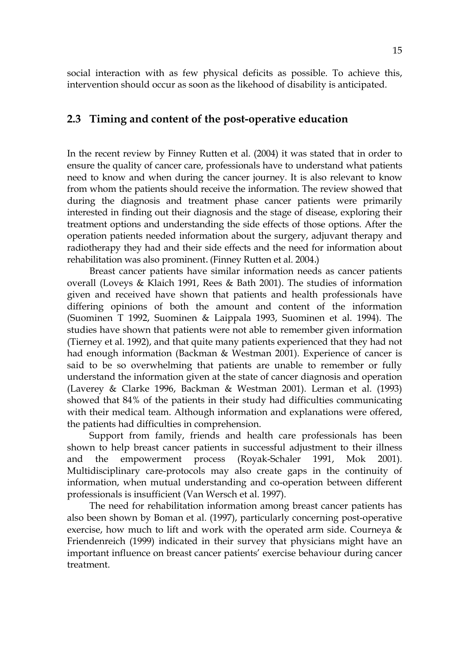social interaction with as few physical deficits as possible. To achieve this, intervention should occur as soon as the likehood of disability is anticipated.

#### **2.3 Timing and content of the post-operative education**

In the recent review by Finney Rutten et al. (2004) it was stated that in order to ensure the quality of cancer care, professionals have to understand what patients need to know and when during the cancer journey. It is also relevant to know from whom the patients should receive the information. The review showed that during the diagnosis and treatment phase cancer patients were primarily interested in finding out their diagnosis and the stage of disease, exploring their treatment options and understanding the side effects of those options. After the operation patients needed information about the surgery, adjuvant therapy and radiotherapy they had and their side effects and the need for information about rehabilitation was also prominent. (Finney Rutten et al. 2004.)

Breast cancer patients have similar information needs as cancer patients overall (Loveys & Klaich 1991, Rees & Bath 2001). The studies of information given and received have shown that patients and health professionals have differing opinions of both the amount and content of the information (Suominen T 1992, Suominen & Laippala 1993, Suominen et al. 1994). The studies have shown that patients were not able to remember given information (Tierney et al. 1992), and that quite many patients experienced that they had not had enough information (Backman & Westman 2001). Experience of cancer is said to be so overwhelming that patients are unable to remember or fully understand the information given at the state of cancer diagnosis and operation (Laverey & Clarke 1996, Backman & Westman 2001). Lerman et al. (1993) showed that 84% of the patients in their study had difficulties communicating with their medical team. Although information and explanations were offered, the patients had difficulties in comprehension.

Support from family, friends and health care professionals has been shown to help breast cancer patients in successful adjustment to their illness and the empowerment process (Royak-Schaler 1991, Mok 2001). Multidisciplinary care-protocols may also create gaps in the continuity of information, when mutual understanding and co-operation between different professionals is insufficient (Van Wersch et al. 1997).

The need for rehabilitation information among breast cancer patients has also been shown by Boman et al. (1997), particularly concerning post-operative exercise, how much to lift and work with the operated arm side. Courneya & Friendenreich (1999) indicated in their survey that physicians might have an important influence on breast cancer patients' exercise behaviour during cancer treatment.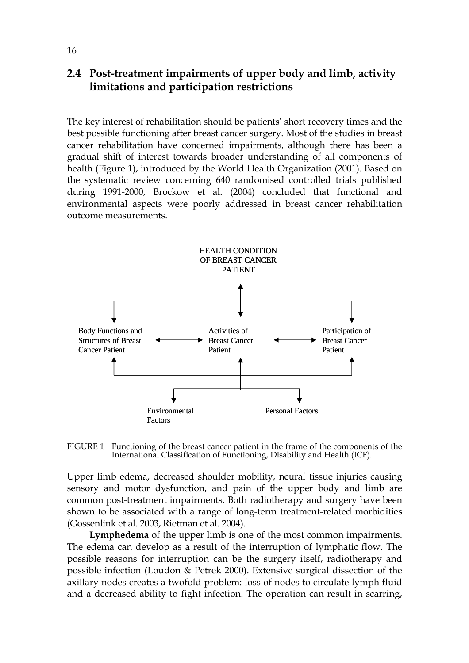#### **2.4 Post-treatment impairments of upper body and limb, activity limitations and participation restrictions**

The key interest of rehabilitation should be patients' short recovery times and the best possible functioning after breast cancer surgery. Most of the studies in breast cancer rehabilitation have concerned impairments, although there has been a gradual shift of interest towards broader understanding of all components of health (Figure 1), introduced by the World Health Organization (2001). Based on the systematic review concerning 640 randomised controlled trials published during 1991-2000, Brockow et al. (2004) concluded that functional and environmental aspects were poorly addressed in breast cancer rehabilitation outcome measurements.



FIGURE 1 Functioning of the breast cancer patient in the frame of the components of the International Classification of Functioning, Disability and Health (ICF).

Upper limb edema, decreased shoulder mobility, neural tissue injuries causing sensory and motor dysfunction, and pain of the upper body and limb are common post-treatment impairments. Both radiotherapy and surgery have been shown to be associated with a range of long-term treatment-related morbidities (Gossenlink et al. 2003, Rietman et al. 2004).

**Lymphedema** of the upper limb is one of the most common impairments. The edema can develop as a result of the interruption of lymphatic flow. The possible reasons for interruption can be the surgery itself, radiotherapy and possible infection (Loudon & Petrek 2000). Extensive surgical dissection of the axillary nodes creates a twofold problem: loss of nodes to circulate lymph fluid and a decreased ability to fight infection. The operation can result in scarring,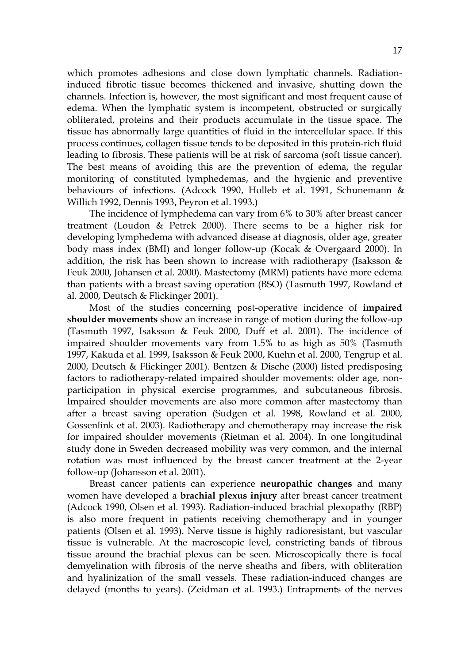which promotes adhesions and close down lymphatic channels. Radiationinduced fibrotic tissue becomes thickened and invasive, shutting down the channels. Infection is, however, the most significant and most frequent cause of edema. When the lymphatic system is incompetent, obstructed or surgically obliterated, proteins and their products accumulate in the tissue space. The tissue has abnormally large quantities of fluid in the intercellular space. If this process continues, collagen tissue tends to be deposited in this protein-rich fluid leading to fibrosis. These patients will be at risk of sarcoma (soft tissue cancer). The best means of avoiding this are the prevention of edema, the regular monitoring of constituted lymphedemas, and the hygienic and preventive behaviours of infections. (Adcock 1990, Holleb et al. 1991, Schunemann & Willich 1992, Dennis 1993, Peyron et al. 1993.)

The incidence of lymphedema can vary from 6% to 30% after breast cancer treatment (Loudon & Petrek 2000). There seems to be a higher risk for developing lymphedema with advanced disease at diagnosis, older age, greater body mass index (BMI) and longer follow-up (Kocak & Overgaard 2000). In addition, the risk has been shown to increase with radiotherapy (Isaksson & Feuk 2000, Johansen et al. 2000). Mastectomy (MRM) patients have more edema than patients with a breast saving operation (BSO) (Tasmuth 1997, Rowland et al. 2000, Deutsch & Flickinger 2001).

Most of the studies concerning post-operative incidence of **impaired shoulder movements** show an increase in range of motion during the follow-up (Tasmuth 1997, Isaksson & Feuk 2000, Duff et al. 2001). The incidence of impaired shoulder movements vary from 1.5% to as high as 50% (Tasmuth 1997, Kakuda et al. 1999, Isaksson & Feuk 2000, Kuehn et al. 2000, Tengrup et al. 2000, Deutsch & Flickinger 2001). Bentzen & Dische (2000) listed predisposing factors to radiotherapy-related impaired shoulder movements: older age, nonparticipation in physical exercise programmes, and subcutaneous fibrosis. Impaired shoulder movements are also more common after mastectomy than after a breast saving operation (Sudgen et al. 1998, Rowland et al. 2000, Gossenlink et al. 2003). Radiotherapy and chemotherapy may increase the risk for impaired shoulder movements (Rietman et al. 2004). In one longitudinal study done in Sweden decreased mobility was very common, and the internal rotation was most influenced by the breast cancer treatment at the 2-year follow-up (Johansson et al. 2001).

Breast cancer patients can experience **neuropathic changes** and many women have developed a **brachial plexus injury** after breast cancer treatment (Adcock 1990, Olsen et al. 1993). Radiation-induced brachial plexopathy (RBP) is also more frequent in patients receiving chemotherapy and in younger patients (Olsen et al. 1993). Nerve tissue is highly radioresistant, but vascular tissue is vulnerable. At the macroscopic level, constricting bands of fibrous tissue around the brachial plexus can be seen. Microscopically there is focal demyelination with fibrosis of the nerve sheaths and fibers, with obliteration and hyalinization of the small vessels. These radiation-induced changes are delayed (months to years). (Zeidman et al. 1993.) Entrapments of the nerves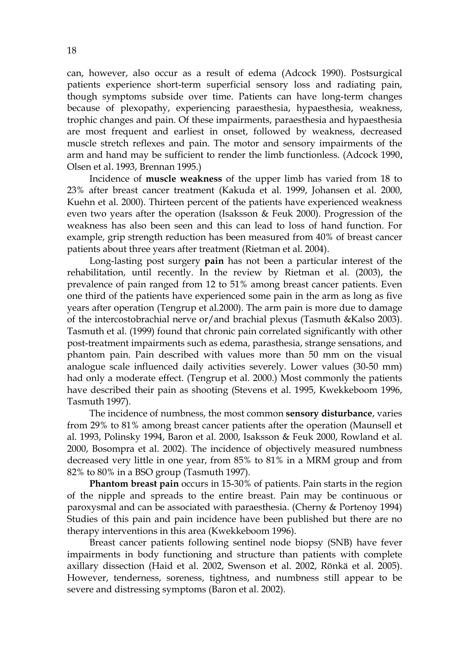can, however, also occur as a result of edema (Adcock 1990). Postsurgical patients experience short-term superficial sensory loss and radiating pain, though symptoms subside over time. Patients can have long-term changes because of plexopathy, experiencing paraesthesia, hypaesthesia, weakness, trophic changes and pain. Of these impairments, paraesthesia and hypaesthesia are most frequent and earliest in onset, followed by weakness, decreased muscle stretch reflexes and pain. The motor and sensory impairments of the arm and hand may be sufficient to render the limb functionless. (Adcock 1990, Olsen et al. 1993, Brennan 1995.)

Incidence of **muscle weakness** of the upper limb has varied from 18 to 23% after breast cancer treatment (Kakuda et al. 1999, Johansen et al. 2000, Kuehn et al. 2000). Thirteen percent of the patients have experienced weakness even two years after the operation (Isaksson & Feuk 2000). Progression of the weakness has also been seen and this can lead to loss of hand function. For example, grip strength reduction has been measured from 40% of breast cancer patients about three years after treatment (Rietman et al. 2004).

Long-lasting post surgery **pain** has not been a particular interest of the rehabilitation, until recently. In the review by Rietman et al. (2003), the prevalence of pain ranged from 12 to 51% among breast cancer patients. Even one third of the patients have experienced some pain in the arm as long as five years after operation (Tengrup et al.2000). The arm pain is more due to damage of the intercostobrachial nerve or/and brachial plexus (Tasmuth &Kalso 2003). Tasmuth et al. (1999) found that chronic pain correlated significantly with other post-treatment impairments such as edema, parasthesia, strange sensations, and phantom pain. Pain described with values more than 50 mm on the visual analogue scale influenced daily activities severely. Lower values (30-50 mm) had only a moderate effect. (Tengrup et al. 2000.) Most commonly the patients have described their pain as shooting (Stevens et al. 1995, Kwekkeboom 1996, Tasmuth 1997).

The incidence of numbness, the most common **sensory disturbance**, varies from 29% to 81% among breast cancer patients after the operation (Maunsell et al. 1993, Polinsky 1994, Baron et al. 2000, Isaksson & Feuk 2000, Rowland et al. 2000, Bosompra et al. 2002). The incidence of objectively measured numbness decreased very little in one year, from 85% to 81% in a MRM group and from 82% to 80% in a BSO group (Tasmuth 1997).

**Phantom breast pain** occurs in 15-30% of patients. Pain starts in the region of the nipple and spreads to the entire breast. Pain may be continuous or paroxysmal and can be associated with paraesthesia. (Cherny & Portenoy 1994) Studies of this pain and pain incidence have been published but there are no therapy interventions in this area (Kwekkeboom 1996).

Breast cancer patients following sentinel node biopsy (SNB) have fever impairments in body functioning and structure than patients with complete axillary dissection (Haid et al. 2002, Swenson et al. 2002, Rönkä et al. 2005). However, tenderness, soreness, tightness, and numbness still appear to be severe and distressing symptoms (Baron et al. 2002).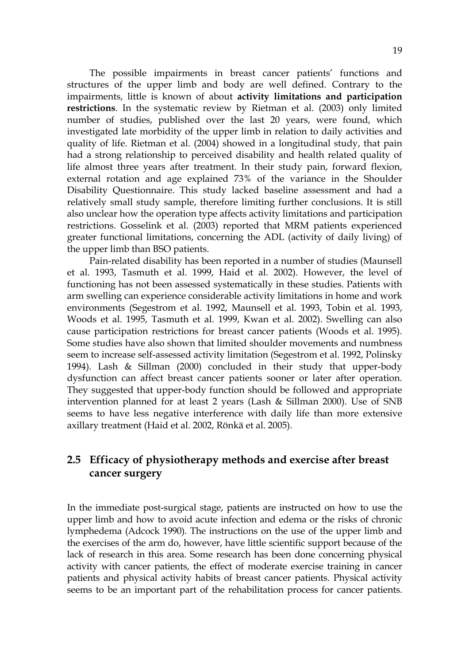The possible impairments in breast cancer patients' functions and structures of the upper limb and body are well defined. Contrary to the impairments, little is known of about **activity limitations and participation restrictions**. In the systematic review by Rietman et al. (2003) only limited number of studies, published over the last 20 years, were found, which investigated late morbidity of the upper limb in relation to daily activities and quality of life. Rietman et al. (2004) showed in a longitudinal study, that pain had a strong relationship to perceived disability and health related quality of life almost three years after treatment. In their study pain, forward flexion, external rotation and age explained 73% of the variance in the Shoulder Disability Questionnaire. This study lacked baseline assessment and had a relatively small study sample, therefore limiting further conclusions. It is still also unclear how the operation type affects activity limitations and participation restrictions. Gosselink et al. (2003) reported that MRM patients experienced greater functional limitations, concerning the ADL (activity of daily living) of the upper limb than BSO patients.

Pain-related disability has been reported in a number of studies (Maunsell et al. 1993, Tasmuth et al. 1999, Haid et al. 2002). However, the level of functioning has not been assessed systematically in these studies. Patients with arm swelling can experience considerable activity limitations in home and work environments (Segestrom et al. 1992, Maunsell et al. 1993, Tobin et al. 1993, Woods et al. 1995, Tasmuth et al. 1999, Kwan et al. 2002). Swelling can also cause participation restrictions for breast cancer patients (Woods et al. 1995). Some studies have also shown that limited shoulder movements and numbness seem to increase self-assessed activity limitation (Segestrom et al. 1992, Polinsky 1994). Lash & Sillman (2000) concluded in their study that upper-body dysfunction can affect breast cancer patients sooner or later after operation. They suggested that upper-body function should be followed and appropriate intervention planned for at least 2 years (Lash & Sillman 2000). Use of SNB seems to have less negative interference with daily life than more extensive axillary treatment (Haid et al. 2002, Rönkä et al. 2005).

#### **2.5 Efficacy of physiotherapy methods and exercise after breast cancer surgery**

In the immediate post-surgical stage, patients are instructed on how to use the upper limb and how to avoid acute infection and edema or the risks of chronic lymphedema (Adcock 1990). The instructions on the use of the upper limb and the exercises of the arm do, however, have little scientific support because of the lack of research in this area. Some research has been done concerning physical activity with cancer patients, the effect of moderate exercise training in cancer patients and physical activity habits of breast cancer patients. Physical activity seems to be an important part of the rehabilitation process for cancer patients.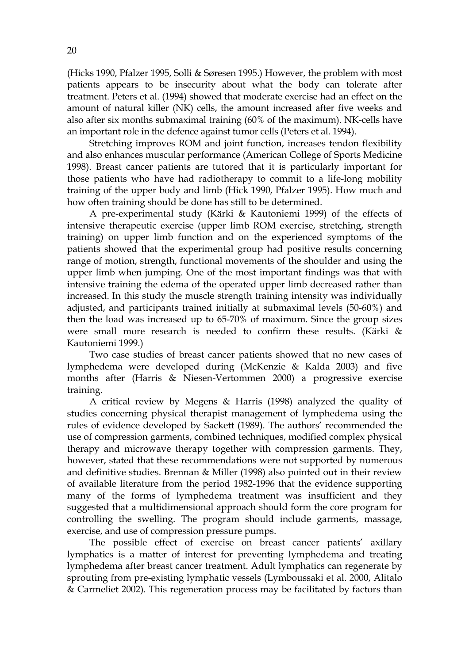(Hicks 1990, Pfalzer 1995, Solli & Søresen 1995.) However, the problem with most patients appears to be insecurity about what the body can tolerate after treatment. Peters et al. (1994) showed that moderate exercise had an effect on the amount of natural killer (NK) cells, the amount increased after five weeks and also after six months submaximal training (60% of the maximum). NK-cells have an important role in the defence against tumor cells (Peters et al. 1994).

Stretching improves ROM and joint function, increases tendon flexibility and also enhances muscular performance (American College of Sports Medicine 1998). Breast cancer patients are tutored that it is particularly important for those patients who have had radiotherapy to commit to a life-long mobility training of the upper body and limb (Hick 1990, Pfalzer 1995). How much and how often training should be done has still to be determined.

A pre-experimental study (Kärki & Kautoniemi 1999) of the effects of intensive therapeutic exercise (upper limb ROM exercise, stretching, strength training) on upper limb function and on the experienced symptoms of the patients showed that the experimental group had positive results concerning range of motion, strength, functional movements of the shoulder and using the upper limb when jumping. One of the most important findings was that with intensive training the edema of the operated upper limb decreased rather than increased. In this study the muscle strength training intensity was individually adjusted, and participants trained initially at submaximal levels (50-60%) and then the load was increased up to 65-70% of maximum. Since the group sizes were small more research is needed to confirm these results. (Kärki & Kautoniemi 1999.)

Two case studies of breast cancer patients showed that no new cases of lymphedema were developed during (McKenzie & Kalda 2003) and five months after (Harris & Niesen-Vertommen 2000) a progressive exercise training.

A critical review by Megens & Harris (1998) analyzed the quality of studies concerning physical therapist management of lymphedema using the rules of evidence developed by Sackett (1989). The authors' recommended the use of compression garments, combined techniques, modified complex physical therapy and microwave therapy together with compression garments. They, however, stated that these recommendations were not supported by numerous and definitive studies. Brennan & Miller (1998) also pointed out in their review of available literature from the period 1982-1996 that the evidence supporting many of the forms of lymphedema treatment was insufficient and they suggested that a multidimensional approach should form the core program for controlling the swelling. The program should include garments, massage, exercise, and use of compression pressure pumps.

The possible effect of exercise on breast cancer patients' axillary lymphatics is a matter of interest for preventing lymphedema and treating lymphedema after breast cancer treatment. Adult lymphatics can regenerate by sprouting from pre-existing lymphatic vessels (Lymboussaki et al. 2000, Alitalo & Carmeliet 2002). This regeneration process may be facilitated by factors than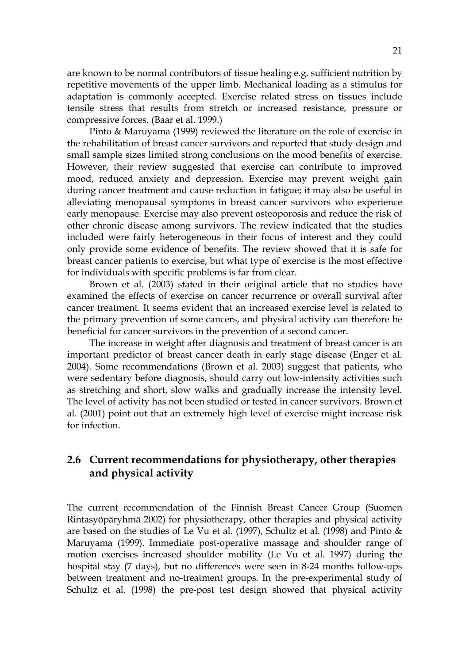are known to be normal contributors of tissue healing e.g. sufficient nutrition by repetitive movements of the upper limb. Mechanical loading as a stimulus for adaptation is commonly accepted. Exercise related stress on tissues include tensile stress that results from stretch or increased resistance, pressure or compressive forces. (Baar et al. 1999.)

Pinto & Maruyama (1999) reviewed the literature on the role of exercise in the rehabilitation of breast cancer survivors and reported that study design and small sample sizes limited strong conclusions on the mood benefits of exercise. However, their review suggested that exercise can contribute to improved mood, reduced anxiety and depression. Exercise may prevent weight gain during cancer treatment and cause reduction in fatigue; it may also be useful in alleviating menopausal symptoms in breast cancer survivors who experience early menopause. Exercise may also prevent osteoporosis and reduce the risk of other chronic disease among survivors. The review indicated that the studies included were fairly heterogeneous in their focus of interest and they could only provide some evidence of benefits. The review showed that it is safe for breast cancer patients to exercise, but what type of exercise is the most effective for individuals with specific problems is far from clear.

Brown et al. (2003) stated in their original article that no studies have examined the effects of exercise on cancer recurrence or overall survival after cancer treatment. It seems evident that an increased exercise level is related to the primary prevention of some cancers, and physical activity can therefore be beneficial for cancer survivors in the prevention of a second cancer.

The increase in weight after diagnosis and treatment of breast cancer is an important predictor of breast cancer death in early stage disease (Enger et al. 2004). Some recommendations (Brown et al. 2003) suggest that patients, who were sedentary before diagnosis, should carry out low-intensity activities such as stretching and short, slow walks and gradually increase the intensity level. The level of activity has not been studied or tested in cancer survivors. Brown et al. (2001) point out that an extremely high level of exercise might increase risk for infection.

#### **2.6 Current recommendations for physiotherapy, other therapies and physical activity**

The current recommendation of the Finnish Breast Cancer Group (Suomen Rintasyöpäryhmä 2002) for physiotherapy, other therapies and physical activity are based on the studies of Le Vu et al. (1997), Schultz et al. (1998) and Pinto & Maruyama (1999). Immediate post-operative massage and shoulder range of motion exercises increased shoulder mobility (Le Vu et al. 1997) during the hospital stay (7 days), but no differences were seen in 8-24 months follow-ups between treatment and no-treatment groups. In the pre-experimental study of Schultz et al. (1998) the pre-post test design showed that physical activity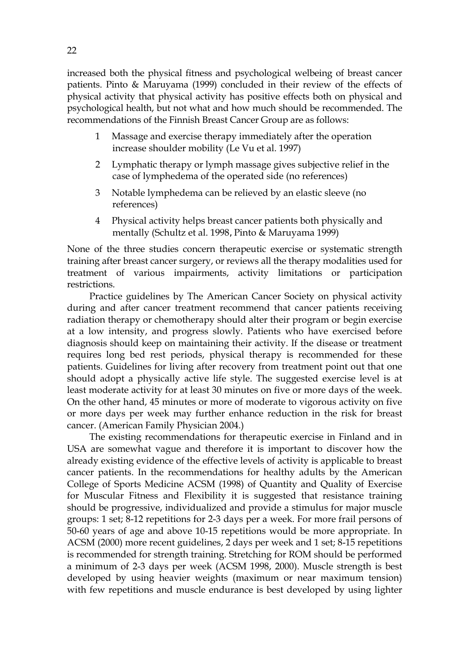increased both the physical fitness and psychological welbeing of breast cancer patients. Pinto & Maruyama (1999) concluded in their review of the effects of physical activity that physical activity has positive effects both on physical and psychological health, but not what and how much should be recommended. The recommendations of the Finnish Breast Cancer Group are as follows:

- 1 Massage and exercise therapy immediately after the operation increase shoulder mobility (Le Vu et al. 1997)
- 2 Lymphatic therapy or lymph massage gives subjective relief in the case of lymphedema of the operated side (no references)
- 3 Notable lymphedema can be relieved by an elastic sleeve (no references)
- 4 Physical activity helps breast cancer patients both physically and mentally (Schultz et al. 1998, Pinto & Maruyama 1999)

None of the three studies concern therapeutic exercise or systematic strength training after breast cancer surgery, or reviews all the therapy modalities used for treatment of various impairments, activity limitations or participation restrictions.

Practice guidelines by The American Cancer Society on physical activity during and after cancer treatment recommend that cancer patients receiving radiation therapy or chemotherapy should alter their program or begin exercise at a low intensity, and progress slowly. Patients who have exercised before diagnosis should keep on maintaining their activity. If the disease or treatment requires long bed rest periods, physical therapy is recommended for these patients. Guidelines for living after recovery from treatment point out that one should adopt a physically active life style. The suggested exercise level is at least moderate activity for at least 30 minutes on five or more days of the week. On the other hand, 45 minutes or more of moderate to vigorous activity on five or more days per week may further enhance reduction in the risk for breast cancer. (American Family Physician 2004.)

The existing recommendations for therapeutic exercise in Finland and in USA are somewhat vague and therefore it is important to discover how the already existing evidence of the effective levels of activity is applicable to breast cancer patients. In the recommendations for healthy adults by the American College of Sports Medicine ACSM (1998) of Quantity and Quality of Exercise for Muscular Fitness and Flexibility it is suggested that resistance training should be progressive, individualized and provide a stimulus for major muscle groups: 1 set; 8-12 repetitions for 2-3 days per a week. For more frail persons of 50-60 years of age and above 10-15 repetitions would be more appropriate. In ACSM (2000) more recent guidelines, 2 days per week and 1 set; 8-15 repetitions is recommended for strength training. Stretching for ROM should be performed a minimum of 2-3 days per week (ACSM 1998, 2000). Muscle strength is best developed by using heavier weights (maximum or near maximum tension) with few repetitions and muscle endurance is best developed by using lighter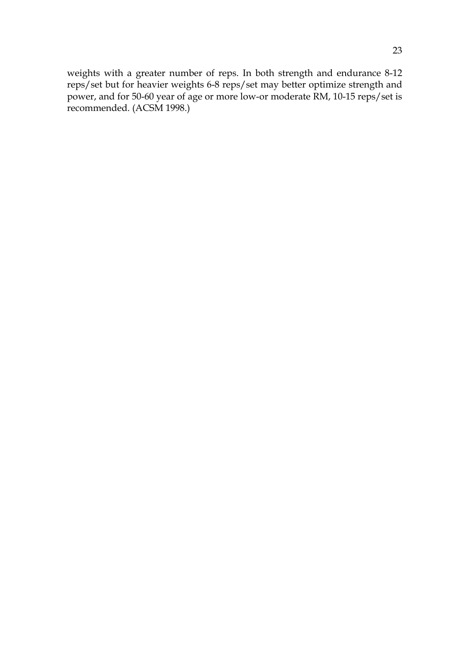weights with a greater number of reps. In both strength and endurance 8-12 reps/set but for heavier weights 6-8 reps/set may better optimize strength and power, and for 50-60 year of age or more low-or moderate RM, 10-15 reps/set is recommended. (ACSM 1998.)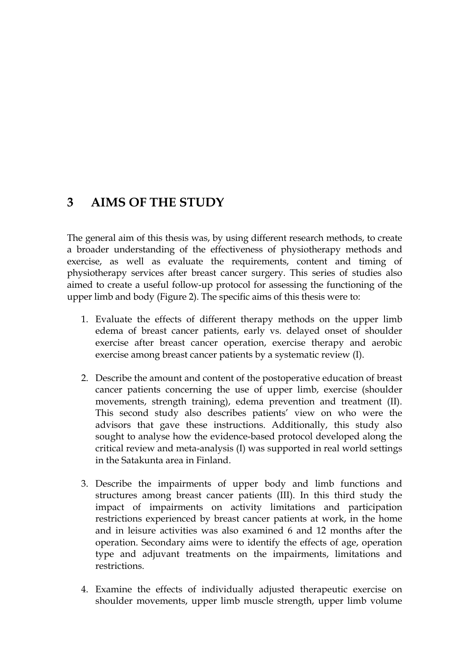## **3 AIMS OF THE STUDY**

The general aim of this thesis was, by using different research methods, to create a broader understanding of the effectiveness of physiotherapy methods and exercise, as well as evaluate the requirements, content and timing of physiotherapy services after breast cancer surgery. This series of studies also aimed to create a useful follow-up protocol for assessing the functioning of the upper limb and body (Figure 2). The specific aims of this thesis were to:

- 1. Evaluate the effects of different therapy methods on the upper limb edema of breast cancer patients, early vs. delayed onset of shoulder exercise after breast cancer operation, exercise therapy and aerobic exercise among breast cancer patients by a systematic review (I).
- 2. Describe the amount and content of the postoperative education of breast cancer patients concerning the use of upper limb, exercise (shoulder movements, strength training), edema prevention and treatment (II). This second study also describes patients' view on who were the advisors that gave these instructions. Additionally, this study also sought to analyse how the evidence-based protocol developed along the critical review and meta-analysis (I) was supported in real world settings in the Satakunta area in Finland.
- 3. Describe the impairments of upper body and limb functions and structures among breast cancer patients (III). In this third study the impact of impairments on activity limitations and participation restrictions experienced by breast cancer patients at work, in the home and in leisure activities was also examined 6 and 12 months after the operation. Secondary aims were to identify the effects of age, operation type and adjuvant treatments on the impairments, limitations and restrictions.
- 4. Examine the effects of individually adjusted therapeutic exercise on shoulder movements, upper limb muscle strength, upper limb volume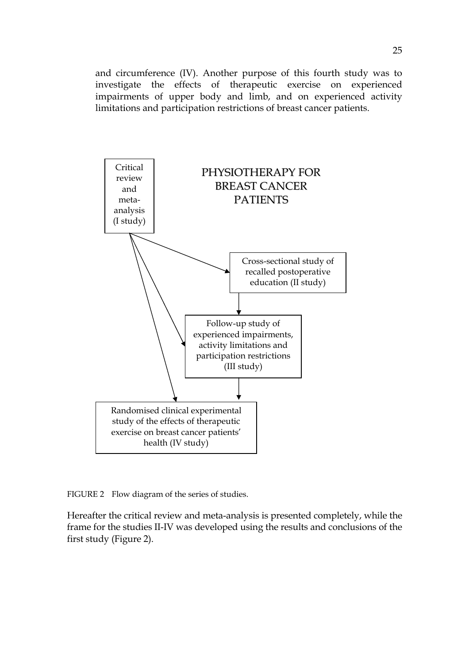and circumference (IV). Another purpose of this fourth study was to investigate the effects of therapeutic exercise on experienced impairments of upper body and limb, and on experienced activity limitations and participation restrictions of breast cancer patients.



FIGURE 2 Flow diagram of the series of studies.

Hereafter the critical review and meta-analysis is presented completely, while the frame for the studies II-IV was developed using the results and conclusions of the first study (Figure 2).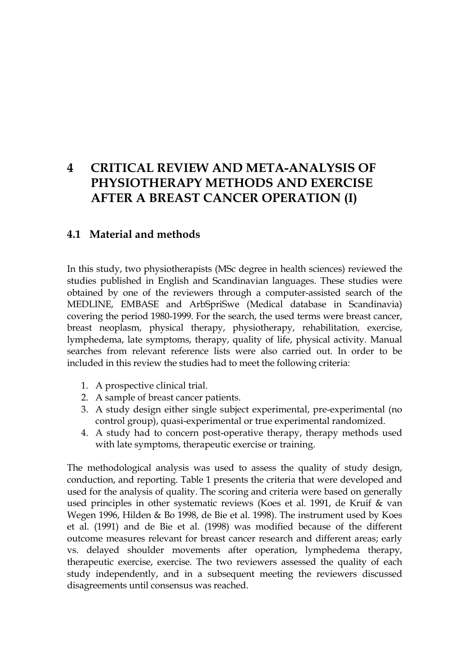## **4 CRITICAL REVIEW AND META-ANALYSIS OF PHYSIOTHERAPY METHODS AND EXERCISE AFTER A BREAST CANCER OPERATION (I)**

#### **4.1 Material and methods**

In this study, two physiotherapists (MSc degree in health sciences) reviewed the studies published in English and Scandinavian languages. These studies were obtained by one of the reviewers through a computer-assisted search of the MEDLINE, EMBASE and ArbSpriSwe (Medical database in Scandinavia) covering the period 1980-1999. For the search, the used terms were breast cancer, breast neoplasm, physical therapy, physiotherapy, rehabilitation, exercise, lymphedema, late symptoms, therapy, quality of life, physical activity. Manual searches from relevant reference lists were also carried out. In order to be included in this review the studies had to meet the following criteria:

- 1. A prospective clinical trial.
- 2. A sample of breast cancer patients.
- 3. A study design either single subject experimental, pre-experimental (no control group), quasi-experimental or true experimental randomized.
- 4. A study had to concern post-operative therapy, therapy methods used with late symptoms, therapeutic exercise or training.

The methodological analysis was used to assess the quality of study design, conduction, and reporting. Table 1 presents the criteria that were developed and used for the analysis of quality. The scoring and criteria were based on generally used principles in other systematic reviews (Koes et al. 1991, de Kruif & van Wegen 1996, Hilden & Bo 1998, de Bie et al. 1998). The instrument used by Koes et al. (1991) and de Bie et al. (1998) was modified because of the different outcome measures relevant for breast cancer research and different areas; early vs. delayed shoulder movements after operation, lymphedema therapy, therapeutic exercise, exercise. The two reviewers assessed the quality of each study independently, and in a subsequent meeting the reviewers discussed disagreements until consensus was reached.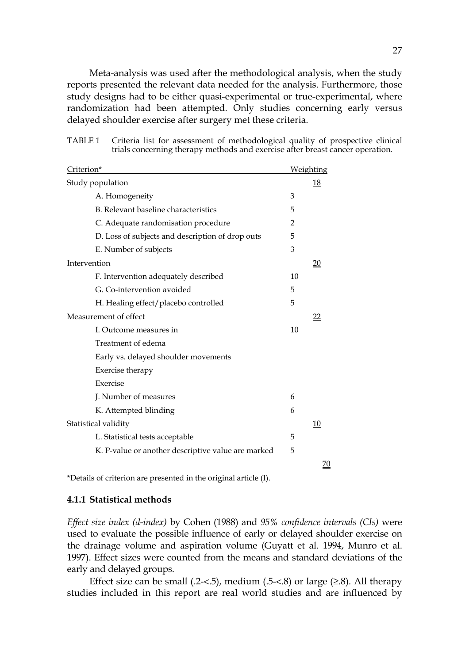Meta-analysis was used after the methodological analysis, when the study reports presented the relevant data needed for the analysis. Furthermore, those study designs had to be either quasi-experimental or true-experimental, where randomization had been attempted. Only studies concerning early versus delayed shoulder exercise after surgery met these criteria.

| TABLE 1 Criteria list for assessment of methodological quality of prospective clinical |
|----------------------------------------------------------------------------------------|
| trials concerning therapy methods and exercise after breast cancer operation.          |

| Criterion*                                         | Weighting      |    |  |
|----------------------------------------------------|----------------|----|--|
| Study population                                   |                | 18 |  |
| A. Homogeneity                                     | 3              |    |  |
| B. Relevant baseline characteristics               | 5              |    |  |
| C. Adequate randomisation procedure                | $\overline{2}$ |    |  |
| D. Loss of subjects and description of drop outs   | 5              |    |  |
| E. Number of subjects                              | 3              |    |  |
| Intervention                                       |                | 20 |  |
| F. Intervention adequately described               | 10             |    |  |
| G. Co-intervention avoided                         | 5              |    |  |
| H. Healing effect/placebo controlled               | 5              |    |  |
| Measurement of effect                              |                | 22 |  |
| I. Outcome measures in                             | 10             |    |  |
| Treatment of edema                                 |                |    |  |
| Early vs. delayed shoulder movements               |                |    |  |
| Exercise therapy                                   |                |    |  |
| Exercise                                           |                |    |  |
| J. Number of measures                              | 6              |    |  |
| K. Attempted blinding                              | 6              |    |  |
| Statistical validity                               |                | 10 |  |
| L. Statistical tests acceptable                    | 5              |    |  |
| K. P-value or another descriptive value are marked | 5              |    |  |
|                                                    |                | 70 |  |

\*Details of criterion are presented in the original article (I).

#### **4.1.1 Statistical methods**

*Effect size index (d-index)* by Cohen (1988) and *95% confidence intervals (CIs)* were used to evaluate the possible influence of early or delayed shoulder exercise on the drainage volume and aspiration volume (Guyatt et al. 1994, Munro et al. 1997). Effect sizes were counted from the means and standard deviations of the early and delayed groups.

Effect size can be small (.2-<.5), medium (.5-<.8) or large  $(≥.8)$ . All therapy studies included in this report are real world studies and are influenced by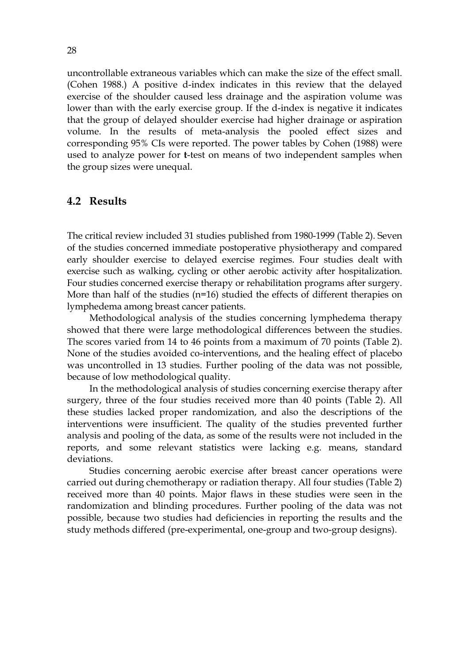uncontrollable extraneous variables which can make the size of the effect small. (Cohen 1988.) A positive d-index indicates in this review that the delayed exercise of the shoulder caused less drainage and the aspiration volume was lower than with the early exercise group. If the d-index is negative it indicates that the group of delayed shoulder exercise had higher drainage or aspiration volume. In the results of meta-analysis the pooled effect sizes and corresponding 95% CIs were reported. The power tables by Cohen (1988) were used to analyze power for **t**-test on means of two independent samples when the group sizes were unequal.

#### **4.2 Results**

The critical review included 31 studies published from 1980-1999 (Table 2). Seven of the studies concerned immediate postoperative physiotherapy and compared early shoulder exercise to delayed exercise regimes. Four studies dealt with exercise such as walking, cycling or other aerobic activity after hospitalization. Four studies concerned exercise therapy or rehabilitation programs after surgery. More than half of the studies (n=16) studied the effects of different therapies on lymphedema among breast cancer patients.

Methodological analysis of the studies concerning lymphedema therapy showed that there were large methodological differences between the studies. The scores varied from 14 to 46 points from a maximum of 70 points (Table 2). None of the studies avoided co-interventions, and the healing effect of placebo was uncontrolled in 13 studies. Further pooling of the data was not possible, because of low methodological quality.

In the methodological analysis of studies concerning exercise therapy after surgery, three of the four studies received more than 40 points (Table 2). All these studies lacked proper randomization, and also the descriptions of the interventions were insufficient. The quality of the studies prevented further analysis and pooling of the data, as some of the results were not included in the reports, and some relevant statistics were lacking e.g. means, standard deviations.

Studies concerning aerobic exercise after breast cancer operations were carried out during chemotherapy or radiation therapy. All four studies (Table 2) received more than 40 points. Major flaws in these studies were seen in the randomization and blinding procedures. Further pooling of the data was not possible, because two studies had deficiencies in reporting the results and the study methods differed (pre-experimental, one-group and two-group designs).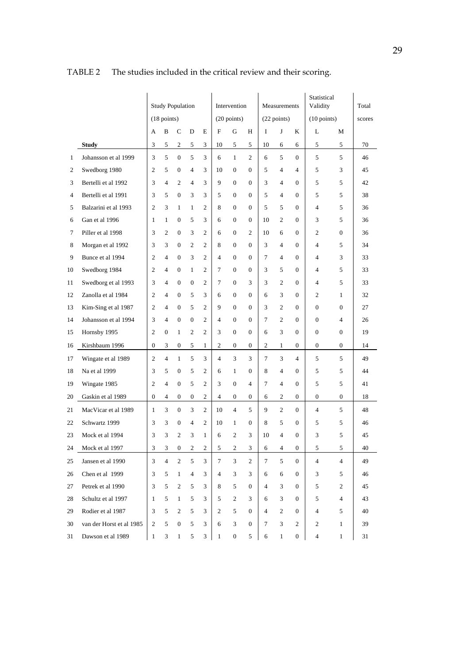|              |                          |                       |                  | <b>Study Population</b> |                  |                |                | Intervention     |                |                | Measurements     |                       | Statistical<br>Validity |                | Total |
|--------------|--------------------------|-----------------------|------------------|-------------------------|------------------|----------------|----------------|------------------|----------------|----------------|------------------|-----------------------|-------------------------|----------------|-------|
|              |                          | $(18 \text{ points})$ |                  |                         |                  | (20 points)    |                |                  | (22 points)    |                |                  | $(10 \text{ points})$ |                         | scores         |       |
|              |                          | А                     | B                | $\mathsf{C}$            | D                | E              | $\mathbf F$    | G                | H              | $\mathbf I$    | J                | K                     | L                       | M              |       |
|              | <b>Study</b>             | 3                     | 5                | $\overline{c}$          | 5                | 3              | 10             | 5                | 5              | 10             | 6                | 6                     | 5                       | 5              | 70    |
| $\mathbf{1}$ | Johansson et al 1999     | 3                     | 5                | $\boldsymbol{0}$        | 5                | 3              | 6              | $\mathbf{1}$     | 2              | 6              | 5                | $\overline{0}$        | 5                       | 5              | 46    |
| 2            | Swedborg 1980            | $\overline{c}$        | 5                | $\overline{0}$          | $\overline{4}$   | 3              | 10             | $\mathbf{0}$     | $\mathbf{0}$   | 5              | $\overline{4}$   | $\overline{4}$        | 5                       | 3              | 45    |
| 3            | Bertelli et al 1992      | 3                     | $\overline{4}$   | 2                       | $\overline{4}$   | 3              | 9              | $\mathbf{0}$     | $\mathbf{0}$   | 3              | $\overline{4}$   | $\Omega$              | 5                       | 5              | 42    |
| 4            | Bertelli et al 1991      | 3                     | 5                | $\boldsymbol{0}$        | 3                | 3              | 5              | $\boldsymbol{0}$ | $\mathbf{0}$   | 5              | $\overline{4}$   | $\mathbf{0}$          | 5                       | 5              | 38    |
| 5            | Balzarini et al 1993     | $\overline{2}$        | 3                | $\mathbf{1}$            | $\mathbf{1}$     | $\overline{c}$ | 8              | $\mathbf{0}$     | $\overline{0}$ | 5              | 5                | $\overline{0}$        | $\overline{4}$          | 5              | 36    |
| 6            | Gan et al 1996           | $\mathbf{1}$          | $\mathbf{1}$     | $\mathbf{0}$            | 5                | $\overline{3}$ | 6              | $\mathbf{0}$     | $\mathbf{0}$   | 10             | 2                | $\mathbf{0}$          | 3                       | 5              | 36    |
| 7            | Piller et al 1998        | 3                     | $\overline{c}$   | $\boldsymbol{0}$        | 3                | $\overline{c}$ | 6              | $\boldsymbol{0}$ | $\overline{c}$ | 10             | 6                | $\mathbf{0}$          | 2                       | $\mathbf{0}$   | 36    |
| 8            | Morgan et al 1992        | 3                     | 3                | $\overline{0}$          | 2                | 2              | 8              | $\mathbf{0}$     | $\overline{0}$ | 3              | $\overline{4}$   | $\mathbf{0}$          | $\overline{4}$          | 5              | 34    |
| 9            | Bunce et al 1994         | 2                     | $\overline{4}$   | $\boldsymbol{0}$        | 3                | 2              | $\overline{4}$ | $\boldsymbol{0}$ | $\mathbf{0}$   | 7              | $\overline{4}$   | $\mathbf{0}$          | 4                       | 3              | 33    |
| 10           | Swedborg 1984            | $\overline{c}$        | $\overline{4}$   | $\mathbf{0}$            | $\mathbf{1}$     | $\overline{2}$ | $\tau$         | $\mathbf{0}$     | $\mathbf{0}$   | 3              | 5                | $\Omega$              | $\overline{4}$          | 5              | 33    |
| 11           | Swedborg et al 1993      | 3                     | $\overline{4}$   | $\boldsymbol{0}$        | $\boldsymbol{0}$ | $\overline{2}$ | $\tau$         | $\boldsymbol{0}$ | 3              | 3              | 2                | $\overline{0}$        | $\overline{4}$          | 5              | 33    |
| 12           | Zanolla et al 1984       | $\mathfrak{2}$        | $\overline{4}$   | $\mathbf{0}$            | 5                | $\overline{3}$ | 6              | $\boldsymbol{0}$ | $\overline{0}$ | 6              | 3                | $\overline{0}$        | $\mathbf{2}$            | $\mathbf{1}$   | 32    |
| 13           | Kim-Sing et al 1987      | $\overline{c}$        | $\overline{4}$   | $\boldsymbol{0}$        | 5                | $\overline{c}$ | 9              | $\mathbf{0}$     | $\theta$       | 3              | 2                | $\mathbf{0}$          | $\mathbf{0}$            | $\overline{0}$ | 27    |
| 14           | Johansson et al 1994     | 3                     | $\overline{4}$   | $\boldsymbol{0}$        | $\mathbf{0}$     | $\mathfrak{2}$ | $\overline{4}$ | $\boldsymbol{0}$ | $\mathbf{0}$   | $\overline{7}$ | 2                | $\mathbf{0}$          | $\boldsymbol{0}$        | $\overline{4}$ | 26    |
| 15           | Hornsby 1995             | $\overline{2}$        | $\boldsymbol{0}$ | $\mathbf{1}$            | $\overline{c}$   | $\overline{c}$ | 3              | $\boldsymbol{0}$ | $\mathbf{0}$   | 6              | 3                | $\mathbf{0}$          | $\boldsymbol{0}$        | $\mathbf{0}$   | 19    |
| 16           | Kirshbaum 1996           | $\boldsymbol{0}$      | 3                | 0                       | 5                | $\mathbf{1}$   | 2              | $\mathbf{0}$     | $\overline{0}$ | $\overline{c}$ | $\mathbf{1}$     | $\overline{0}$        | $\mathbf{0}$            | $\overline{0}$ | 14    |
| 17           | Wingate et al 1989       | $\overline{c}$        | $\overline{4}$   | $\mathbf{1}$            | 5                | 3              | $\overline{4}$ | 3                | 3              | $\tau$         | 3                | $\overline{4}$        | 5                       | 5              | 49    |
| 18           | Na et al 1999            | 3                     | 5                | $\boldsymbol{0}$        | 5                | 2              | 6              | $\mathbf{1}$     | $\mathbf{0}$   | 8              | $\overline{4}$   | $\overline{0}$        | 5                       | 5              | 44    |
| 19           | Wingate 1985             | 2                     | $\overline{4}$   | $\boldsymbol{0}$        | 5                | $\overline{c}$ | 3              | $\boldsymbol{0}$ | $\overline{4}$ | $\overline{7}$ | $\overline{4}$   | $\mathbf{0}$          | 5                       | 5              | 41    |
| 20           | Gaskin et al 1989        | 0                     | $\overline{4}$   | $\mathbf{0}$            | $\mathbf{0}$     | 2              | $\overline{4}$ | $\boldsymbol{0}$ | $\mathbf{0}$   | 6              | $\boldsymbol{2}$ | $\overline{0}$        | $\overline{0}$          | $\overline{0}$ | 18    |
| 21           | MacVicar et al 1989      | $\mathbf{1}$          | 3                | $\boldsymbol{0}$        | 3                | $\overline{c}$ | 10             | $\overline{4}$   | 5              | 9              | $\mathfrak{2}$   | $\overline{0}$        | $\overline{4}$          | 5              | 48    |
| 22           | Schwartz 1999            | 3                     | 3                | $\mathbf{0}$            | 4                | $\overline{c}$ | 10             | $\mathbf{1}$     | $\mathbf{0}$   | 8              | 5                | $\overline{0}$        | 5                       | 5              | 46    |
| 23           | Mock et al 1994          | 3                     | 3                | $\overline{2}$          | 3                | $\mathbf{1}$   | 6              | 2                | 3              | 10             | $\overline{4}$   | $\theta$              | 3                       | 5              | 45    |
| 24           | Mock et al 1997          | 3                     | 3                | $\boldsymbol{0}$        | 2                | 2              | 5              | $\overline{c}$   | 3              | 6              | 4                | $\mathbf{0}$          | 5                       | 5              | 40    |
| 25           | Jansen et al 1990        | 3                     | $\overline{4}$   | $\mathbf{2}$            | 5                | 3              | 7              | 3                | $\overline{c}$ | 7              | 5                | $\overline{0}$        | 4                       | $\overline{4}$ | 49    |
| 26           | Chen et al 1999          | 3                     | 5                | $\mathbf{1}$            | 4                | 3              | 4              | 3                | 3              | 6              | 6                | $\mathbf{0}$          | 3                       | 5              | 46    |
| 27           | Petrek et al 1990        | 3                     | 5                | 2                       | 5                | 3              | 8              | 5                | $\mathbf{0}$   | $\overline{4}$ | 3                | $\overline{0}$        | 5                       | $\overline{c}$ | 45    |
| 28           | Schultz et al 1997       | $\mathbf{1}$          | 5                | $\mathbf{1}$            | 5                | 3              | 5              | $\overline{c}$   | 3              | 6              | 3                | $\overline{0}$        | 5                       | $\overline{4}$ | 43    |
| 29           | Rodier et al 1987        | 3                     | 5                | 2                       | 5                | 3              | 2              | 5                | $\overline{0}$ | 4              | 2                | $\overline{0}$        | 4                       | 5              | 40    |
| 30           | van der Horst et al 1985 | 2                     | 5                | $\mathbf{0}$            | 5                | 3              | 6              | $\mathfrak{Z}$   | $\mathbf{0}$   | 7              | 3                | 2                     | 2                       | $\mathbf{1}$   | 39    |
| 31           | Dawson et al 1989        | $\mathbf{1}$          | 3                | 1                       | 5                | 3              | $\mathbf{1}$   | 0                | 5              | 6              | $\mathbf{1}$     | $\boldsymbol{0}$      | 4                       | $\mathbf{1}$   | 31    |

TABLE 2 The studies included in the critical review and their scoring.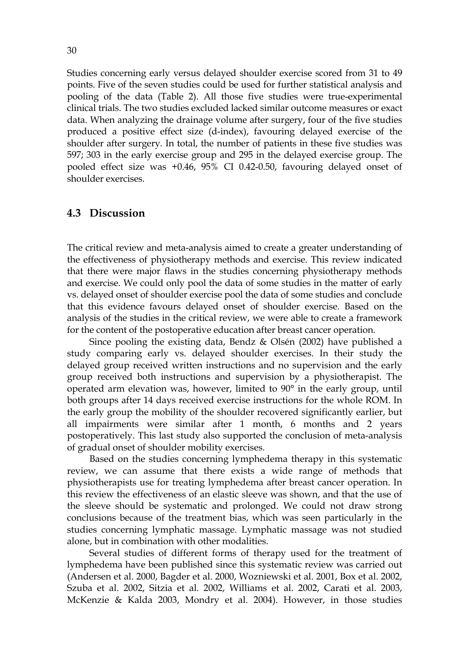Studies concerning early versus delayed shoulder exercise scored from 31 to 49 points. Five of the seven studies could be used for further statistical analysis and pooling of the data (Table 2). All those five studies were true-experimental clinical trials. The two studies excluded lacked similar outcome measures or exact data. When analyzing the drainage volume after surgery, four of the five studies produced a positive effect size (d-index), favouring delayed exercise of the shoulder after surgery. In total, the number of patients in these five studies was 597; 303 in the early exercise group and 295 in the delayed exercise group. The pooled effect size was +0.46, 95% CI 0.42-0.50, favouring delayed onset of shoulder exercises.

#### **4.3 Discussion**

The critical review and meta-analysis aimed to create a greater understanding of the effectiveness of physiotherapy methods and exercise. This review indicated that there were major flaws in the studies concerning physiotherapy methods and exercise. We could only pool the data of some studies in the matter of early vs. delayed onset of shoulder exercise pool the data of some studies and conclude that this evidence favours delayed onset of shoulder exercise. Based on the analysis of the studies in the critical review, we were able to create a framework for the content of the postoperative education after breast cancer operation.

Since pooling the existing data, Bendz & Olsén (2002) have published a study comparing early vs. delayed shoulder exercises. In their study the delayed group received written instructions and no supervision and the early group received both instructions and supervision by a physiotherapist. The operated arm elevation was, however, limited to 90° in the early group, until both groups after 14 days received exercise instructions for the whole ROM. In the early group the mobility of the shoulder recovered significantly earlier, but all impairments were similar after 1 month, 6 months and 2 years postoperatively. This last study also supported the conclusion of meta-analysis of gradual onset of shoulder mobility exercises.

Based on the studies concerning lymphedema therapy in this systematic review, we can assume that there exists a wide range of methods that physiotherapists use for treating lymphedema after breast cancer operation. In this review the effectiveness of an elastic sleeve was shown, and that the use of the sleeve should be systematic and prolonged. We could not draw strong conclusions because of the treatment bias, which was seen particularly in the studies concerning lymphatic massage. Lymphatic massage was not studied alone, but in combination with other modalities.

Several studies of different forms of therapy used for the treatment of lymphedema have been published since this systematic review was carried out (Andersen et al. 2000, Bagder et al. 2000, Wozniewski et al. 2001, Box et al. 2002, Szuba et al. 2002, Sitzia et al. 2002, Williams et al. 2002, Carati et al. 2003, McKenzie & Kalda 2003, Mondry et al. 2004). However, in those studies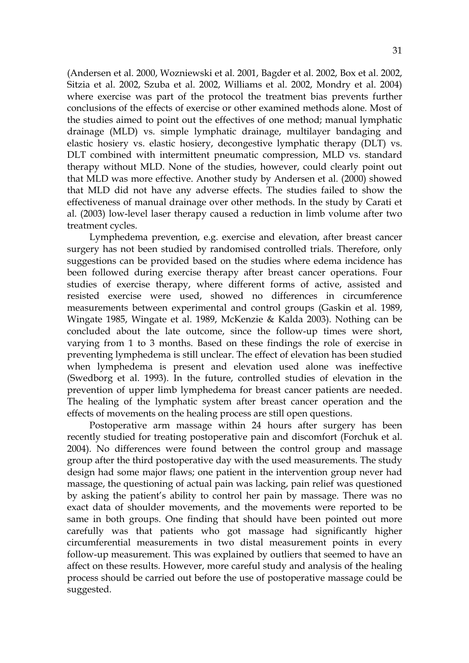(Andersen et al. 2000, Wozniewski et al. 2001, Bagder et al. 2002, Box et al. 2002, Sitzia et al. 2002, Szuba et al. 2002, Williams et al. 2002, Mondry et al. 2004) where exercise was part of the protocol the treatment bias prevents further conclusions of the effects of exercise or other examined methods alone. Most of the studies aimed to point out the effectives of one method; manual lymphatic drainage (MLD) vs. simple lymphatic drainage, multilayer bandaging and elastic hosiery vs. elastic hosiery, decongestive lymphatic therapy (DLT) vs. DLT combined with intermittent pneumatic compression, MLD vs. standard therapy without MLD. None of the studies, however, could clearly point out that MLD was more effective. Another study by Andersen et al. (2000) showed that MLD did not have any adverse effects. The studies failed to show the effectiveness of manual drainage over other methods. In the study by Carati et al. (2003) low-level laser therapy caused a reduction in limb volume after two treatment cycles.

Lymphedema prevention, e.g. exercise and elevation, after breast cancer surgery has not been studied by randomised controlled trials. Therefore, only suggestions can be provided based on the studies where edema incidence has been followed during exercise therapy after breast cancer operations. Four studies of exercise therapy, where different forms of active, assisted and resisted exercise were used, showed no differences in circumference measurements between experimental and control groups (Gaskin et al. 1989, Wingate 1985, Wingate et al. 1989, McKenzie & Kalda 2003). Nothing can be concluded about the late outcome, since the follow-up times were short, varying from 1 to 3 months. Based on these findings the role of exercise in preventing lymphedema is still unclear. The effect of elevation has been studied when lymphedema is present and elevation used alone was ineffective (Swedborg et al. 1993). In the future, controlled studies of elevation in the prevention of upper limb lymphedema for breast cancer patients are needed. The healing of the lymphatic system after breast cancer operation and the effects of movements on the healing process are still open questions.

Postoperative arm massage within 24 hours after surgery has been recently studied for treating postoperative pain and discomfort (Forchuk et al. 2004). No differences were found between the control group and massage group after the third postoperative day with the used measurements. The study design had some major flaws; one patient in the intervention group never had massage, the questioning of actual pain was lacking, pain relief was questioned by asking the patient's ability to control her pain by massage. There was no exact data of shoulder movements, and the movements were reported to be same in both groups. One finding that should have been pointed out more carefully was that patients who got massage had significantly higher circumferential measurements in two distal measurement points in every follow-up measurement. This was explained by outliers that seemed to have an affect on these results. However, more careful study and analysis of the healing process should be carried out before the use of postoperative massage could be suggested.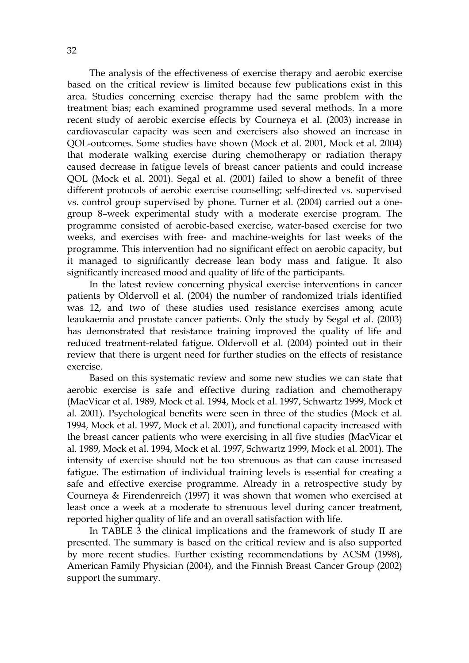The analysis of the effectiveness of exercise therapy and aerobic exercise based on the critical review is limited because few publications exist in this area. Studies concerning exercise therapy had the same problem with the treatment bias; each examined programme used several methods. In a more recent study of aerobic exercise effects by Courneya et al. (2003) increase in cardiovascular capacity was seen and exercisers also showed an increase in QOL-outcomes. Some studies have shown (Mock et al. 2001, Mock et al. 2004) that moderate walking exercise during chemotherapy or radiation therapy caused decrease in fatigue levels of breast cancer patients and could increase QOL (Mock et al. 2001). Segal et al. (2001) failed to show a benefit of three different protocols of aerobic exercise counselling; self-directed vs. supervised vs. control group supervised by phone. Turner et al. (2004) carried out a onegroup 8–week experimental study with a moderate exercise program. The programme consisted of aerobic-based exercise, water-based exercise for two weeks, and exercises with free- and machine-weights for last weeks of the programme. This intervention had no significant effect on aerobic capacity, but it managed to significantly decrease lean body mass and fatigue. It also significantly increased mood and quality of life of the participants.

In the latest review concerning physical exercise interventions in cancer patients by Oldervoll et al. (2004) the number of randomized trials identified was 12, and two of these studies used resistance exercises among acute leaukaemia and prostate cancer patients. Only the study by Segal et al. (2003) has demonstrated that resistance training improved the quality of life and reduced treatment-related fatigue. Oldervoll et al. (2004) pointed out in their review that there is urgent need for further studies on the effects of resistance exercise.

Based on this systematic review and some new studies we can state that aerobic exercise is safe and effective during radiation and chemotherapy (MacVicar et al. 1989, Mock et al. 1994, Mock et al. 1997, Schwartz 1999, Mock et al. 2001). Psychological benefits were seen in three of the studies (Mock et al. 1994, Mock et al. 1997, Mock et al. 2001), and functional capacity increased with the breast cancer patients who were exercising in all five studies (MacVicar et al. 1989, Mock et al. 1994, Mock et al. 1997, Schwartz 1999, Mock et al. 2001). The intensity of exercise should not be too strenuous as that can cause increased fatigue. The estimation of individual training levels is essential for creating a safe and effective exercise programme. Already in a retrospective study by Courneya & Firendenreich (1997) it was shown that women who exercised at least once a week at a moderate to strenuous level during cancer treatment, reported higher quality of life and an overall satisfaction with life.

In TABLE 3 the clinical implications and the framework of study II are presented. The summary is based on the critical review and is also supported by more recent studies. Further existing recommendations by ACSM (1998), American Family Physician (2004), and the Finnish Breast Cancer Group (2002) support the summary.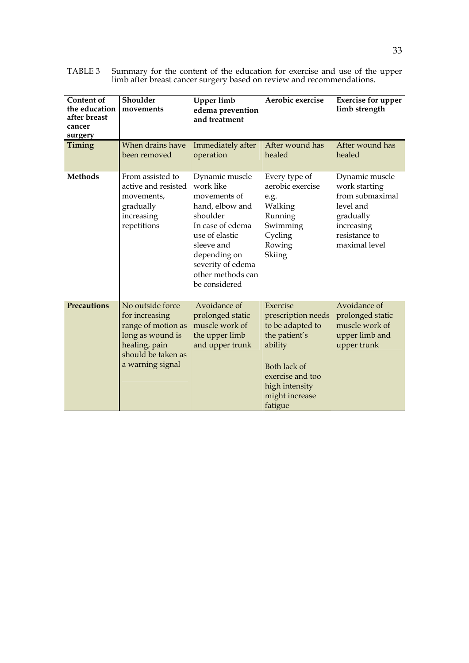| <b>Content of</b><br>the education<br>after breast<br>cancer<br>surgery | Shoulder<br>movements                                                                                                                   | <b>Upper limb</b><br>edema prevention<br>and treatment                                                                                                                                                    | Aerobic exercise                                                                                                                                                  | <b>Exercise for upper</b><br>limb strength                                                                                   |
|-------------------------------------------------------------------------|-----------------------------------------------------------------------------------------------------------------------------------------|-----------------------------------------------------------------------------------------------------------------------------------------------------------------------------------------------------------|-------------------------------------------------------------------------------------------------------------------------------------------------------------------|------------------------------------------------------------------------------------------------------------------------------|
| Timing                                                                  | When drains have<br>been removed                                                                                                        | Immediately after<br>operation                                                                                                                                                                            | After wound has<br>healed                                                                                                                                         | After wound has<br>healed                                                                                                    |
| <b>Methods</b>                                                          | From assisted to<br>active and resisted<br>movements,<br>gradually<br>increasing<br>repetitions                                         | Dynamic muscle<br>work like<br>movements of<br>hand, elbow and<br>shoulder<br>In case of edema<br>use of elastic<br>sleeve and<br>depending on<br>severity of edema<br>other methods can<br>be considered | Every type of<br>aerobic exercise<br>e.g.<br>Walking<br>Running<br>Swimming<br>Cycling<br>Rowing<br>Skiing                                                        | Dynamic muscle<br>work starting<br>from submaximal<br>level and<br>gradually<br>increasing<br>resistance to<br>maximal level |
| <b>Precautions</b>                                                      | No outside force<br>for increasing<br>range of motion as<br>long as wound is<br>healing, pain<br>should be taken as<br>a warning signal | Avoidance of<br>prolonged static<br>muscle work of<br>the upper limb<br>and upper trunk                                                                                                                   | Exercise<br>prescription needs<br>to be adapted to<br>the patient's<br>ability<br>Both lack of<br>exercise and too<br>high intensity<br>might increase<br>fatigue | Avoidance of<br>prolonged static<br>muscle work of<br>upper limb and<br>upper trunk                                          |

TABLE 3 Summary for the content of the education for exercise and use of the upper limb after breast cancer surgery based on review and recommendations.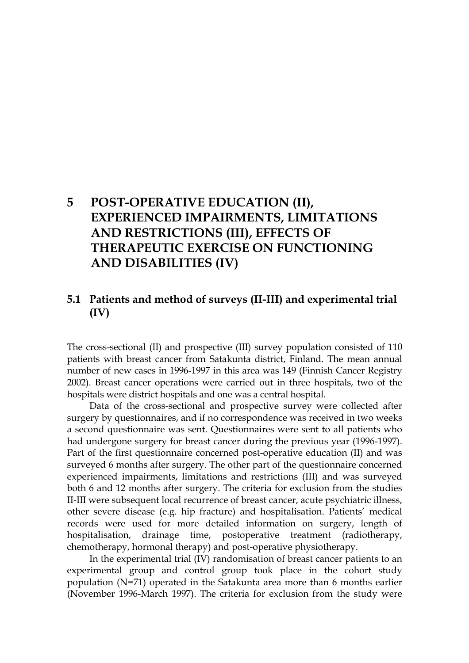## **5 POST-OPERATIVE EDUCATION (II), EXPERIENCED IMPAIRMENTS, LIMITATIONS AND RESTRICTIONS (III), EFFECTS OF THERAPEUTIC EXERCISE ON FUNCTIONING AND DISABILITIES (IV)**

### **5.1 Patients and method of surveys (II-III) and experimental trial (IV)**

The cross-sectional (II) and prospective (III) survey population consisted of 110 patients with breast cancer from Satakunta district, Finland. The mean annual number of new cases in 1996-1997 in this area was 149 (Finnish Cancer Registry 2002). Breast cancer operations were carried out in three hospitals, two of the hospitals were district hospitals and one was a central hospital.

Data of the cross-sectional and prospective survey were collected after surgery by questionnaires, and if no correspondence was received in two weeks a second questionnaire was sent. Questionnaires were sent to all patients who had undergone surgery for breast cancer during the previous year (1996-1997). Part of the first questionnaire concerned post-operative education (II) and was surveyed 6 months after surgery. The other part of the questionnaire concerned experienced impairments, limitations and restrictions (III) and was surveyed both 6 and 12 months after surgery. The criteria for exclusion from the studies II-III were subsequent local recurrence of breast cancer, acute psychiatric illness, other severe disease (e.g. hip fracture) and hospitalisation. Patients' medical records were used for more detailed information on surgery, length of hospitalisation, drainage time, postoperative treatment (radiotherapy, chemotherapy, hormonal therapy) and post-operative physiotherapy.

In the experimental trial (IV) randomisation of breast cancer patients to an experimental group and control group took place in the cohort study population (N=71) operated in the Satakunta area more than 6 months earlier (November 1996-March 1997). The criteria for exclusion from the study were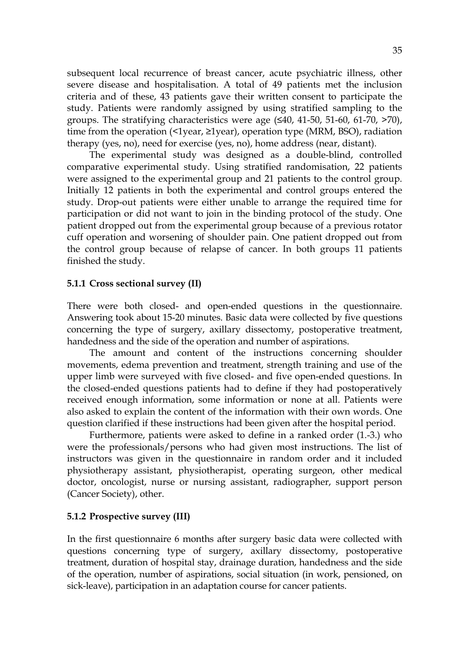subsequent local recurrence of breast cancer, acute psychiatric illness, other severe disease and hospitalisation. A total of 49 patients met the inclusion criteria and of these, 43 patients gave their written consent to participate the study. Patients were randomly assigned by using stratified sampling to the groups. The stratifying characteristics were age  $(540, 41-50, 51-60, 61-70, 570)$ , time from the operation (<1year, ≥1year), operation type (MRM, BSO), radiation therapy (yes, no), need for exercise (yes, no), home address (near, distant).

The experimental study was designed as a double-blind, controlled comparative experimental study. Using stratified randomisation, 22 patients were assigned to the experimental group and 21 patients to the control group. Initially 12 patients in both the experimental and control groups entered the study. Drop-out patients were either unable to arrange the required time for participation or did not want to join in the binding protocol of the study. One patient dropped out from the experimental group because of a previous rotator cuff operation and worsening of shoulder pain. One patient dropped out from the control group because of relapse of cancer. In both groups 11 patients finished the study.

#### **5.1.1 Cross sectional survey (II)**

There were both closed- and open-ended questions in the questionnaire. Answering took about 15-20 minutes. Basic data were collected by five questions concerning the type of surgery, axillary dissectomy, postoperative treatment, handedness and the side of the operation and number of aspirations.

The amount and content of the instructions concerning shoulder movements, edema prevention and treatment, strength training and use of the upper limb were surveyed with five closed- and five open-ended questions. In the closed-ended questions patients had to define if they had postoperatively received enough information, some information or none at all. Patients were also asked to explain the content of the information with their own words. One question clarified if these instructions had been given after the hospital period.

Furthermore, patients were asked to define in a ranked order (1.-3.) who were the professionals/persons who had given most instructions. The list of instructors was given in the questionnaire in random order and it included physiotherapy assistant, physiotherapist, operating surgeon, other medical doctor, oncologist, nurse or nursing assistant, radiographer, support person (Cancer Society), other.

#### **5.1.2 Prospective survey (III)**

In the first questionnaire 6 months after surgery basic data were collected with questions concerning type of surgery, axillary dissectomy, postoperative treatment, duration of hospital stay, drainage duration, handedness and the side of the operation, number of aspirations, social situation (in work, pensioned, on sick-leave), participation in an adaptation course for cancer patients.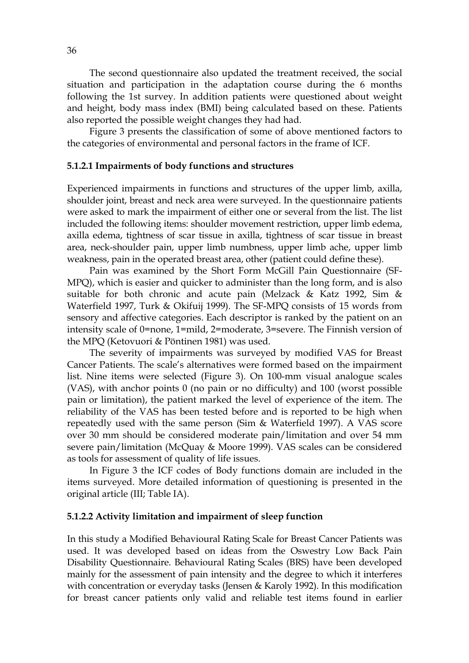The second questionnaire also updated the treatment received, the social situation and participation in the adaptation course during the 6 months following the 1st survey. In addition patients were questioned about weight and height, body mass index (BMI) being calculated based on these. Patients also reported the possible weight changes they had had.

Figure 3 presents the classification of some of above mentioned factors to the categories of environmental and personal factors in the frame of ICF.

#### **5.1.2.1 Impairments of body functions and structures**

Experienced impairments in functions and structures of the upper limb, axilla, shoulder joint, breast and neck area were surveyed. In the questionnaire patients were asked to mark the impairment of either one or several from the list. The list included the following items: shoulder movement restriction, upper limb edema, axilla edema, tightness of scar tissue in axilla, tightness of scar tissue in breast area, neck-shoulder pain, upper limb numbness, upper limb ache, upper limb weakness, pain in the operated breast area, other (patient could define these).

Pain was examined by the Short Form McGill Pain Questionnaire (SF-MPQ), which is easier and quicker to administer than the long form, and is also suitable for both chronic and acute pain (Melzack & Katz 1992, Sim & Waterfield 1997, Turk & Okifuij 1999). The SF-MPQ consists of 15 words from sensory and affective categories. Each descriptor is ranked by the patient on an intensity scale of 0=none, 1=mild, 2=moderate, 3=severe. The Finnish version of the MPQ (Ketovuori & Pöntinen 1981) was used.

The severity of impairments was surveyed by modified VAS for Breast Cancer Patients. The scale's alternatives were formed based on the impairment list. Nine items were selected (Figure 3). On 100-mm visual analogue scales (VAS), with anchor points 0 (no pain or no difficulty) and 100 (worst possible pain or limitation), the patient marked the level of experience of the item. The reliability of the VAS has been tested before and is reported to be high when repeatedly used with the same person (Sim & Waterfield 1997). A VAS score over 30 mm should be considered moderate pain/limitation and over 54 mm severe pain/limitation (McQuay & Moore 1999). VAS scales can be considered as tools for assessment of quality of life issues.

In Figure 3 the ICF codes of Body functions domain are included in the items surveyed. More detailed information of questioning is presented in the original article (III; Table IA).

#### **5.1.2.2 Activity limitation and impairment of sleep function**

In this study a Modified Behavioural Rating Scale for Breast Cancer Patients was used. It was developed based on ideas from the Oswestry Low Back Pain Disability Questionnaire. Behavioural Rating Scales (BRS) have been developed mainly for the assessment of pain intensity and the degree to which it interferes with concentration or everyday tasks (Jensen & Karoly 1992). In this modification for breast cancer patients only valid and reliable test items found in earlier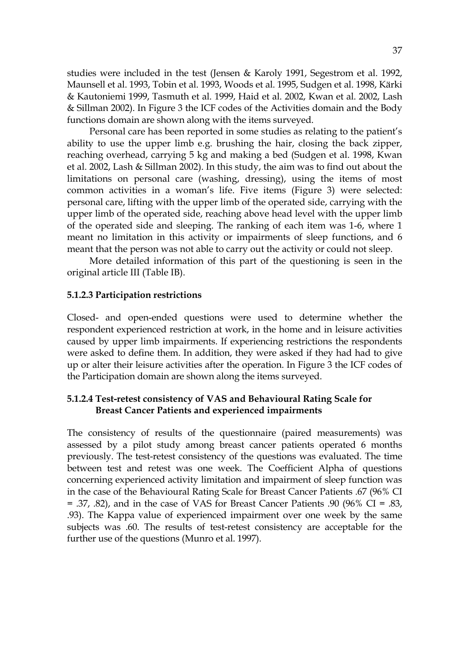studies were included in the test (Jensen & Karoly 1991, Segestrom et al. 1992, Maunsell et al. 1993, Tobin et al. 1993, Woods et al. 1995, Sudgen et al. 1998, Kärki & Kautoniemi 1999, Tasmuth et al. 1999, Haid et al. 2002, Kwan et al. 2002, Lash & Sillman 2002). In Figure 3 the ICF codes of the Activities domain and the Body functions domain are shown along with the items surveyed.

Personal care has been reported in some studies as relating to the patient's ability to use the upper limb e.g. brushing the hair, closing the back zipper, reaching overhead, carrying 5 kg and making a bed (Sudgen et al. 1998, Kwan et al. 2002, Lash & Sillman 2002). In this study, the aim was to find out about the limitations on personal care (washing, dressing), using the items of most common activities in a woman's life. Five items (Figure 3) were selected: personal care, lifting with the upper limb of the operated side, carrying with the upper limb of the operated side, reaching above head level with the upper limb of the operated side and sleeping. The ranking of each item was 1-6, where 1 meant no limitation in this activity or impairments of sleep functions, and 6 meant that the person was not able to carry out the activity or could not sleep.

More detailed information of this part of the questioning is seen in the original article III (Table IB).

#### **5.1.2.3 Participation restrictions**

Closed- and open-ended questions were used to determine whether the respondent experienced restriction at work, in the home and in leisure activities caused by upper limb impairments. If experiencing restrictions the respondents were asked to define them. In addition, they were asked if they had had to give up or alter their leisure activities after the operation. In Figure 3 the ICF codes of the Participation domain are shown along the items surveyed.

## **5.1.2.4 Test-retest consistency of VAS and Behavioural Rating Scale for Breast Cancer Patients and experienced impairments**

The consistency of results of the questionnaire (paired measurements) was assessed by a pilot study among breast cancer patients operated 6 months previously. The test-retest consistency of the questions was evaluated. The time between test and retest was one week. The Coefficient Alpha of questions concerning experienced activity limitation and impairment of sleep function was in the case of the Behavioural Rating Scale for Breast Cancer Patients .67 (96% CI = .37, .82), and in the case of VAS for Breast Cancer Patients .90 (96% CI = .83, .93). The Kappa value of experienced impairment over one week by the same subjects was .60. The results of test-retest consistency are acceptable for the further use of the questions (Munro et al. 1997).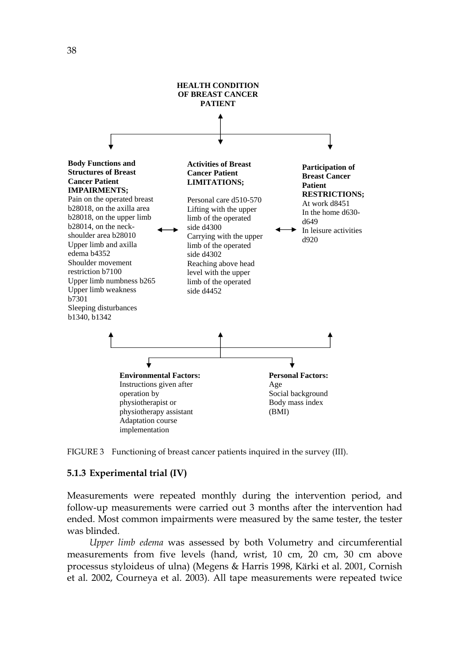



#### **5.1.3 Experimental trial (IV)**

Measurements were repeated monthly during the intervention period, and follow-up measurements were carried out 3 months after the intervention had ended. Most common impairments were measured by the same tester, the tester was blinded.

*Upper limb edema* was assessed by both Volumetry and circumferential measurements from five levels (hand, wrist, 10 cm, 20 cm, 30 cm above processus styloideus of ulna) (Megens & Harris 1998, Kärki et al. 2001, Cornish et al. 2002, Courneya et al. 2003). All tape measurements were repeated twice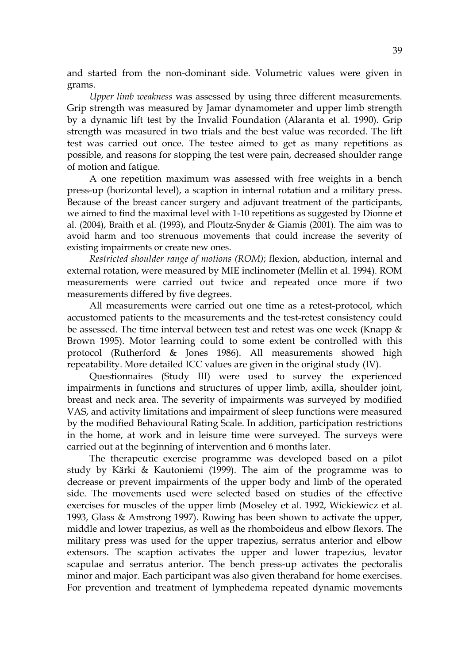and started from the non-dominant side. Volumetric values were given in grams.

*Upper limb weakness* was assessed by using three different measurements. Grip strength was measured by Jamar dynamometer and upper limb strength by a dynamic lift test by the Invalid Foundation (Alaranta et al. 1990). Grip strength was measured in two trials and the best value was recorded. The lift test was carried out once. The testee aimed to get as many repetitions as possible, and reasons for stopping the test were pain, decreased shoulder range of motion and fatigue.

A one repetition maximum was assessed with free weights in a bench press-up (horizontal level), a scaption in internal rotation and a military press. Because of the breast cancer surgery and adjuvant treatment of the participants, we aimed to find the maximal level with 1-10 repetitions as suggested by Dionne et al. (2004), Braith et al. (1993), and Ploutz-Snyder & Giamis (2001). The aim was to avoid harm and too strenuous movements that could increase the severity of existing impairments or create new ones.

*Restricted shoulder range of motions (ROM)*; flexion, abduction, internal and external rotation, were measured by MIE inclinometer (Mellin et al. 1994). ROM measurements were carried out twice and repeated once more if two measurements differed by five degrees.

All measurements were carried out one time as a retest-protocol, which accustomed patients to the measurements and the test-retest consistency could be assessed. The time interval between test and retest was one week (Knapp & Brown 1995). Motor learning could to some extent be controlled with this protocol (Rutherford & Jones 1986). All measurements showed high repeatability. More detailed ICC values are given in the original study (IV).

Questionnaires (Study III) were used to survey the experienced impairments in functions and structures of upper limb, axilla, shoulder joint, breast and neck area. The severity of impairments was surveyed by modified VAS, and activity limitations and impairment of sleep functions were measured by the modified Behavioural Rating Scale. In addition, participation restrictions in the home, at work and in leisure time were surveyed. The surveys were carried out at the beginning of intervention and 6 months later.

The therapeutic exercise programme was developed based on a pilot study by Kärki & Kautoniemi (1999). The aim of the programme was to decrease or prevent impairments of the upper body and limb of the operated side. The movements used were selected based on studies of the effective exercises for muscles of the upper limb (Moseley et al. 1992, Wickiewicz et al. 1993, Glass & Amstrong 1997). Rowing has been shown to activate the upper, middle and lower trapezius, as well as the rhomboideus and elbow flexors. The military press was used for the upper trapezius, serratus anterior and elbow extensors. The scaption activates the upper and lower trapezius, levator scapulae and serratus anterior. The bench press-up activates the pectoralis minor and major. Each participant was also given theraband for home exercises. For prevention and treatment of lymphedema repeated dynamic movements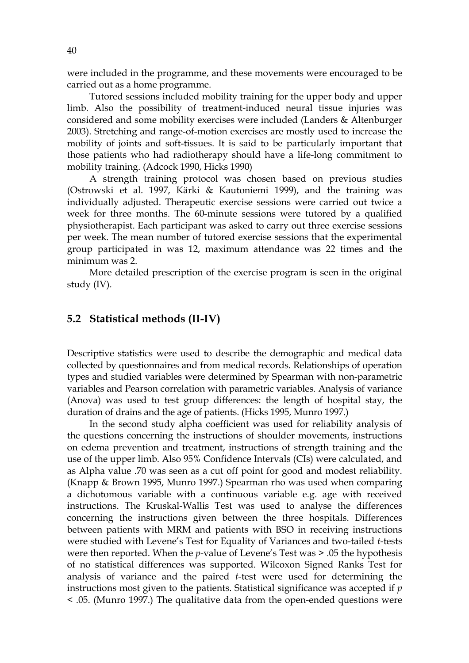were included in the programme, and these movements were encouraged to be carried out as a home programme.

Tutored sessions included mobility training for the upper body and upper limb. Also the possibility of treatment-induced neural tissue injuries was considered and some mobility exercises were included (Landers & Altenburger 2003). Stretching and range-of-motion exercises are mostly used to increase the mobility of joints and soft-tissues. It is said to be particularly important that those patients who had radiotherapy should have a life-long commitment to mobility training. (Adcock 1990, Hicks 1990)

A strength training protocol was chosen based on previous studies (Ostrowski et al. 1997, Kärki & Kautoniemi 1999), and the training was individually adjusted. Therapeutic exercise sessions were carried out twice a week for three months. The 60-minute sessions were tutored by a qualified physiotherapist. Each participant was asked to carry out three exercise sessions per week. The mean number of tutored exercise sessions that the experimental group participated in was 12, maximum attendance was 22 times and the minimum was 2.

More detailed prescription of the exercise program is seen in the original study (IV).

## **5.2 Statistical methods (II-IV)**

Descriptive statistics were used to describe the demographic and medical data collected by questionnaires and from medical records. Relationships of operation types and studied variables were determined by Spearman with non-parametric variables and Pearson correlation with parametric variables. Analysis of variance (Anova) was used to test group differences: the length of hospital stay, the duration of drains and the age of patients. (Hicks 1995, Munro 1997.)

In the second study alpha coefficient was used for reliability analysis of the questions concerning the instructions of shoulder movements, instructions on edema prevention and treatment, instructions of strength training and the use of the upper limb. Also 95% Confidence Intervals (CIs) were calculated, and as Alpha value .70 was seen as a cut off point for good and modest reliability. (Knapp & Brown 1995, Munro 1997.) Spearman rho was used when comparing a dichotomous variable with a continuous variable e.g. age with received instructions. The Kruskal-Wallis Test was used to analyse the differences concerning the instructions given between the three hospitals. Differences between patients with MRM and patients with BSO in receiving instructions were studied with Levene's Test for Equality of Variances and two-tailed *t-*tests were then reported. When the *p*-value of Levene's Test was > .05 the hypothesis of no statistical differences was supported. Wilcoxon Signed Ranks Test for analysis of variance and the paired *t-*test were used for determining the instructions most given to the patients. Statistical significance was accepted if *p*  < .05. (Munro 1997.) The qualitative data from the open-ended questions were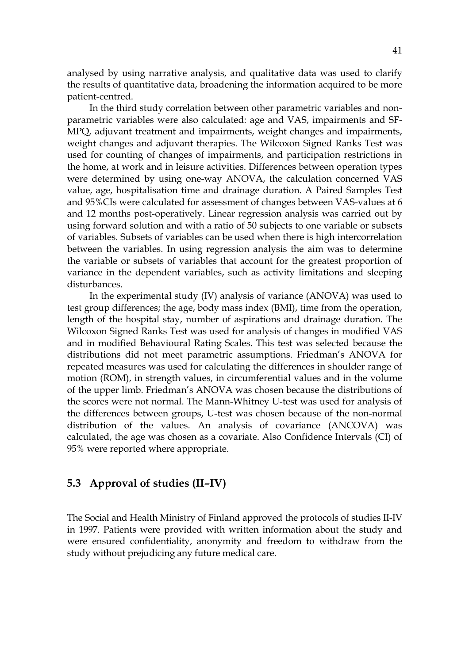analysed by using narrative analysis, and qualitative data was used to clarify the results of quantitative data, broadening the information acquired to be more patient-centred.

In the third study correlation between other parametric variables and nonparametric variables were also calculated: age and VAS, impairments and SF-MPQ, adjuvant treatment and impairments, weight changes and impairments, weight changes and adjuvant therapies. The Wilcoxon Signed Ranks Test was used for counting of changes of impairments, and participation restrictions in the home, at work and in leisure activities. Differences between operation types were determined by using one-way ANOVA, the calculation concerned VAS value, age, hospitalisation time and drainage duration. A Paired Samples Test and 95%CIs were calculated for assessment of changes between VAS-values at 6 and 12 months post-operatively. Linear regression analysis was carried out by using forward solution and with a ratio of 50 subjects to one variable or subsets of variables. Subsets of variables can be used when there is high intercorrelation between the variables. In using regression analysis the aim was to determine the variable or subsets of variables that account for the greatest proportion of variance in the dependent variables, such as activity limitations and sleeping disturbances.

In the experimental study (IV) analysis of variance (ANOVA) was used to test group differences; the age, body mass index (BMI), time from the operation, length of the hospital stay, number of aspirations and drainage duration. The Wilcoxon Signed Ranks Test was used for analysis of changes in modified VAS and in modified Behavioural Rating Scales. This test was selected because the distributions did not meet parametric assumptions. Friedman's ANOVA for repeated measures was used for calculating the differences in shoulder range of motion (ROM), in strength values, in circumferential values and in the volume of the upper limb. Friedman's ANOVA was chosen because the distributions of the scores were not normal. The Mann-Whitney U-test was used for analysis of the differences between groups, U-test was chosen because of the non-normal distribution of the values. An analysis of covariance (ANCOVA) was calculated, the age was chosen as a covariate. Also Confidence Intervals (CI) of 95% were reported where appropriate.

# **5.3 Approval of studies (II–IV)**

The Social and Health Ministry of Finland approved the protocols of studies II-IV in 1997. Patients were provided with written information about the study and were ensured confidentiality, anonymity and freedom to withdraw from the study without prejudicing any future medical care.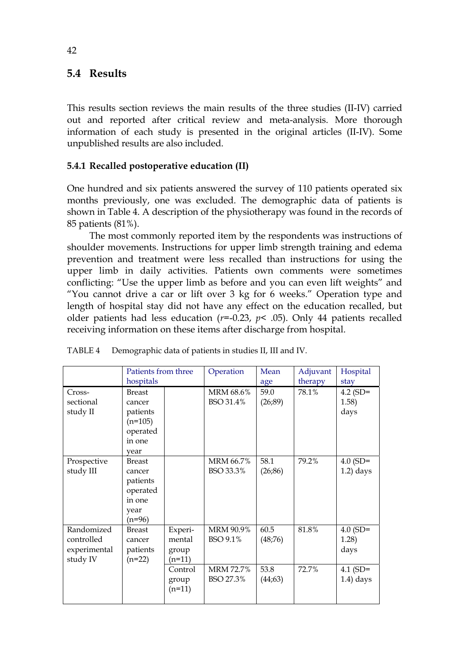# **5.4 Results**

This results section reviews the main results of the three studies (II-IV) carried out and reported after critical review and meta-analysis. More thorough information of each study is presented in the original articles (II-IV). Some unpublished results are also included.

# **5.4.1 Recalled postoperative education (II)**

One hundred and six patients answered the survey of 110 patients operated six months previously, one was excluded. The demographic data of patients is shown in Table 4. A description of the physiotherapy was found in the records of 85 patients (81%).

The most commonly reported item by the respondents was instructions of shoulder movements. Instructions for upper limb strength training and edema prevention and treatment were less recalled than instructions for using the upper limb in daily activities. Patients own comments were sometimes conflicting: "Use the upper limb as before and you can even lift weights" and "You cannot drive a car or lift over 3 kg for 6 weeks." Operation type and length of hospital stay did not have any effect on the education recalled, but older patients had less education (*r*=-0.23, *p*< .05). Only 44 patients recalled receiving information on these items after discharge from hospital.

|              | Patients from three<br>hospitals |          | Operation | Mean     | Adjuvant | Hospital     |
|--------------|----------------------------------|----------|-----------|----------|----------|--------------|
|              |                                  |          |           | age      | therapy  | stay         |
| Cross-       | <b>Breast</b>                    |          | MRM 68.6% | 59.0     | 78.1%    | $4.2$ (SD=   |
| sectional    | cancer                           |          | BSO 31.4% | (26, 89) |          | 1.58)        |
| study II     | patients                         |          |           |          |          | days         |
|              | $(n=105)$                        |          |           |          |          |              |
|              | operated                         |          |           |          |          |              |
|              | in one                           |          |           |          |          |              |
|              | vear                             |          |           |          |          |              |
| Prospective  | <b>Breast</b>                    |          | MRM 66.7% | 58.1     | 79.2%    | $4.0$ (SD=   |
| study III    | cancer                           |          | BSO 33.3% | (26, 86) |          | $1.2$ ) days |
|              | patients                         |          |           |          |          |              |
|              | operated                         |          |           |          |          |              |
|              | in one                           |          |           |          |          |              |
|              | year                             |          |           |          |          |              |
|              | $(n=96)$                         |          |           |          |          |              |
| Randomized   | <b>Breast</b>                    | Experi-  | MRM 90.9% | 60.5     | 81.8%    | $4.0$ (SD=   |
| controlled   | cancer                           | mental   | BSO 9.1%  | (48,76)  |          | 1.28)        |
| experimental | patients                         | group    |           |          |          | days         |
| study IV     | $(n=22)$                         | (n=11)   |           |          |          |              |
|              |                                  | Control  | MRM 72.7% | 53.8     | 72.7%    | $4.1$ (SD=   |
|              |                                  | group    | BSO 27.3% | (44,63)  |          | $1.4)$ days  |
|              |                                  | $(n=11)$ |           |          |          |              |
|              |                                  |          |           |          |          |              |

| TABLE 4 | Demographic data of patients in studies II, III and IV. |
|---------|---------------------------------------------------------|
|         |                                                         |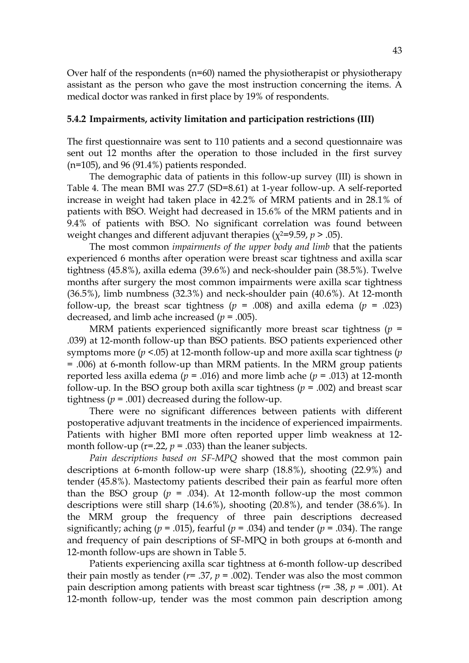Over half of the respondents ( $n=60$ ) named the physiotherapist or physiotherapy assistant as the person who gave the most instruction concerning the items. A medical doctor was ranked in first place by 19% of respondents.

#### **5.4.2 Impairments, activity limitation and participation restrictions (III)**

The first questionnaire was sent to 110 patients and a second questionnaire was sent out 12 months after the operation to those included in the first survey  $(n=105)$ , and 96 (91.4%) patients responded.

The demographic data of patients in this follow-up survey (III) is shown in Table 4. The mean BMI was 27.7 (SD=8.61) at 1-year follow-up. A self-reported increase in weight had taken place in 42.2% of MRM patients and in 28.1% of patients with BSO. Weight had decreased in 15.6% of the MRM patients and in 9.4% of patients with BSO. No significant correlation was found between weight changes and different adjuvant therapies ( $\chi^2 = 9.59$ ,  $p > .05$ ).

The most common *impairments of the upper body and limb* that the patients experienced 6 months after operation were breast scar tightness and axilla scar tightness (45.8%), axilla edema (39.6%) and neck-shoulder pain (38.5%). Twelve months after surgery the most common impairments were axilla scar tightness (36.5%), limb numbness (32.3%) and neck-shoulder pain (40.6%). At 12-month follow-up, the breast scar tightness ( $p = .008$ ) and axilla edema ( $p = .023$ ) decreased, and limb ache increased  $(p = .005)$ .

MRM patients experienced significantly more breast scar tightness ( $p =$ .039) at 12-month follow-up than BSO patients. BSO patients experienced other symptoms more (*p* <.05) at 12-month follow-up and more axilla scar tightness (*p*  = .006) at 6-month follow-up than MRM patients. In the MRM group patients reported less axilla edema ( $p = .016$ ) and more limb ache ( $p = .013$ ) at 12-month follow-up. In the BSO group both axilla scar tightness  $(p = .002)$  and breast scar tightness  $(p = .001)$  decreased during the follow-up.

There were no significant differences between patients with different postoperative adjuvant treatments in the incidence of experienced impairments. Patients with higher BMI more often reported upper limb weakness at 12 month follow-up ( $r = 0.22$ ,  $p = 0.033$ ) than the leaner subjects.

*Pain descriptions based on SF-MPQ* showed that the most common pain descriptions at 6-month follow-up were sharp (18.8%), shooting (22.9%) and tender (45.8%). Mastectomy patients described their pain as fearful more often than the BSO group  $(p = .034)$ . At 12-month follow-up the most common descriptions were still sharp (14.6%), shooting (20.8%), and tender (38.6%). In the MRM group the frequency of three pain descriptions decreased significantly; aching ( $p = .015$ ), fearful ( $p = .034$ ) and tender ( $p = .034$ ). The range and frequency of pain descriptions of SF-MPQ in both groups at 6-month and 12-month follow-ups are shown in Table 5.

Patients experiencing axilla scar tightness at 6-month follow-up described their pain mostly as tender ( $r=$  .37,  $p=$  .002). Tender was also the most common pain description among patients with breast scar tightness (*r*= .38, *p* = .001). At 12-month follow-up, tender was the most common pain description among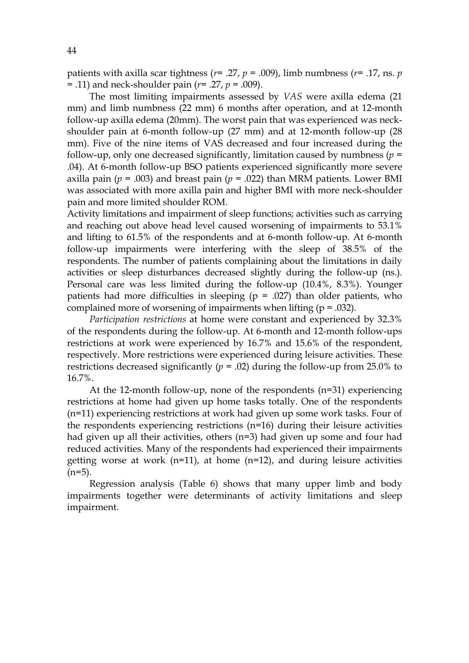patients with axilla scar tightness ( $r$ = .27,  $p$  = .009), limb numbness ( $r$ = .17, ns.  $p$ = .11) and neck-shoulder pain (*r*= .27, *p* = .009).

The most limiting impairments assessed by *VAS* were axilla edema (21 mm) and limb numbness (22 mm) 6 months after operation, and at 12-month follow-up axilla edema (20mm). The worst pain that was experienced was neckshoulder pain at 6-month follow-up (27 mm) and at 12-month follow-up (28 mm). Five of the nine items of VAS decreased and four increased during the follow-up, only one decreased significantly, limitation caused by numbness  $(p =$ .04). At 6-month follow-up BSO patients experienced significantly more severe axilla pain ( $p = .003$ ) and breast pain ( $p = .022$ ) than MRM patients. Lower BMI was associated with more axilla pain and higher BMI with more neck-shoulder pain and more limited shoulder ROM.

Activity limitations and impairment of sleep functions; activities such as carrying and reaching out above head level caused worsening of impairments to 53.1% and lifting to 61.5% of the respondents and at 6-month follow-up. At 6-month follow-up impairments were interfering with the sleep of 38.5% of the respondents. The number of patients complaining about the limitations in daily activities or sleep disturbances decreased slightly during the follow-up (ns.). Personal care was less limited during the follow-up (10.4%, 8.3%). Younger patients had more difficulties in sleeping  $(p = .027)$  than older patients, who complained more of worsening of impairments when lifting  $(p = .032)$ .

*Participation restrictions* at home were constant and experienced by 32.3% of the respondents during the follow-up. At 6-month and 12-month follow-ups restrictions at work were experienced by 16.7% and 15.6% of the respondent, respectively. More restrictions were experienced during leisure activities. These restrictions decreased significantly  $(p = .02)$  during the follow-up from 25.0% to 16.7%.

At the 12-month follow-up, none of the respondents (n=31) experiencing restrictions at home had given up home tasks totally. One of the respondents (n=11) experiencing restrictions at work had given up some work tasks. Four of the respondents experiencing restrictions (n=16) during their leisure activities had given up all their activities, others (n=3) had given up some and four had reduced activities. Many of the respondents had experienced their impairments getting worse at work  $(n=11)$ , at home  $(n=12)$ , and during leisure activities  $(n=5)$ .

Regression analysis (Table 6) shows that many upper limb and body impairments together were determinants of activity limitations and sleep impairment.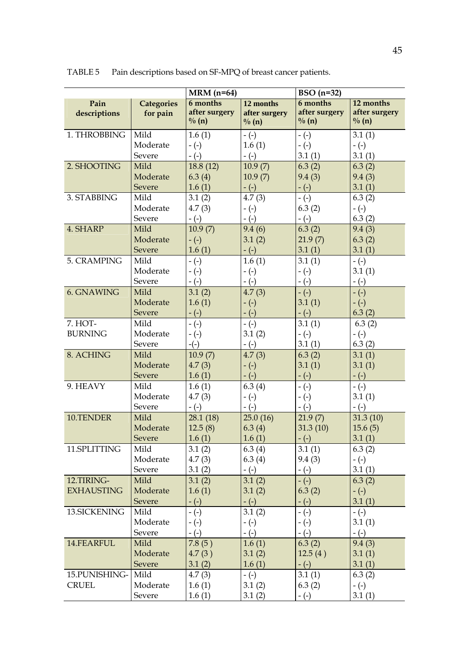|                   |                   | $MRM$ (n=64)          |                   | $BSO(n=32)$   |                     |  |  |
|-------------------|-------------------|-----------------------|-------------------|---------------|---------------------|--|--|
| Pain              | <b>Categories</b> | 6 months<br>12 months |                   | 6 months      | 12 months           |  |  |
| descriptions      | for pain          | after surgery         | after surgery     | after surgery | after surgery       |  |  |
|                   |                   | $\frac{0}{0}$ (n)     | $\frac{0}{0}$ (n) | $\% (n)$      | $\frac{0}{0}$ (n)   |  |  |
| 1. THROBBING      | Mild              | 1.6(1)                | $-(-)$            | $-(-)$        | 3.1(1)              |  |  |
|                   | Moderate          | $-(-)$                | 1.6(1)            | $-(-)$        | $-(-)$              |  |  |
|                   | Severe            | $-(-)$                | $-(-)$            | 3.1(1)        | 3.1(1)              |  |  |
| 2. SHOOTING       | Mild              | 18.8(12)              | 10.9(7)           | 6.3(2)        | 6.3(2)              |  |  |
|                   | Moderate          | 6.3(4)                | 10.9(7)           | 9.4(3)        | 9.4(3)              |  |  |
|                   | Severe            | 1.6(1)                | $-(-)$            | $-(-)$        | 3.1(1)              |  |  |
| 3. STABBING       | Mild              | 3.1(2)                | 4.7(3)            | $-(-)$        | 6.3(2)              |  |  |
|                   | Moderate          | 4.7(3)                | $-(-)$            | 6.3(2)        | $-(-)$              |  |  |
|                   | Severe            | $-(-)$                | $-(-)$            | $-(-)$        | 6.3(2)              |  |  |
| 4. SHARP          | Mild              | 10.9(7)               | 9.4(6)            | 6.3(2)        | 9.4(3)              |  |  |
|                   | Moderate          | $-(-)$                | 3.1(2)            | 21.9(7)       | 6.3(2)              |  |  |
|                   | Severe            | 1.6(1)                | $-(-)$            | 3.1(1)        | 3.1(1)              |  |  |
| 5. CRAMPING       | Mild              | $-(-)$                | 1.6(1)            | 3.1(1)        | $-(-)$              |  |  |
|                   | Moderate          | $-(-)$                | $-(-)$            | $-(-)$        | 3.1(1)              |  |  |
|                   | Severe            | $-(-)$                | $-(-)$            | $-(-)$        | $-(-)$              |  |  |
| <b>6. GNAWING</b> | Mild              | 3.1(2)                | 4.7(3)            | $-(-)$        | $-(-)$              |  |  |
|                   | Moderate          | 1.6(1)                | $-(-)$            | 3.1(1)        | $-(-)$              |  |  |
|                   | Severe            | $-(-)$                | $-(-)$            | $-(-)$        | 6.3(2)              |  |  |
| 7. НОТ-           | Mild              | $-(-)$                | $-(-)$            | 3.1(1)        | 6.3(2)              |  |  |
| <b>BURNING</b>    | Moderate          | $-(-)$                | 3.1(2)            | $-(-)$        | $-(-)$              |  |  |
|                   | Severe            | $-(-)$                | $-(-)$            | 3.1(1)        | 6.3(2)              |  |  |
| 8. ACHING         | Mild              | 10.9(7)               | 4.7(3)            | 6.3(2)        | 3.1(1)              |  |  |
|                   | Moderate          | 4.7(3)                | $-(-)$            | 3.1(1)        | 3.1(1)              |  |  |
|                   | Severe            | 1.6(1)                | $-(-)$            | $-(-)$        | $-(-)$              |  |  |
| 9. HEAVY          | Mild              | 1.6(1)                | 6.3(4)            | $-(-)$        | $-(-)$              |  |  |
|                   | Moderate          | 4.7(3)                | $-(-)$            | $-(-)$        | 3.1(1)              |  |  |
|                   | Severe            | $-(-)$                | $-(-)$            | $-(-)$        | $-(-)$              |  |  |
| 10.TENDER         | Mild              | 28.1(18)              | 25.0(16)          | 21.9(7)       | 31.3(10)            |  |  |
|                   | Moderate          | 12.5(8)               | 6.3(4)            | 31.3(10)      | 15.6(5)             |  |  |
|                   | Severe            | 1.6(1)                | 1.6(1)            | $-(-)$        | $3.\overline{1(1)}$ |  |  |
| 11.SPLITTING      | Mild              | 3.1(2)                | 6.3(4)            | 3.1(1)        | 6.3(2)              |  |  |
|                   | Moderate          | 4.7(3)                | 6.3(4)            | 9.4(3)        | $-(-)$              |  |  |
|                   | Severe            | 3.1(2)                | $-(-)$            | $-(-)$        | 3.1(1)              |  |  |
| 12.TIRING-        | Mild              | 3.1(2)                | 3.1(2)            | $-(-)$        | 6.3(2)              |  |  |
| <b>EXHAUSTING</b> | Moderate          | 1.6(1)                | 3.1(2)            | 6.3(2)        | $-(-)$              |  |  |
|                   | Severe            | $-(-)$                | $-(-)$            | $-(-)$        | 3.1(1)              |  |  |
| 13.SICKENING      | Mild              | $-(-)$                | 3.1(2)            | $-(-)$        | $-(-)$              |  |  |
|                   | Moderate          | $-(-)$                | $-(-)$            | $-(-)$        | 3.1(1)              |  |  |
|                   | Severe            | $-(-)$                | $-(-)$            | $-(-)$        | $-(-)$              |  |  |
| 14.FEARFUL        | Mild              | 7.8(5)                | 1.6(1)            | 6.3(2)        | 9.4(3)              |  |  |
|                   | Moderate          | 4.7(3)                | 3.1(2)            | 12.5(4)       | 3.1(1)              |  |  |
|                   | Severe            | 3.1(2)                | 1.6(1)            | $-(-)$        | 3.1(1)              |  |  |
| 15.PUNISHING-     | Mild              | 4.7(3)                | $-(-)$            | 3.1(1)        | 6.3(2)              |  |  |
| <b>CRUEL</b>      | Moderate          | 1.6(1)                | 3.1(2)            | 6.3(2)        | $-(-)$              |  |  |
|                   | Severe            | 1.6(1)                | 3.1(2)            | $-(-)$        | 3.1(1)              |  |  |

TABLE 5 Pain descriptions based on SF-MPQ of breast cancer patients.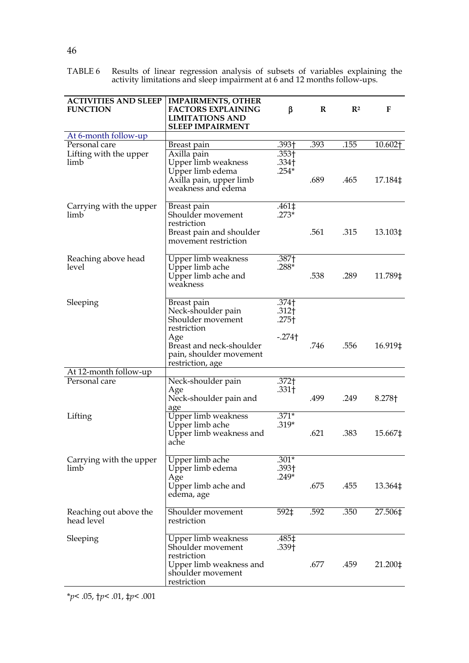|  |  |                                                                          |  |  |  | TABLE 6 Results of linear regression analysis of subsets of variables explaining the |  |
|--|--|--------------------------------------------------------------------------|--|--|--|--------------------------------------------------------------------------------------|--|
|  |  | activity limitations and sleep impairment at 6 and 12 months follow-ups. |  |  |  |                                                                                      |  |

| <b>ACTIVITIES AND SLEEP</b><br><b>FUNCTION</b> | <b>IMPAIRMENTS, OTHER</b><br><b>FACTORS EXPLAINING</b><br><b>LIMITATIONS AND</b><br><b>SLEEP IMPAIRMENT</b>                                             | β                                                                         | $\bf{R}$ | $\mathbb{R}^2$ | F       |
|------------------------------------------------|---------------------------------------------------------------------------------------------------------------------------------------------------------|---------------------------------------------------------------------------|----------|----------------|---------|
| At 6-month follow-up                           |                                                                                                                                                         |                                                                           |          |                |         |
| Personal care                                  | Breast pain                                                                                                                                             | .393†                                                                     | .393     | .155           | 10.602† |
| Lifting with the upper<br>limb                 | Axilla pain<br>Upper limb weakness<br>Upper limb edema<br>Axilla pain, upper limb<br>weakness and edema                                                 | .353†<br>.334 <sub>†</sub><br>$.254*$                                     | .689     | .465           | 17.184‡ |
| Carrying with the upper<br>limb                | Breast pain<br>Shoulder movement<br>restriction<br>Breast pain and shoulder<br>movement restriction                                                     | .461‡<br>$.273*$                                                          | .561     | .315           | 13.103‡ |
| Reaching above head<br>level                   | Upper limb weakness<br>Upper limb ache<br>Upper limb ache and<br>weakness                                                                               | .387†<br>$.288*$                                                          | .538     | .289           | 11.789‡ |
| Sleeping                                       | Breast pain<br>Neck-shoulder pain<br>Shoulder movement<br>restriction<br>Age<br>Breast and neck-shoulder<br>pain, shoulder movement<br>restriction, age | $.374+$<br>.312 <sub>†</sub><br>.275 <sup>†</sup><br>$-.274$ <sup>+</sup> | .746     | .556           | 16.919‡ |
| At 12-month follow-up                          |                                                                                                                                                         |                                                                           |          |                |         |
| Personal care                                  | Neck-shoulder pain<br>Age<br>Neck-shoulder pain and<br>age                                                                                              | .372†<br>.331 <sub>†</sub>                                                | .499     | .249           | 8.278†  |
| Lifting                                        | Upper limb weakness<br>Upper limb ache<br>Upper limb weakness and<br>ache                                                                               | $.371*$<br>$.319*$                                                        | .621     | .383           | 15.667‡ |
| Carrying with the upper<br>limb                | Upper limb ache<br>Upper limb edema<br>Age<br>Upper limb ache and<br>edema, age                                                                         | $.301*$<br>.393†<br>$.249*$                                               | .675     | .455           | 13.364‡ |
| Reaching out above the<br>head level           | Shoulder movement<br>restriction                                                                                                                        | 592‡                                                                      | .592     | .350           | 27.506‡ |
| Sleeping                                       | Upper limb weakness<br>Shoulder movement<br>restriction<br>Upper limb weakness and<br>shoulder movement<br>restriction                                  | .485‡<br>.339†                                                            | .677     | .459           | 21.200‡ |

\**p*< .05, †*p*< .01, ‡*p*< .001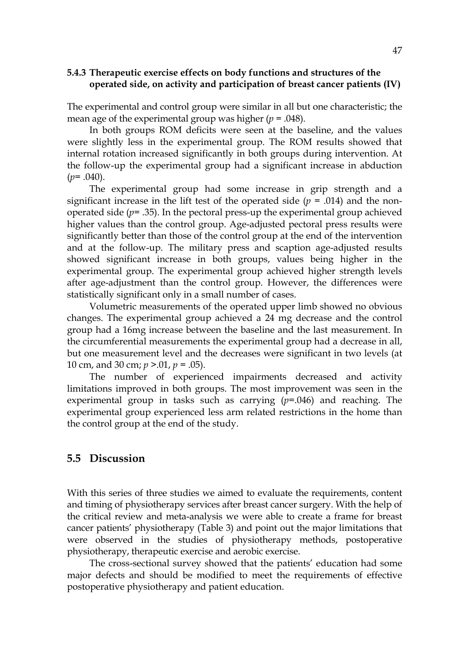## **5.4.3 Therapeutic exercise effects on body functions and structures of the operated side, on activity and participation of breast cancer patients (IV)**

The experimental and control group were similar in all but one characteristic; the mean age of the experimental group was higher (*p* = .048).

In both groups ROM deficits were seen at the baseline, and the values were slightly less in the experimental group. The ROM results showed that internal rotation increased significantly in both groups during intervention. At the follow-up the experimental group had a significant increase in abduction  $(p=.040)$ .

The experimental group had some increase in grip strength and a significant increase in the lift test of the operated side  $(p = .014)$  and the nonoperated side  $(p= .35)$ . In the pectoral press-up the experimental group achieved higher values than the control group. Age-adjusted pectoral press results were significantly better than those of the control group at the end of the intervention and at the follow-up. The military press and scaption age-adjusted results showed significant increase in both groups, values being higher in the experimental group. The experimental group achieved higher strength levels after age-adjustment than the control group. However, the differences were statistically significant only in a small number of cases.

Volumetric measurements of the operated upper limb showed no obvious changes. The experimental group achieved a 24 mg decrease and the control group had a 16mg increase between the baseline and the last measurement. In the circumferential measurements the experimental group had a decrease in all, but one measurement level and the decreases were significant in two levels (at 10 cm, and 30 cm; *p* >.01, *p* = .05).

The number of experienced impairments decreased and activity limitations improved in both groups. The most improvement was seen in the experimental group in tasks such as carrying (*p*=.046) and reaching. The experimental group experienced less arm related restrictions in the home than the control group at the end of the study.

# **5.5 Discussion**

With this series of three studies we aimed to evaluate the requirements, content and timing of physiotherapy services after breast cancer surgery. With the help of the critical review and meta-analysis we were able to create a frame for breast cancer patients' physiotherapy (Table 3) and point out the major limitations that were observed in the studies of physiotherapy methods, postoperative physiotherapy, therapeutic exercise and aerobic exercise.

The cross-sectional survey showed that the patients' education had some major defects and should be modified to meet the requirements of effective postoperative physiotherapy and patient education.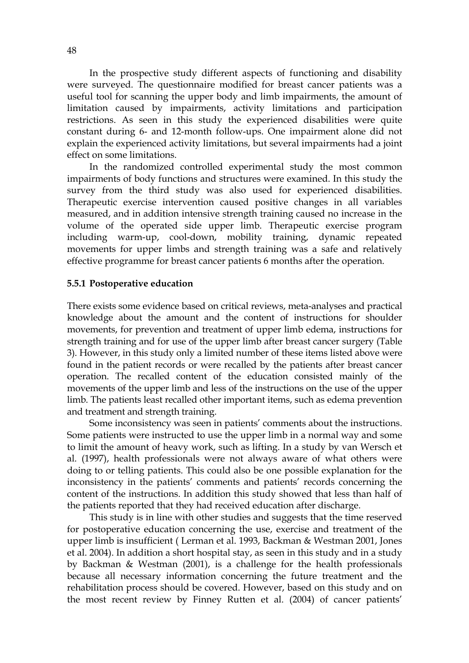In the prospective study different aspects of functioning and disability were surveyed. The questionnaire modified for breast cancer patients was a useful tool for scanning the upper body and limb impairments, the amount of limitation caused by impairments, activity limitations and participation restrictions. As seen in this study the experienced disabilities were quite constant during 6- and 12-month follow-ups. One impairment alone did not explain the experienced activity limitations, but several impairments had a joint effect on some limitations.

In the randomized controlled experimental study the most common impairments of body functions and structures were examined. In this study the survey from the third study was also used for experienced disabilities. Therapeutic exercise intervention caused positive changes in all variables measured, and in addition intensive strength training caused no increase in the volume of the operated side upper limb. Therapeutic exercise program including warm-up, cool-down, mobility training, dynamic repeated movements for upper limbs and strength training was a safe and relatively effective programme for breast cancer patients 6 months after the operation.

#### **5.5.1 Postoperative education**

There exists some evidence based on critical reviews, meta-analyses and practical knowledge about the amount and the content of instructions for shoulder movements, for prevention and treatment of upper limb edema, instructions for strength training and for use of the upper limb after breast cancer surgery (Table 3). However, in this study only a limited number of these items listed above were found in the patient records or were recalled by the patients after breast cancer operation. The recalled content of the education consisted mainly of the movements of the upper limb and less of the instructions on the use of the upper limb. The patients least recalled other important items, such as edema prevention and treatment and strength training.

Some inconsistency was seen in patients' comments about the instructions. Some patients were instructed to use the upper limb in a normal way and some to limit the amount of heavy work, such as lifting. In a study by van Wersch et al. (1997), health professionals were not always aware of what others were doing to or telling patients. This could also be one possible explanation for the inconsistency in the patients' comments and patients' records concerning the content of the instructions. In addition this study showed that less than half of the patients reported that they had received education after discharge.

This study is in line with other studies and suggests that the time reserved for postoperative education concerning the use, exercise and treatment of the upper limb is insufficient ( Lerman et al. 1993, Backman & Westman 2001, Jones et al. 2004). In addition a short hospital stay, as seen in this study and in a study by Backman & Westman (2001), is a challenge for the health professionals because all necessary information concerning the future treatment and the rehabilitation process should be covered. However, based on this study and on the most recent review by Finney Rutten et al. (2004) of cancer patients'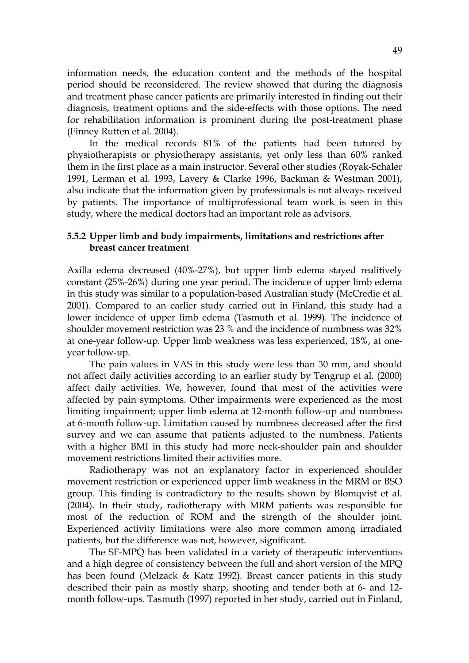information needs, the education content and the methods of the hospital period should be reconsidered. The review showed that during the diagnosis and treatment phase cancer patients are primarily interested in finding out their diagnosis, treatment options and the side-effects with those options. The need for rehabilitation information is prominent during the post-treatment phase (Finney Rutten et al. 2004).

In the medical records 81% of the patients had been tutored by physiotherapists or physiotherapy assistants, yet only less than 60% ranked them in the first place as a main instructor. Several other studies (Royak-Schaler 1991, Lerman et al. 1993, Lavery & Clarke 1996, Backman & Westman 2001), also indicate that the information given by professionals is not always received by patients. The importance of multiprofessional team work is seen in this study, where the medical doctors had an important role as advisors.

## **5.5.2 Upper limb and body impairments, limitations and restrictions after breast cancer treatment**

Axilla edema decreased (40%-27%), but upper limb edema stayed realitively constant (25%-26%) during one year period. The incidence of upper limb edema in this study was similar to a population-based Australian study (McCredie et al. 2001). Compared to an earlier study carried out in Finland, this study had a lower incidence of upper limb edema (Tasmuth et al. 1999). The incidence of shoulder movement restriction was 23 % and the incidence of numbness was 32% at one-year follow-up. Upper limb weakness was less experienced, 18%, at oneyear follow-up.

The pain values in VAS in this study were less than 30 mm, and should not affect daily activities according to an earlier study by Tengrup et al. (2000) affect daily activities. We, however, found that most of the activities were affected by pain symptoms. Other impairments were experienced as the most limiting impairment; upper limb edema at 12-month follow-up and numbness at 6-month follow-up. Limitation caused by numbness decreased after the first survey and we can assume that patients adjusted to the numbness. Patients with a higher BMI in this study had more neck-shoulder pain and shoulder movement restrictions limited their activities more.

Radiotherapy was not an explanatory factor in experienced shoulder movement restriction or experienced upper limb weakness in the MRM or BSO group. This finding is contradictory to the results shown by Blomqvist et al. (2004). In their study, radiotherapy with MRM patients was responsible for most of the reduction of ROM and the strength of the shoulder joint. Experienced activity limitations were also more common among irradiated patients, but the difference was not, however, significant.

The SF-MPQ has been validated in a variety of therapeutic interventions and a high degree of consistency between the full and short version of the MPQ has been found (Melzack & Katz 1992). Breast cancer patients in this study described their pain as mostly sharp, shooting and tender both at 6- and 12 month follow-ups. Tasmuth (1997) reported in her study, carried out in Finland,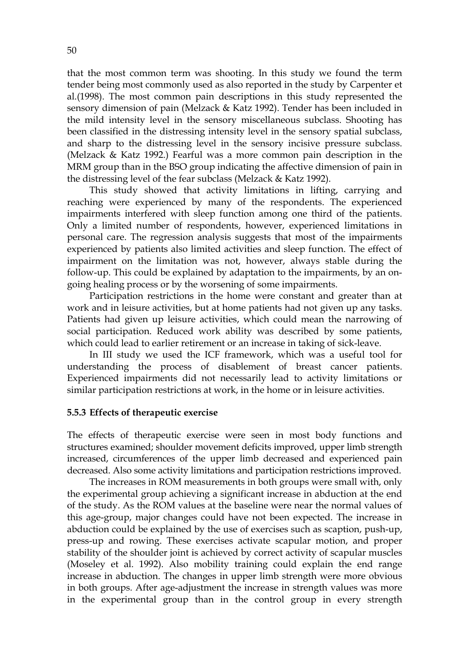that the most common term was shooting. In this study we found the term tender being most commonly used as also reported in the study by Carpenter et al.(1998). The most common pain descriptions in this study represented the sensory dimension of pain (Melzack & Katz 1992). Tender has been included in the mild intensity level in the sensory miscellaneous subclass. Shooting has been classified in the distressing intensity level in the sensory spatial subclass, and sharp to the distressing level in the sensory incisive pressure subclass. (Melzack & Katz 1992.) Fearful was a more common pain description in the MRM group than in the BSO group indicating the affective dimension of pain in the distressing level of the fear subclass (Melzack & Katz 1992).

This study showed that activity limitations in lifting, carrying and reaching were experienced by many of the respondents. The experienced impairments interfered with sleep function among one third of the patients. Only a limited number of respondents, however, experienced limitations in personal care. The regression analysis suggests that most of the impairments experienced by patients also limited activities and sleep function. The effect of impairment on the limitation was not, however, always stable during the follow-up. This could be explained by adaptation to the impairments, by an ongoing healing process or by the worsening of some impairments.

Participation restrictions in the home were constant and greater than at work and in leisure activities, but at home patients had not given up any tasks. Patients had given up leisure activities, which could mean the narrowing of social participation. Reduced work ability was described by some patients, which could lead to earlier retirement or an increase in taking of sick-leave.

In III study we used the ICF framework, which was a useful tool for understanding the process of disablement of breast cancer patients. Experienced impairments did not necessarily lead to activity limitations or similar participation restrictions at work, in the home or in leisure activities.

#### **5.5.3 Effects of therapeutic exercise**

The effects of therapeutic exercise were seen in most body functions and structures examined; shoulder movement deficits improved, upper limb strength increased, circumferences of the upper limb decreased and experienced pain decreased. Also some activity limitations and participation restrictions improved.

The increases in ROM measurements in both groups were small with, only the experimental group achieving a significant increase in abduction at the end of the study. As the ROM values at the baseline were near the normal values of this age-group, major changes could have not been expected. The increase in abduction could be explained by the use of exercises such as scaption, push-up, press-up and rowing. These exercises activate scapular motion, and proper stability of the shoulder joint is achieved by correct activity of scapular muscles (Moseley et al. 1992). Also mobility training could explain the end range increase in abduction. The changes in upper limb strength were more obvious in both groups. After age-adjustment the increase in strength values was more in the experimental group than in the control group in every strength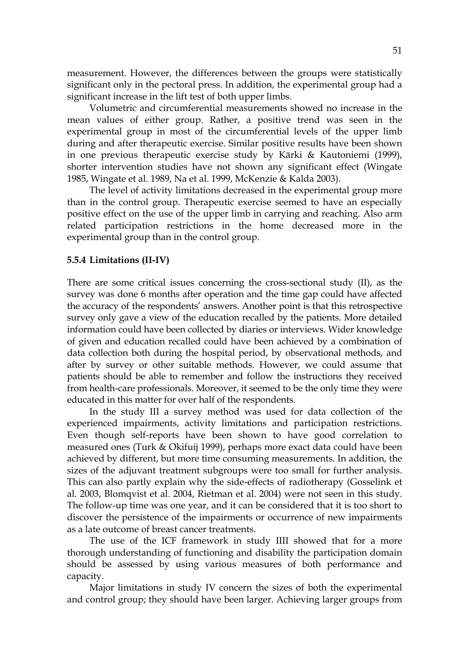measurement. However, the differences between the groups were statistically significant only in the pectoral press. In addition, the experimental group had a significant increase in the lift test of both upper limbs.

Volumetric and circumferential measurements showed no increase in the mean values of either group. Rather, a positive trend was seen in the experimental group in most of the circumferential levels of the upper limb during and after therapeutic exercise. Similar positive results have been shown in one previous therapeutic exercise study by Kärki & Kautoniemi (1999), shorter intervention studies have not shown any significant effect (Wingate 1985, Wingate et al. 1989, Na et al. 1999, McKenzie & Kalda 2003).

The level of activity limitations decreased in the experimental group more than in the control group. Therapeutic exercise seemed to have an especially positive effect on the use of the upper limb in carrying and reaching. Also arm related participation restrictions in the home decreased more in the experimental group than in the control group.

#### **5.5.4 Limitations (II-IV)**

There are some critical issues concerning the cross-sectional study (II), as the survey was done 6 months after operation and the time gap could have affected the accuracy of the respondents' answers. Another point is that this retrospective survey only gave a view of the education recalled by the patients. More detailed information could have been collected by diaries or interviews. Wider knowledge of given and education recalled could have been achieved by a combination of data collection both during the hospital period, by observational methods, and after by survey or other suitable methods. However, we could assume that patients should be able to remember and follow the instructions they received from health-care professionals. Moreover, it seemed to be the only time they were educated in this matter for over half of the respondents.

In the study III a survey method was used for data collection of the experienced impairments, activity limitations and participation restrictions. Even though self-reports have been shown to have good correlation to measured ones (Turk & Okifuij 1999), perhaps more exact data could have been achieved by different, but more time consuming measurements. In addition, the sizes of the adjuvant treatment subgroups were too small for further analysis. This can also partly explain why the side-effects of radiotherapy (Gosselink et al. 2003, Blomqvist et al. 2004, Rietman et al. 2004) were not seen in this study. The follow-up time was one year, and it can be considered that it is too short to discover the persistence of the impairments or occurrence of new impairments as a late outcome of breast cancer treatments.

The use of the ICF framework in study IIII showed that for a more thorough understanding of functioning and disability the participation domain should be assessed by using various measures of both performance and capacity.

Major limitations in study IV concern the sizes of both the experimental and control group; they should have been larger. Achieving larger groups from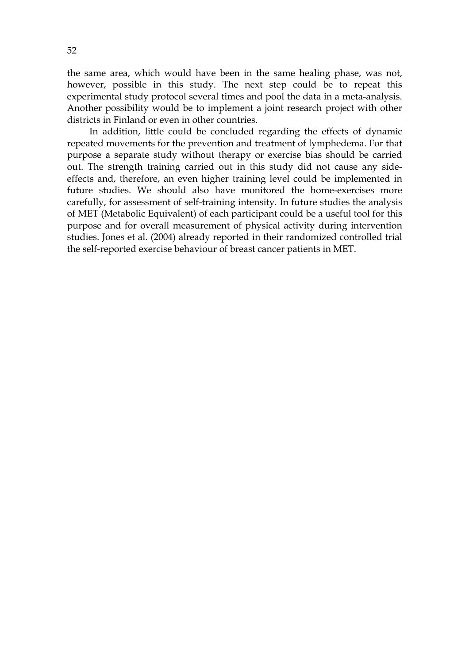the same area, which would have been in the same healing phase, was not, however, possible in this study. The next step could be to repeat this experimental study protocol several times and pool the data in a meta-analysis. Another possibility would be to implement a joint research project with other districts in Finland or even in other countries.

In addition, little could be concluded regarding the effects of dynamic repeated movements for the prevention and treatment of lymphedema. For that purpose a separate study without therapy or exercise bias should be carried out. The strength training carried out in this study did not cause any sideeffects and, therefore, an even higher training level could be implemented in future studies. We should also have monitored the home-exercises more carefully, for assessment of self-training intensity. In future studies the analysis of MET (Metabolic Equivalent) of each participant could be a useful tool for this purpose and for overall measurement of physical activity during intervention studies. Jones et al. (2004) already reported in their randomized controlled trial the self-reported exercise behaviour of breast cancer patients in MET.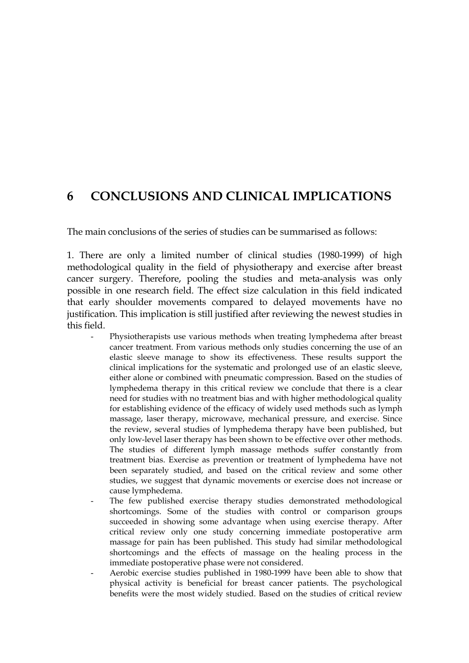# **6 CONCLUSIONS AND CLINICAL IMPLICATIONS**

The main conclusions of the series of studies can be summarised as follows:

1. There are only a limited number of clinical studies (1980-1999) of high methodological quality in the field of physiotherapy and exercise after breast cancer surgery. Therefore, pooling the studies and meta-analysis was only possible in one research field. The effect size calculation in this field indicated that early shoulder movements compared to delayed movements have no justification. This implication is still justified after reviewing the newest studies in this field.

- Physiotherapists use various methods when treating lymphedema after breast cancer treatment. From various methods only studies concerning the use of an elastic sleeve manage to show its effectiveness. These results support the clinical implications for the systematic and prolonged use of an elastic sleeve, either alone or combined with pneumatic compression. Based on the studies of lymphedema therapy in this critical review we conclude that there is a clear need for studies with no treatment bias and with higher methodological quality for establishing evidence of the efficacy of widely used methods such as lymph massage, laser therapy, microwave, mechanical pressure, and exercise. Since the review, several studies of lymphedema therapy have been published, but only low-level laser therapy has been shown to be effective over other methods. The studies of different lymph massage methods suffer constantly from treatment bias. Exercise as prevention or treatment of lymphedema have not been separately studied, and based on the critical review and some other studies, we suggest that dynamic movements or exercise does not increase or cause lymphedema.
- The few published exercise therapy studies demonstrated methodological shortcomings. Some of the studies with control or comparison groups succeeded in showing some advantage when using exercise therapy. After critical review only one study concerning immediate postoperative arm massage for pain has been published. This study had similar methodological shortcomings and the effects of massage on the healing process in the immediate postoperative phase were not considered.
- Aerobic exercise studies published in 1980-1999 have been able to show that physical activity is beneficial for breast cancer patients. The psychological benefits were the most widely studied. Based on the studies of critical review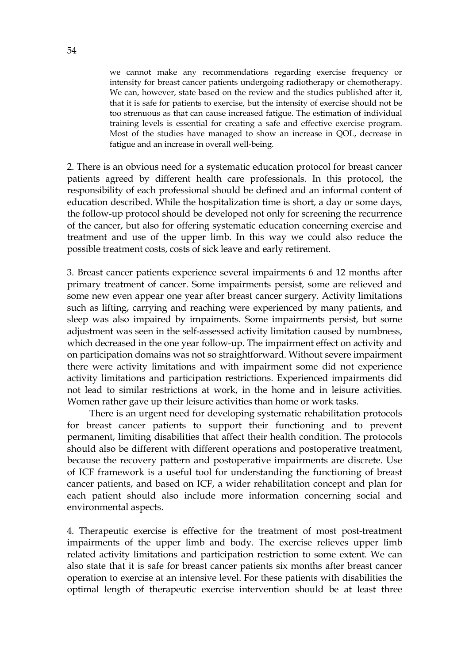we cannot make any recommendations regarding exercise frequency or intensity for breast cancer patients undergoing radiotherapy or chemotherapy. We can, however, state based on the review and the studies published after it, that it is safe for patients to exercise, but the intensity of exercise should not be too strenuous as that can cause increased fatigue. The estimation of individual training levels is essential for creating a safe and effective exercise program. Most of the studies have managed to show an increase in QOL, decrease in fatigue and an increase in overall well-being.

2. There is an obvious need for a systematic education protocol for breast cancer patients agreed by different health care professionals. In this protocol, the responsibility of each professional should be defined and an informal content of education described. While the hospitalization time is short, a day or some days, the follow-up protocol should be developed not only for screening the recurrence of the cancer, but also for offering systematic education concerning exercise and treatment and use of the upper limb. In this way we could also reduce the possible treatment costs, costs of sick leave and early retirement.

3. Breast cancer patients experience several impairments 6 and 12 months after primary treatment of cancer. Some impairments persist, some are relieved and some new even appear one year after breast cancer surgery. Activity limitations such as lifting, carrying and reaching were experienced by many patients, and sleep was also impaired by impaiments. Some impairments persist, but some adjustment was seen in the self-assessed activity limitation caused by numbness, which decreased in the one year follow-up. The impairment effect on activity and on participation domains was not so straightforward. Without severe impairment there were activity limitations and with impairment some did not experience activity limitations and participation restrictions. Experienced impairments did not lead to similar restrictions at work, in the home and in leisure activities. Women rather gave up their leisure activities than home or work tasks.

There is an urgent need for developing systematic rehabilitation protocols for breast cancer patients to support their functioning and to prevent permanent, limiting disabilities that affect their health condition. The protocols should also be different with different operations and postoperative treatment, because the recovery pattern and postoperative impairments are discrete. Use of ICF framework is a useful tool for understanding the functioning of breast cancer patients, and based on ICF, a wider rehabilitation concept and plan for each patient should also include more information concerning social and environmental aspects.

4. Therapeutic exercise is effective for the treatment of most post-treatment impairments of the upper limb and body. The exercise relieves upper limb related activity limitations and participation restriction to some extent. We can also state that it is safe for breast cancer patients six months after breast cancer operation to exercise at an intensive level. For these patients with disabilities the optimal length of therapeutic exercise intervention should be at least three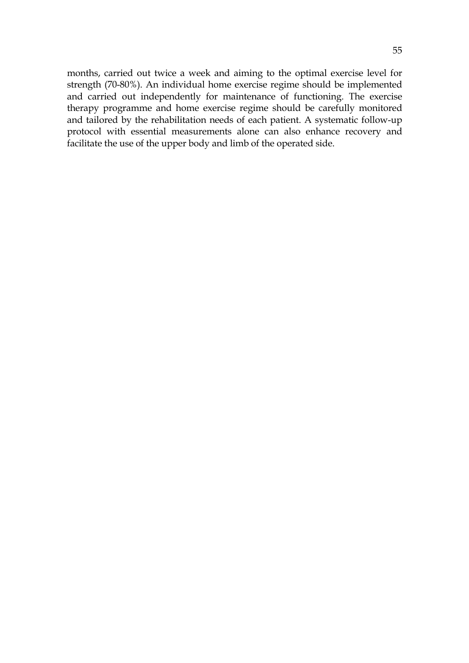months, carried out twice a week and aiming to the optimal exercise level for strength (70-80%). An individual home exercise regime should be implemented and carried out independently for maintenance of functioning. The exercise therapy programme and home exercise regime should be carefully monitored and tailored by the rehabilitation needs of each patient. A systematic follow-up protocol with essential measurements alone can also enhance recovery and facilitate the use of the upper body and limb of the operated side.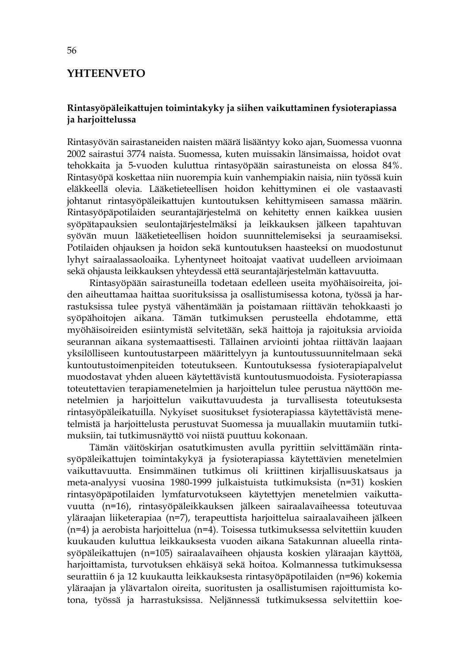# **YHTEENVETO**

## **Rintasyöpäleikattujen toimintakyky ja siihen vaikuttaminen fysioterapiassa ja harjoittelussa**

Rintasyövän sairastaneiden naisten määrä lisääntyy koko ajan, Suomessa vuonna 2002 sairastui 3774 naista. Suomessa, kuten muissakin länsimaissa, hoidot ovat tehokkaita ja 5-vuoden kuluttua rintasyöpään sairastuneista on elossa 84%. Rintasyöpä koskettaa niin nuorempia kuin vanhempiakin naisia, niin työssä kuin eläkkeellä olevia. Lääketieteellisen hoidon kehittyminen ei ole vastaavasti johtanut rintasyöpäleikattujen kuntoutuksen kehittymiseen samassa määrin. Rintasyöpäpotilaiden seurantajärjestelmä on kehitetty ennen kaikkea uusien syöpätapauksien seulontajärjestelmäksi ja leikkauksen jälkeen tapahtuvan syövän muun lääketieteellisen hoidon suunnittelemiseksi ja seuraamiseksi. Potilaiden ohjauksen ja hoidon sekä kuntoutuksen haasteeksi on muodostunut lyhyt sairaalassaoloaika. Lyhentyneet hoitoajat vaativat uudelleen arvioimaan sekä ohjausta leikkauksen yhteydessä että seurantajärjestelmän kattavuutta.

Rintasyöpään sairastuneilla todetaan edelleen useita myöhäisoireita, joiden aiheuttamaa haittaa suorituksissa ja osallistumisessa kotona, työssä ja harrastuksissa tulee pystyä vähentämään ja poistamaan riittävän tehokkaasti jo syöpähoitojen aikana. Tämän tutkimuksen perusteella ehdotamme, että myöhäisoireiden esiintymistä selvitetään, sekä haittoja ja rajoituksia arvioida seurannan aikana systemaattisesti. Tällainen arviointi johtaa riittävän laajaan yksilölliseen kuntoutustarpeen määrittelyyn ja kuntoutussuunnitelmaan sekä kuntoutustoimenpiteiden toteutukseen. Kuntoutuksessa fysioterapiapalvelut muodostavat yhden alueen käytettävistä kuntoutusmuodoista. Fysioterapiassa toteutettavien terapiamenetelmien ja harjoittelun tulee perustua näyttöön menetelmien ja harjoittelun vaikuttavuudesta ja turvallisesta toteutuksesta rintasyöpäleikatuilla. Nykyiset suositukset fysioterapiassa käytettävistä menetelmistä ja harjoittelusta perustuvat Suomessa ja muuallakin muutamiin tutkimuksiin, tai tutkimusnäyttö voi niistä puuttuu kokonaan.

Tämän väitöskirjan osatutkimusten avulla pyrittiin selvittämään rintasyöpäleikattujen toimintakykyä ja fysioterapiassa käytettävien menetelmien vaikuttavuutta. Ensimmäinen tutkimus oli kriittinen kirjallisuuskatsaus ja meta-analyysi vuosina 1980-1999 julkaistuista tutkimuksista (n=31) koskien rintasyöpäpotilaiden lymfaturvotukseen käytettyjen menetelmien vaikuttavuutta (n=16), rintasyöpäleikkauksen jälkeen sairaalavaiheessa toteutuvaa yläraajan liiketerapiaa (n=7), terapeuttista harjoittelua sairaalavaiheen jälkeen (n=4) ja aerobista harjoittelua (n=4). Toisessa tutkimuksessa selvitettiin kuuden kuukauden kuluttua leikkauksesta vuoden aikana Satakunnan alueella rintasyöpäleikattujen (n=105) sairaalavaiheen ohjausta koskien yläraajan käyttöä, harjoittamista, turvotuksen ehkäisyä sekä hoitoa. Kolmannessa tutkimuksessa seurattiin 6 ja 12 kuukautta leikkauksesta rintasyöpäpotilaiden (n=96) kokemia yläraajan ja ylävartalon oireita, suoritusten ja osallistumisen rajoittumista kotona, työssä ja harrastuksissa. Neljännessä tutkimuksessa selvitettiin koe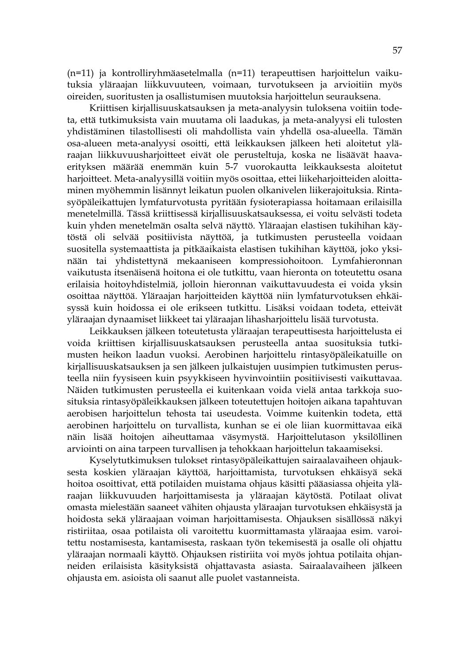(n=11) ja kontrolliryhmäasetelmalla (n=11) terapeuttisen harjoittelun vaikutuksia yläraajan liikkuvuuteen, voimaan, turvotukseen ja arvioitiin myös oireiden, suoritusten ja osallistumisen muutoksia harjoittelun seurauksena.

Kriittisen kirjallisuuskatsauksen ja meta-analyysin tuloksena voitiin todeta, että tutkimuksista vain muutama oli laadukas, ja meta-analyysi eli tulosten yhdistäminen tilastollisesti oli mahdollista vain yhdellä osa-alueella. Tämän osa-alueen meta-analyysi osoitti, että leikkauksen jälkeen heti aloitetut yläraajan liikkuvuusharjoitteet eivät ole perusteltuja, koska ne lisäävät haavaerityksen määrää enemmän kuin 5-7 vuorokautta leikkauksesta aloitetut harjoitteet. Meta-analyysillä voitiin myös osoittaa, ettei liikeharjoitteiden aloittaminen myöhemmin lisännyt leikatun puolen olkanivelen liikerajoituksia. Rintasyöpäleikattujen lymfaturvotusta pyritään fysioterapiassa hoitamaan erilaisilla menetelmillä. Tässä kriittisessä kirjallisuuskatsauksessa, ei voitu selvästi todeta kuin yhden menetelmän osalta selvä näyttö. Yläraajan elastisen tukihihan käytöstä oli selvää positiivista näyttöä, ja tutkimusten perusteella voidaan suositella systemaattista ja pitkäaikaista elastisen tukihihan käyttöä, joko yksinään tai yhdistettynä mekaaniseen kompressiohoitoon. Lymfahieronnan vaikutusta itsenäisenä hoitona ei ole tutkittu, vaan hieronta on toteutettu osana erilaisia hoitoyhdistelmiä, jolloin hieronnan vaikuttavuudesta ei voida yksin osoittaa näyttöä. Yläraajan harjoitteiden käyttöä niin lymfaturvotuksen ehkäisyssä kuin hoidossa ei ole erikseen tutkittu. Lisäksi voidaan todeta, etteivät yläraajan dynaamiset liikkeet tai yläraajan lihasharjoittelu lisää turvotusta.

Leikkauksen jälkeen toteutetusta yläraajan terapeuttisesta harjoittelusta ei voida kriittisen kirjallisuuskatsauksen perusteella antaa suosituksia tutkimusten heikon laadun vuoksi. Aerobinen harjoittelu rintasyöpäleikatuille on kirjallisuuskatsauksen ja sen jälkeen julkaistujen uusimpien tutkimusten perusteella niin fyysiseen kuin psyykkiseen hyvinvointiin positiivisesti vaikuttavaa. Näiden tutkimusten perusteella ei kuitenkaan voida vielä antaa tarkkoja suosituksia rintasyöpäleikkauksen jälkeen toteutettujen hoitojen aikana tapahtuvan aerobisen harjoittelun tehosta tai useudesta. Voimme kuitenkin todeta, että aerobinen harjoittelu on turvallista, kunhan se ei ole liian kuormittavaa eikä näin lisää hoitojen aiheuttamaa väsymystä. Harjoittelutason yksilöllinen arviointi on aina tarpeen turvallisen ja tehokkaan harjoittelun takaamiseksi.

Kyselytutkimuksen tulokset rintasyöpäleikattujen sairaalavaiheen ohjauksesta koskien yläraajan käyttöä, harjoittamista, turvotuksen ehkäisyä sekä hoitoa osoittivat, että potilaiden muistama ohjaus käsitti pääasiassa ohjeita yläraajan liikkuvuuden harjoittamisesta ja yläraajan käytöstä. Potilaat olivat omasta mielestään saaneet vähiten ohjausta yläraajan turvotuksen ehkäisystä ja hoidosta sekä yläraajaan voiman harjoittamisesta. Ohjauksen sisällössä näkyi ristiriitaa, osaa potilaista oli varoitettu kuormittamasta yläraajaa esim. varoitettu nostamisesta, kantamisesta, raskaan työn tekemisestä ja osalle oli ohjattu yläraajan normaali käyttö. Ohjauksen ristiriita voi myös johtua potilaita ohjanneiden erilaisista käsityksistä ohjattavasta asiasta. Sairaalavaiheen jälkeen ohjausta em. asioista oli saanut alle puolet vastanneista.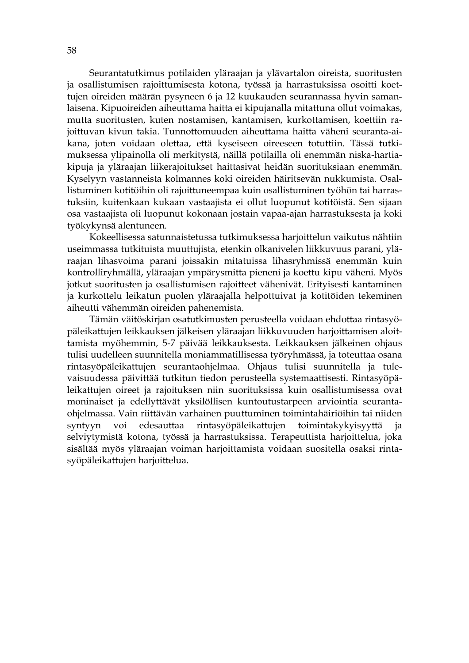Seurantatutkimus potilaiden yläraajan ja ylävartalon oireista, suoritusten ja osallistumisen rajoittumisesta kotona, työssä ja harrastuksissa osoitti koettujen oireiden määrän pysyneen 6 ja 12 kuukauden seurannassa hyvin samanlaisena. Kipuoireiden aiheuttama haitta ei kipujanalla mitattuna ollut voimakas, mutta suoritusten, kuten nostamisen, kantamisen, kurkottamisen, koettiin rajoittuvan kivun takia. Tunnottomuuden aiheuttama haitta väheni seuranta-aikana, joten voidaan olettaa, että kyseiseen oireeseen totuttiin. Tässä tutkimuksessa ylipainolla oli merkitystä, näillä potilailla oli enemmän niska-hartiakipuja ja yläraajan liikerajoitukset haittasivat heidän suorituksiaan enemmän. Kyselyyn vastanneista kolmannes koki oireiden häiritsevän nukkumista. Osallistuminen kotitöihin oli rajoittuneempaa kuin osallistuminen työhön tai harrastuksiin, kuitenkaan kukaan vastaajista ei ollut luopunut kotitöistä. Sen sijaan osa vastaajista oli luopunut kokonaan jostain vapaa-ajan harrastuksesta ja koki työkykynsä alentuneen.

Kokeellisessa satunnaistetussa tutkimuksessa harjoittelun vaikutus nähtiin useimmassa tutkituista muuttujista, etenkin olkanivelen liikkuvuus parani, yläraajan lihasvoima parani joissakin mitatuissa lihasryhmissä enemmän kuin kontrolliryhmällä, yläraajan ympärysmitta pieneni ja koettu kipu väheni. Myös jotkut suoritusten ja osallistumisen rajoitteet vähenivät. Erityisesti kantaminen ja kurkottelu leikatun puolen yläraajalla helpottuivat ja kotitöiden tekeminen aiheutti vähemmän oireiden pahenemista.

Tämän väitöskirjan osatutkimusten perusteella voidaan ehdottaa rintasyöpäleikattujen leikkauksen jälkeisen yläraajan liikkuvuuden harjoittamisen aloittamista myöhemmin, 5-7 päivää leikkauksesta. Leikkauksen jälkeinen ohjaus tulisi uudelleen suunnitella moniammatillisessa työryhmässä, ja toteuttaa osana rintasyöpäleikattujen seurantaohjelmaa. Ohjaus tulisi suunnitella ja tulevaisuudessa päivittää tutkitun tiedon perusteella systemaattisesti. Rintasyöpäleikattujen oireet ja rajoituksen niin suorituksissa kuin osallistumisessa ovat moninaiset ja edellyttävät yksilöllisen kuntoutustarpeen arviointia seurantaohjelmassa. Vain riittävän varhainen puuttuminen toimintahäiriöihin tai niiden syntyyn voi edesauttaa rintasyöpäleikattujen toimintakykyisyyttä ja selviytymistä kotona, työssä ja harrastuksissa. Terapeuttista harjoittelua, joka sisältää myös yläraajan voiman harjoittamista voidaan suositella osaksi rintasyöpäleikattujen harjoittelua.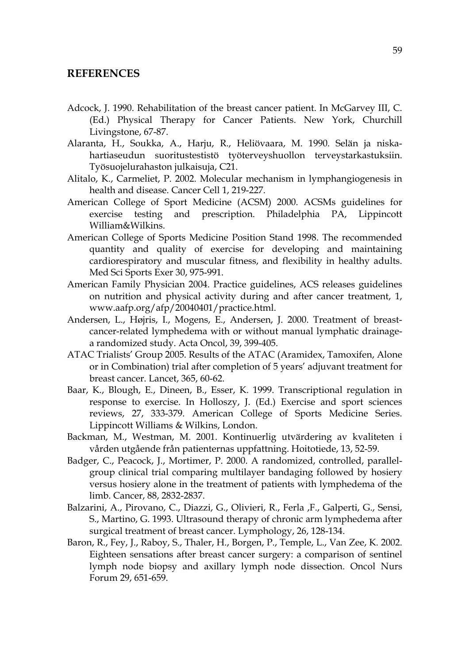# **REFERENCES**

- Adcock, J. 1990. Rehabilitation of the breast cancer patient. In McGarvey III, C. (Ed.) Physical Therapy for Cancer Patients. New York, Churchill Livingstone, 67-87.
- Alaranta, H., Soukka, A., Harju, R., Heliövaara, M. 1990. Selän ja niskahartiaseudun suoritustestistö työterveyshuollon terveystarkastuksiin. Työsuojelurahaston julkaisuja, C21.
- Alitalo, K., Carmeliet, P. 2002. Molecular mechanism in lymphangiogenesis in health and disease. Cancer Cell 1, 219-227.
- American College of Sport Medicine (ACSM) 2000. ACSMs guidelines for exercise testing and prescription. Philadelphia PA, Lippincott William&Wilkins.
- American College of Sports Medicine Position Stand 1998. The recommended quantity and quality of exercise for developing and maintaining cardiorespiratory and muscular fitness, and flexibility in healthy adults. Med Sci Sports Exer 30, 975-991.
- American Family Physician 2004. Practice guidelines, ACS releases guidelines on nutrition and physical activity during and after cancer treatment, 1, www.aafp.org/afp/20040401/practice.html.
- Andersen, L., Højris, I., Mogens, E., Andersen, J. 2000. Treatment of breastcancer-related lymphedema with or without manual lymphatic drainagea randomized study. Acta Oncol, 39, 399-405.
- ATAC Trialists' Group 2005. Results of the ATAC (Aramidex, Tamoxifen, Alone or in Combination) trial after completion of 5 years' adjuvant treatment for breast cancer. Lancet, 365, 60-62.
- Baar, K., Blough, E., Dineen, B., Esser, K. 1999. Transcriptional regulation in response to exercise. In Holloszy, J. (Ed.) Exercise and sport sciences reviews, 27, 333-379. American College of Sports Medicine Series. Lippincott Williams & Wilkins, London.
- Backman, M., Westman, M. 2001. Kontinuerlig utvärdering av kvaliteten i vården utgående från patienternas uppfattning. Hoitotiede, 13, 52-59.
- Badger, C., Peacock, J., Mortimer, P. 2000. A randomized, controlled, parallelgroup clinical trial comparing multilayer bandaging followed by hosiery versus hosiery alone in the treatment of patients with lymphedema of the limb. Cancer, 88, 2832-2837.
- Balzarini, A., Pirovano, C., Diazzi, G., Olivieri, R., Ferla ,F., Galperti, G., Sensi, S., Martino, G. 1993. Ultrasound therapy of chronic arm lymphedema after surgical treatment of breast cancer. Lymphology, 26, 128-134.
- Baron, R., Fey, J., Raboy, S., Thaler, H., Borgen, P., Temple, L., Van Zee, K. 2002. Eighteen sensations after breast cancer surgery: a comparison of sentinel lymph node biopsy and axillary lymph node dissection. Oncol Nurs Forum 29, 651-659.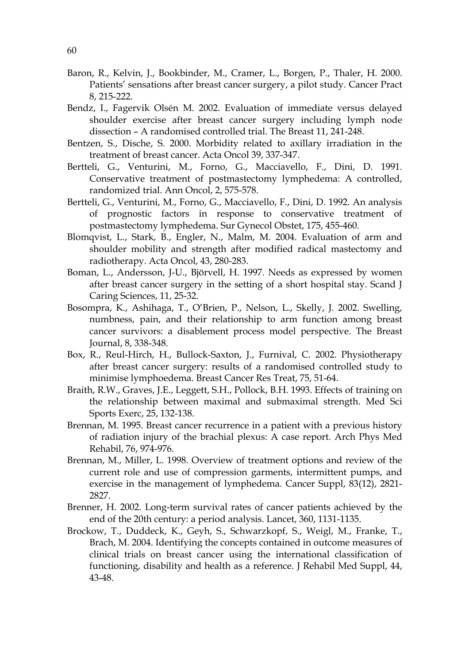- Baron, R., Kelvin, J., Bookbinder, M., Cramer, L., Borgen, P., Thaler, H. 2000. Patients' sensations after breast cancer surgery, a pilot study. Cancer Pract 8, 215-222.
- Bendz, I., Fagervik Olsén M. 2002. Evaluation of immediate versus delayed shoulder exercise after breast cancer surgery including lymph node dissection – A randomised controlled trial. The Breast 11, 241-248.
- Bentzen, S., Dische, S. 2000. Morbidity related to axillary irradiation in the treatment of breast cancer. Acta Oncol 39, 337-347.
- Bertteli, G., Venturini, M., Forno, G., Macciavello, F., Dini, D. 1991. Conservative treatment of postmastectomy lymphedema: A controlled, randomized trial. Ann Oncol, 2, 575-578.
- Bertteli, G., Venturini, M., Forno, G., Macciavello, F., Dini, D. 1992. An analysis of prognostic factors in response to conservative treatment of postmastectomy lymphedema. Sur Gynecol Obstet, 175, 455-460.
- Blomqvist, L., Stark, B., Engler, N., Malm, M. 2004. Evaluation of arm and shoulder mobility and strength after modified radical mastectomy and radiotherapy. Acta Oncol, 43, 280-283.
- Boman, L., Andersson, J-U., Björvell, H. 1997. Needs as expressed by women after breast cancer surgery in the setting of a short hospital stay. Scand J Caring Sciences, 11, 25-32.
- Bosompra, K., Ashihaga, T., O'Brien, P., Nelson, L., Skelly, J. 2002. Swelling, numbness, pain, and their relationship to arm function among breast cancer survivors: a disablement process model perspective. The Breast Journal, 8, 338-348.
- Box, R., Reul-Hirch, H., Bullock-Saxton, J., Furnival, C. 2002. Physiotherapy after breast cancer surgery: results of a randomised controlled study to minimise lymphoedema. Breast Cancer Res Treat, 75, 51-64.
- Braith, R.W., Graves, J.E., Leggett, S.H., Pollock, B.H. 1993. Effects of training on the relationship between maximal and submaximal strength. Med Sci Sports Exerc, 25, 132-138.
- Brennan, M. 1995. Breast cancer recurrence in a patient with a previous history of radiation injury of the brachial plexus: A case report. Arch Phys Med Rehabil, 76, 974-976.
- Brennan, M., Miller, L. 1998. Overview of treatment options and review of the current role and use of compression garments, intermittent pumps, and exercise in the management of lymphedema. Cancer Suppl, 83(12), 2821- 2827.
- Brenner, H. 2002. Long-term survival rates of cancer patients achieved by the end of the 20th century: a period analysis. Lancet, 360, 1131-1135.
- Brockow, T., Duddeck, K., Geyh, S., Schwarzkopf, S., Weigl, M., Franke, T., Brach, M. 2004. Identifying the concepts contained in outcome measures of clinical trials on breast cancer using the international classification of functioning, disability and health as a reference. J Rehabil Med Suppl, 44, 43-48.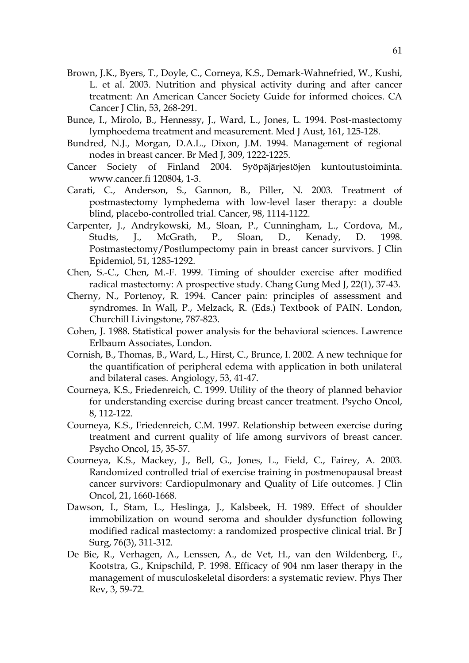- Brown, J.K., Byers, T., Doyle, C., Corneya, K.S., Demark-Wahnefried, W., Kushi, L. et al. 2003. Nutrition and physical activity during and after cancer treatment: An American Cancer Society Guide for informed choices. CA Cancer J Clin, 53, 268-291.
- Bunce, I., Mirolo, B., Hennessy, J., Ward, L., Jones, L. 1994. Post-mastectomy lymphoedema treatment and measurement. Med J Aust, 161, 125-128.
- Bundred, N.J., Morgan, D.A.L., Dixon, J.M. 1994. Management of regional nodes in breast cancer. Br Med J, 309, 1222-1225.
- Cancer Society of Finland 2004. Syöpäjärjestöjen kuntoutustoiminta. www.cancer.fi 120804, 1-3.
- Carati, C., Anderson, S., Gannon, B., Piller, N. 2003. Treatment of postmastectomy lymphedema with low-level laser therapy: a double blind, placebo-controlled trial. Cancer, 98, 1114-1122.
- Carpenter, J., Andrykowski, M., Sloan, P., Cunningham, L., Cordova, M., Studts, J., McGrath, P., Sloan, D., Kenady, D. 1998. Postmastectomy/Postlumpectomy pain in breast cancer survivors. J Clin Epidemiol, 51, 1285-1292.
- Chen, S.-C., Chen, M.-F. 1999. Timing of shoulder exercise after modified radical mastectomy: A prospective study. Chang Gung Med J, 22(1), 37-43.
- Cherny, N., Portenoy, R. 1994. Cancer pain: principles of assessment and syndromes. In Wall, P., Melzack, R. (Eds.) Textbook of PAIN. London, Churchill Livingstone, 787-823.
- Cohen, J. 1988. Statistical power analysis for the behavioral sciences. Lawrence Erlbaum Associates, London.
- Cornish, B., Thomas, B., Ward, L., Hirst, C., Brunce, I. 2002. A new technique for the quantification of peripheral edema with application in both unilateral and bilateral cases. Angiology, 53, 41-47.
- Courneya, K.S., Friedenreich, C. 1999. Utility of the theory of planned behavior for understanding exercise during breast cancer treatment. Psycho Oncol, 8, 112-122.
- Courneya, K.S., Friedenreich, C.M. 1997. Relationship between exercise during treatment and current quality of life among survivors of breast cancer. Psycho Oncol, 15, 35-57.
- Courneya, K.S., Mackey, J., Bell, G., Jones, L., Field, C., Fairey, A. 2003. Randomized controlled trial of exercise training in postmenopausal breast cancer survivors: Cardiopulmonary and Quality of Life outcomes. J Clin Oncol, 21, 1660-1668.
- Dawson, I., Stam, L., Heslinga, J., Kalsbeek, H. 1989. Effect of shoulder immobilization on wound seroma and shoulder dysfunction following modified radical mastectomy: a randomized prospective clinical trial. Br J Surg, 76(3), 311-312.
- De Bie, R., Verhagen, A., Lenssen, A., de Vet, H., van den Wildenberg, F., Kootstra, G., Knipschild, P. 1998. Efficacy of 904 nm laser therapy in the management of musculoskeletal disorders: a systematic review. Phys Ther Rev, 3, 59-72.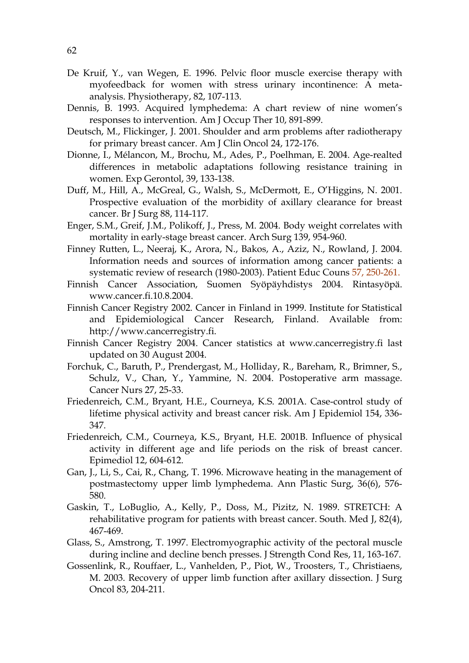- De Kruif, Y., van Wegen, E. 1996. Pelvic floor muscle exercise therapy with myofeedback for women with stress urinary incontinence: A metaanalysis. Physiotherapy, 82, 107-113.
- Dennis, B. 1993. Acquired lymphedema: A chart review of nine women's responses to intervention. Am J Occup Ther 10, 891-899.
- Deutsch, M., Flickinger, J. 2001. Shoulder and arm problems after radiotherapy for primary breast cancer. Am J Clin Oncol 24, 172-176.
- Dionne, I., Mélancon, M., Brochu, M., Ades, P., Poelhman, E. 2004. Age-realted differences in metabolic adaptations following resistance training in women. Exp Gerontol, 39, 133-138.
- Duff, M., Hill, A., McGreal, G., Walsh, S., McDermott, E., O'Higgins, N. 2001. Prospective evaluation of the morbidity of axillary clearance for breast cancer. Br J Surg 88, 114-117.
- Enger, S.M., Greif, J.M., Polikoff, J., Press, M. 2004. Body weight correlates with mortality in early-stage breast cancer. Arch Surg 139, 954-960.
- Finney Rutten, L., Neeraj, K., Arora, N., Bakos, A., Aziz, N., Rowland, J. 2004. Information needs and sources of information among cancer patients: a systematic review of research (1980-2003). Patient Educ Couns 57, 250-261.
- Finnish Cancer Association, Suomen Syöpäyhdistys 2004. Rintasyöpä. www.cancer.fi.10.8.2004.
- Finnish Cancer Registry 2002. Cancer in Finland in 1999. Institute for Statistical and Epidemiological Cancer Research, Finland. Available from: http://www.cancerregistry.fi.
- Finnish Cancer Registry 2004. Cancer statistics at www.cancerregistry.fi last updated on 30 August 2004.
- Forchuk, C., Baruth, P., Prendergast, M., Holliday, R., Bareham, R., Brimner, S., Schulz, V., Chan, Y., Yammine, N. 2004. Postoperative arm massage. Cancer Nurs 27, 25-33.
- Friedenreich, C.M., Bryant, H.E., Courneya, K.S. 2001A. Case-control study of lifetime physical activity and breast cancer risk. Am J Epidemiol 154, 336- 347.
- Friedenreich, C.M., Courneya, K.S., Bryant, H.E. 2001B. Influence of physical activity in different age and life periods on the risk of breast cancer. Epimediol 12, 604-612.
- Gan, J., Li, S., Cai, R., Chang, T. 1996. Microwave heating in the management of postmastectomy upper limb lymphedema. Ann Plastic Surg, 36(6), 576- 580.
- Gaskin, T., LoBuglio, A., Kelly, P., Doss, M., Pizitz, N. 1989. STRETCH: A rehabilitative program for patients with breast cancer. South. Med J, 82(4), 467-469.
- Glass, S., Amstrong, T. 1997. Electromyographic activity of the pectoral muscle during incline and decline bench presses. J Strength Cond Res, 11, 163-167.
- Gossenlink, R., Rouffaer, L., Vanhelden, P., Piot, W., Troosters, T., Christiaens, M. 2003. Recovery of upper limb function after axillary dissection. J Surg Oncol 83, 204-211.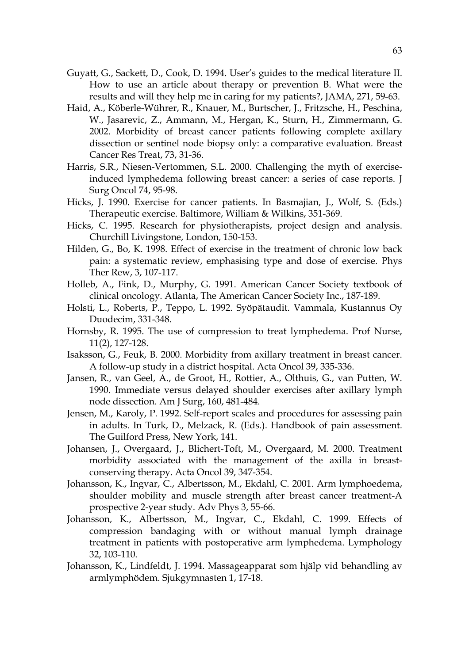- Guyatt, G., Sackett, D., Cook, D. 1994. User's guides to the medical literature II. How to use an article about therapy or prevention B. What were the results and will they help me in caring for my patients?, JAMA, 271, 59-63.
- Haid, A., Köberle-Wührer, R., Knauer, M., Burtscher, J., Fritzsche, H., Peschina, W., Jasarevic, Z., Ammann, M., Hergan, K., Sturn, H., Zimmermann, G. 2002. Morbidity of breast cancer patients following complete axillary dissection or sentinel node biopsy only: a comparative evaluation. Breast Cancer Res Treat, 73, 31-36.
- Harris, S.R., Niesen-Vertommen, S.L. 2000. Challenging the myth of exerciseinduced lymphedema following breast cancer: a series of case reports. J Surg Oncol 74, 95-98.
- Hicks, J. 1990. Exercise for cancer patients. In Basmajian, J., Wolf, S. (Eds.) Therapeutic exercise. Baltimore, William & Wilkins, 351-369.
- Hicks, C. 1995. Research for physiotherapists, project design and analysis. Churchill Livingstone, London, 150-153.
- Hilden, G., Bo, K. 1998. Effect of exercise in the treatment of chronic low back pain: a systematic review, emphasising type and dose of exercise. Phys Ther Rew, 3, 107-117.
- Holleb, A., Fink, D., Murphy, G. 1991. American Cancer Society textbook of clinical oncology. Atlanta, The American Cancer Society Inc., 187-189.
- Holsti, L., Roberts, P., Teppo, L. 1992. Syöpätaudit. Vammala, Kustannus Oy Duodecim, 331-348.
- Hornsby, R. 1995. The use of compression to treat lymphedema. Prof Nurse, 11(2), 127-128.
- Isaksson, G., Feuk, B. 2000. Morbidity from axillary treatment in breast cancer. A follow-up study in a district hospital. Acta Oncol 39, 335-336.
- Jansen, R., van Geel, A., de Groot, H., Rottier, A., Olthuis, G., van Putten, W. 1990. Immediate versus delayed shoulder exercises after axillary lymph node dissection. Am J Surg, 160, 481-484.
- Jensen, M., Karoly, P. 1992. Self-report scales and procedures for assessing pain in adults. In Turk, D., Melzack, R. (Eds.). Handbook of pain assessment. The Guilford Press, New York, 141.
- Johansen, J., Overgaard, J., Blichert-Toft, M., Overgaard, M. 2000. Treatment morbidity associated with the management of the axilla in breastconserving therapy. Acta Oncol 39, 347-354.
- Johansson, K., Ingvar, C., Albertsson, M., Ekdahl, C. 2001. Arm lymphoedema, shoulder mobility and muscle strength after breast cancer treatment-A prospective 2-year study. Adv Phys 3, 55-66.
- Johansson, K., Albertsson, M., Ingvar, C., Ekdahl, C. 1999. Effects of compression bandaging with or without manual lymph drainage treatment in patients with postoperative arm lymphedema. Lymphology 32, 103-110.
- Johansson, K., Lindfeldt, J. 1994. Massageapparat som hjälp vid behandling av armlymphödem. Sjukgymnasten 1, 17-18.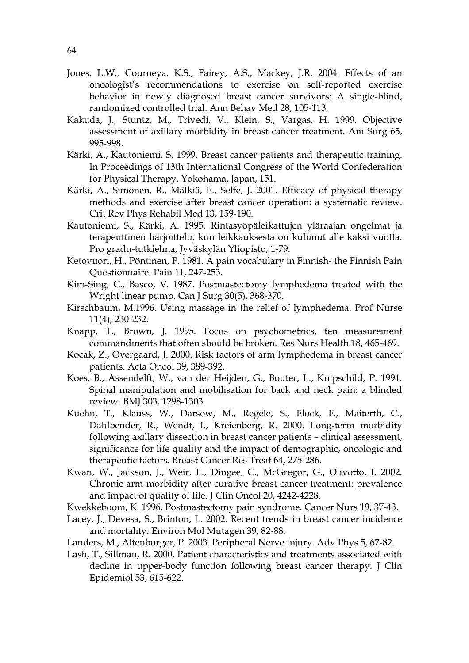- Jones, L.W., Courneya, K.S., Fairey, A.S., Mackey, J.R. 2004. Effects of an oncologist's recommendations to exercise on self-reported exercise behavior in newly diagnosed breast cancer survivors: A single-blind, randomized controlled trial. Ann Behav Med 28, 105-113.
- Kakuda, J., Stuntz, M., Trivedi, V., Klein, S., Vargas, H. 1999. Objective assessment of axillary morbidity in breast cancer treatment. Am Surg 65, 995-998.
- Kärki, A., Kautoniemi, S. 1999. Breast cancer patients and therapeutic training. In Proceedings of 13th International Congress of the World Confederation for Physical Therapy, Yokohama, Japan, 151.
- Kärki, A., Simonen, R., Mälkiä, E., Selfe, J. 2001. Efficacy of physical therapy methods and exercise after breast cancer operation: a systematic review. Crit Rev Phys Rehabil Med 13, 159-190.
- Kautoniemi, S., Kärki, A. 1995. Rintasyöpäleikattujen yläraajan ongelmat ja terapeuttinen harjoittelu, kun leikkauksesta on kulunut alle kaksi vuotta. Pro gradu-tutkielma, Jyväskylän Yliopisto, 1-79.
- Ketovuori, H., Pöntinen, P. 1981. A pain vocabulary in Finnish- the Finnish Pain Questionnaire. Pain 11, 247-253.
- Kim-Sing, C., Basco, V. 1987. Postmastectomy lymphedema treated with the Wright linear pump. Can J Surg 30(5), 368-370.
- Kirschbaum, M.1996. Using massage in the relief of lymphedema. Prof Nurse 11(4), 230-232.
- Knapp, T., Brown, J. 1995. Focus on psychometrics, ten measurement commandments that often should be broken. Res Nurs Health 18, 465-469.
- Kocak, Z., Overgaard, J. 2000. Risk factors of arm lymphedema in breast cancer patients. Acta Oncol 39, 389-392.
- Koes, B., Assendelft, W., van der Heijden, G., Bouter, L., Knipschild, P. 1991. Spinal manipulation and mobilisation for back and neck pain: a blinded review. BMJ 303, 1298-1303.
- Kuehn, T., Klauss, W., Darsow, M., Regele, S., Flock, F., Maiterth, C., Dahlbender, R., Wendt, I., Kreienberg, R. 2000. Long-term morbidity following axillary dissection in breast cancer patients – clinical assessment, significance for life quality and the impact of demographic, oncologic and therapeutic factors. Breast Cancer Res Treat 64, 275-286.
- Kwan, W., Jackson, J., Weir, L., Dingee, C., McGregor, G., Olivotto, I. 2002. Chronic arm morbidity after curative breast cancer treatment: prevalence and impact of quality of life. J Clin Oncol 20, 4242-4228.
- Kwekkeboom, K. 1996. Postmastectomy pain syndrome. Cancer Nurs 19, 37-43.
- Lacey, J., Devesa, S., Brinton, L. 2002. Recent trends in breast cancer incidence and mortality. Environ Mol Mutagen 39, 82-88.
- Landers, M., Altenburger, P. 2003. Peripheral Nerve Injury. Adv Phys 5, 67-82.
- Lash, T., Sillman, R. 2000. Patient characteristics and treatments associated with decline in upper-body function following breast cancer therapy. J Clin Epidemiol 53, 615-622.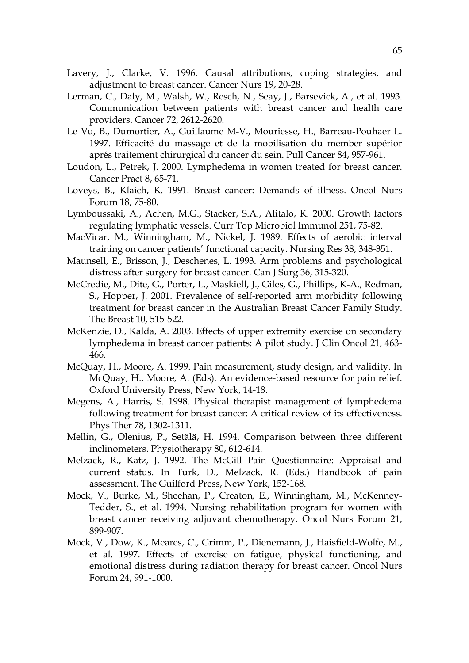- Lavery, J., Clarke, V. 1996. Causal attributions, coping strategies, and adjustment to breast cancer. Cancer Nurs 19, 20-28.
- Lerman, C., Daly, M., Walsh, W., Resch, N., Seay, J., Barsevick, A., et al. 1993. Communication between patients with breast cancer and health care providers. Cancer 72, 2612-2620.
- Le Vu, B., Dumortier, A., Guillaume M-V., Mouriesse, H., Barreau-Pouhaer L. 1997. Efficacité du massage et de la mobilisation du member supérior aprés traitement chirurgical du cancer du sein. Pull Cancer 84, 957-961.
- Loudon, L., Petrek, J. 2000. Lymphedema in women treated for breast cancer. Cancer Pract 8, 65-71.
- Loveys, B., Klaich, K. 1991. Breast cancer: Demands of illness. Oncol Nurs Forum 18, 75-80.
- Lymboussaki, A., Achen, M.G., Stacker, S.A., Alitalo, K. 2000. Growth factors regulating lymphatic vessels. Curr Top Microbiol Immunol 251, 75-82.
- MacVicar, M., Winningham, M., Nickel, J. 1989. Effects of aerobic interval training on cancer patients' functional capacity. Nursing Res 38, 348-351.
- Maunsell, E., Brisson, J., Deschenes, L. 1993. Arm problems and psychological distress after surgery for breast cancer. Can J Surg 36, 315-320.
- McCredie, M., Dite, G., Porter, L., Maskiell, J., Giles, G., Phillips, K-A., Redman, S., Hopper, J. 2001. Prevalence of self-reported arm morbidity following treatment for breast cancer in the Australian Breast Cancer Family Study. The Breast 10, 515-522.
- McKenzie, D., Kalda, A. 2003. Effects of upper extremity exercise on secondary lymphedema in breast cancer patients: A pilot study. J Clin Oncol 21, 463- 466.
- McQuay, H., Moore, A. 1999. Pain measurement, study design, and validity. In McQuay, H., Moore, A. (Eds). An evidence-based resource for pain relief. Oxford University Press, New York, 14-18.
- Megens, A., Harris, S. 1998. Physical therapist management of lymphedema following treatment for breast cancer: A critical review of its effectiveness. Phys Ther 78, 1302-1311.
- Mellin, G., Olenius, P., Setälä, H. 1994. Comparison between three different inclinometers. Physiotherapy 80, 612-614.
- Melzack, R., Katz, J. 1992. The McGill Pain Questionnaire: Appraisal and current status. In Turk, D., Melzack, R. (Eds.) Handbook of pain assessment. The Guilford Press, New York, 152-168.
- Mock, V., Burke, M., Sheehan, P., Creaton, E., Winningham, M., McKenney-Tedder, S., et al. 1994. Nursing rehabilitation program for women with breast cancer receiving adjuvant chemotherapy. Oncol Nurs Forum 21, 899-907.
- Mock, V., Dow, K., Meares, C., Grimm, P., Dienemann, J., Haisfield-Wolfe, M., et al. 1997. Effects of exercise on fatigue, physical functioning, and emotional distress during radiation therapy for breast cancer. Oncol Nurs Forum 24, 991-1000.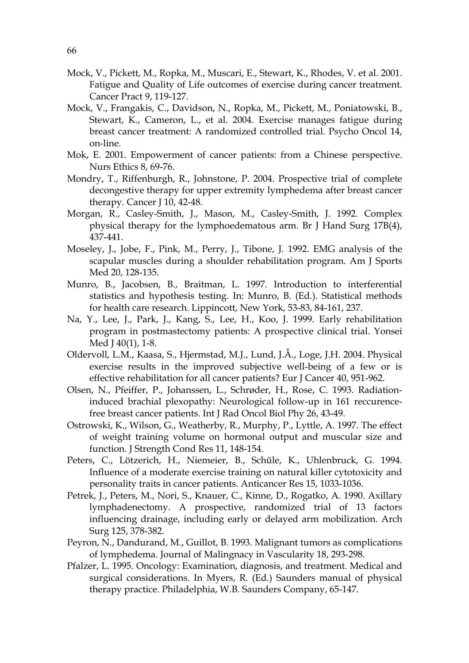- Mock, V., Pickett, M., Ropka, M., Muscari, E., Stewart, K., Rhodes, V. et al. 2001. Fatigue and Quality of Life outcomes of exercise during cancer treatment. Cancer Pract 9, 119-127.
- Mock, V., Frangakis, C., Davidson, N., Ropka, M., Pickett, M., Poniatowski, B., Stewart, K., Cameron, L., et al. 2004. Exercise manages fatigue during breast cancer treatment: A randomized controlled trial. Psycho Oncol 14, on-line.
- Mok, E. 2001. Empowerment of cancer patients: from a Chinese perspective. Nurs Ethics 8, 69-76.
- Mondry, T., Riffenburgh, R., Johnstone, P. 2004. Prospective trial of complete decongestive therapy for upper extremity lymphedema after breast cancer therapy. Cancer J 10, 42-48.
- Morgan, R., Casley-Smith, J., Mason, M., Casley-Smith, J. 1992. Complex physical therapy for the lymphoedematous arm. Br J Hand Surg 17B(4), 437-441.
- Moseley, J., Jobe, F., Pink, M., Perry, J., Tibone, J. 1992. EMG analysis of the scapular muscles during a shoulder rehabilitation program. Am J Sports Med 20, 128-135.
- Munro, B., Jacobsen, B., Braitman, L. 1997. Introduction to interferential statistics and hypothesis testing. In: Munro, B. (Ed.). Statistical methods for health care research. Lippincott, New York, 53-83, 84-161, 237.
- Na, Y., Lee, J., Park, J., Kang, S., Lee, H., Koo, J. 1999. Early rehabilitation program in postmastectomy patients: A prospective clinical trial. Yonsei Med J 40(1), 1-8.
- Oldervoll, L.M., Kaasa, S., Hjermstad, M.J., Lund, J.Å., Loge, J.H. 2004. Physical exercise results in the improved subjective well-being of a few or is effective rehabilitation for all cancer patients? Eur J Cancer 40, 951-962.
- Olsen, N., Pfeiffer, P., Johanssen, L., Schrøder, H., Rose, C. 1993. Radiationinduced brachial plexopathy: Neurological follow-up in 161 reccurencefree breast cancer patients. Int J Rad Oncol Biol Phy 26, 43-49.
- Ostrowski, K., Wilson, G., Weatherby, R., Murphy, P., Lyttle, A. 1997. The effect of weight training volume on hormonal output and muscular size and function. J Strength Cond Res 11, 148-154.
- Peters, C., Lötzerich, H., Niemeier, B., Schűle, K., Uhlenbruck, G. 1994. Influence of a moderate exercise training on natural killer cytotoxicity and personality traits in cancer patients. Anticancer Res 15, 1033-1036.
- Petrek, J., Peters, M., Nori, S., Knauer, C., Kinne, D., Rogatko, A. 1990. Axillary lymphadenectomy. A prospective, randomized trial of 13 factors influencing drainage, including early or delayed arm mobilization. Arch Surg 125, 378-382.
- Peyron, N., Dandurand, M., Guillot, B. 1993. Malignant tumors as complications of lymphedema. Journal of Malingnacy in Vascularity 18, 293-298.
- Pfalzer, L. 1995. Oncology: Examination, diagnosis, and treatment. Medical and surgical considerations. In Myers, R. (Ed.) Saunders manual of physical therapy practice. Philadelphia, W.B. Saunders Company, 65-147.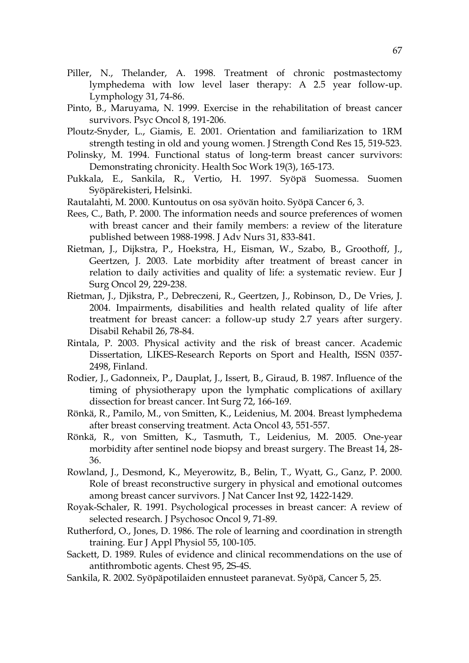- Piller, N., Thelander, A. 1998. Treatment of chronic postmastectomy lymphedema with low level laser therapy: A 2.5 year follow-up. Lymphology 31, 74-86.
- Pinto, B., Maruyama, N. 1999. Exercise in the rehabilitation of breast cancer survivors. Psyc Oncol 8, 191-206.
- Ploutz-Snyder, L., Giamis, E. 2001. Orientation and familiarization to 1RM strength testing in old and young women. J Strength Cond Res 15, 519-523.
- Polinsky, M. 1994. Functional status of long-term breast cancer survivors: Demonstrating chronicity. Health Soc Work 19(3), 165-173.
- Pukkala, E., Sankila, R., Vertio, H. 1997. Syöpä Suomessa. Suomen Syöpärekisteri, Helsinki.
- Rautalahti, M. 2000. Kuntoutus on osa syövän hoito. Syöpä Cancer 6, 3.
- Rees, C., Bath, P. 2000. The information needs and source preferences of women with breast cancer and their family members: a review of the literature published between 1988-1998. J Adv Nurs 31, 833-841.
- Rietman, J., Dijkstra, P., Hoekstra, H., Eisman, W., Szabo, B., Groothoff, J., Geertzen, J. 2003. Late morbidity after treatment of breast cancer in relation to daily activities and quality of life: a systematic review. Eur J Surg Oncol 29, 229-238.
- Rietman, J., Djikstra, P., Debreczeni, R., Geertzen, J., Robinson, D., De Vries, J. 2004. Impairments, disabilities and health related quality of life after treatment for breast cancer: a follow-up study 2.7 years after surgery. Disabil Rehabil 26, 78-84.
- Rintala, P. 2003. Physical activity and the risk of breast cancer. Academic Dissertation, LIKES-Research Reports on Sport and Health, ISSN 0357- 2498, Finland.
- Rodier, J., Gadonneix, P., Dauplat, J., Issert, B., Giraud, B. 1987. Influence of the timing of physiotherapy upon the lymphatic complications of axillary dissection for breast cancer. Int Surg 72, 166-169.
- Rönkä, R., Pamilo, M., von Smitten, K., Leidenius, M. 2004. Breast lymphedema after breast conserving treatment. Acta Oncol 43, 551-557.
- Rönkä, R., von Smitten, K., Tasmuth, T., Leidenius, M. 2005. One-year morbidity after sentinel node biopsy and breast surgery. The Breast 14, 28- 36.
- Rowland, J., Desmond, K., Meyerowitz, B., Belin, T., Wyatt, G., Ganz, P. 2000. Role of breast reconstructive surgery in physical and emotional outcomes among breast cancer survivors. J Nat Cancer Inst 92, 1422-1429.
- Royak-Schaler, R. 1991. Psychological processes in breast cancer: A review of selected research. J Psychosoc Oncol 9, 71-89.
- Rutherford, O., Jones, D. 1986. The role of learning and coordination in strength training. Eur J Appl Physiol 55, 100-105.
- Sackett, D. 1989. Rules of evidence and clinical recommendations on the use of antithrombotic agents. Chest 95, 2S-4S.
- Sankila, R. 2002. Syöpäpotilaiden ennusteet paranevat. Syöpä, Cancer 5, 25.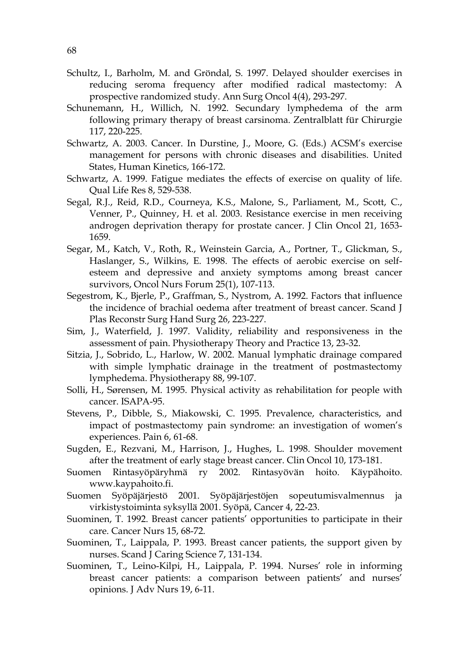- Schultz, I., Barholm, M. and Gröndal, S. 1997. Delayed shoulder exercises in reducing seroma frequency after modified radical mastectomy: A prospective randomized study. Ann Surg Oncol 4(4), 293-297.
- Schunemann, H., Willich, N. 1992. Secundary lymphedema of the arm following primary therapy of breast carsinoma. Zentralblatt für Chirurgie 117, 220-225.
- Schwartz, A. 2003. Cancer. In Durstine, J., Moore, G. (Eds.) ACSM's exercise management for persons with chronic diseases and disabilities. United States, Human Kinetics, 166-172.
- Schwartz, A. 1999. Fatigue mediates the effects of exercise on quality of life. Qual Life Res 8, 529-538.
- Segal, R.J., Reid, R.D., Courneya, K.S., Malone, S., Parliament, M., Scott, C., Venner, P., Quinney, H. et al. 2003. Resistance exercise in men receiving androgen deprivation therapy for prostate cancer. J Clin Oncol 21, 1653- 1659.
- Segar, M., Katch, V., Roth, R., Weinstein Garcia, A., Portner, T., Glickman, S., Haslanger, S., Wilkins, E. 1998. The effects of aerobic exercise on selfesteem and depressive and anxiety symptoms among breast cancer survivors, Oncol Nurs Forum 25(1), 107-113.
- Segestrom, K., Bjerle, P., Graffman, S., Nystrom, A. 1992. Factors that influence the incidence of brachial oedema after treatment of breast cancer. Scand J Plas Reconstr Surg Hand Surg 26, 223-227.
- Sim, J., Waterfield, J. 1997. Validity, reliability and responsiveness in the assessment of pain. Physiotherapy Theory and Practice 13, 23-32.
- Sitzia, J., Sobrido, L., Harlow, W. 2002. Manual lymphatic drainage compared with simple lymphatic drainage in the treatment of postmastectomy lymphedema. Physiotherapy 88, 99-107.
- Solli, H., Sørensen, M. 1995. Physical activity as rehabilitation for people with cancer. ISAPA-95.
- Stevens, P., Dibble, S., Miakowski, C. 1995. Prevalence, characteristics, and impact of postmastectomy pain syndrome: an investigation of women's experiences. Pain 6, 61-68.
- Sugden, E., Rezvani, M., Harrison, J., Hughes, L. 1998. Shoulder movement after the treatment of early stage breast cancer. Clin Oncol 10, 173-181.
- Suomen Rintasyöpäryhmä ry 2002. Rintasyövän hoito. Käypähoito. www.kaypahoito.fi.
- Suomen Syöpäjärjestö 2001. Syöpäjärjestöjen sopeutumisvalmennus ja virkistystoiminta syksyllä 2001. Syöpä, Cancer 4, 22-23.
- Suominen, T. 1992. Breast cancer patients' opportunities to participate in their care. Cancer Nurs 15, 68-72.
- Suominen, T., Laippala, P. 1993. Breast cancer patients, the support given by nurses. Scand J Caring Science 7, 131-134.
- Suominen, T., Leino-Kilpi, H., Laippala, P. 1994. Nurses' role in informing breast cancer patients: a comparison between patients' and nurses' opinions. J Adv Nurs 19, 6-11.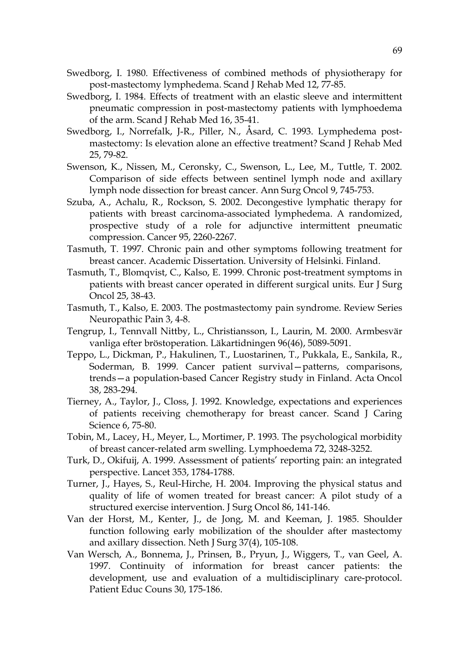- Swedborg, I. 1980. Effectiveness of combined methods of physiotherapy for post-mastectomy lymphedema. Scand J Rehab Med 12, 77-85.
- Swedborg, I. 1984. Effects of treatment with an elastic sleeve and intermittent pneumatic compression in post-mastectomy patients with lymphoedema of the arm. Scand J Rehab Med 16, 35-41.
- Swedborg, I., Norrefalk, J-R., Piller, N., Åsard, C. 1993. Lymphedema postmastectomy: Is elevation alone an effective treatment? Scand J Rehab Med 25, 79-82.
- Swenson, K., Nissen, M., Ceronsky, C., Swenson, L., Lee, M., Tuttle, T. 2002. Comparison of side effects between sentinel lymph node and axillary lymph node dissection for breast cancer. Ann Surg Oncol 9, 745-753.
- Szuba, A., Achalu, R., Rockson, S. 2002. Decongestive lymphatic therapy for patients with breast carcinoma-associated lymphedema. A randomized, prospective study of a role for adjunctive intermittent pneumatic compression. Cancer 95, 2260-2267.
- Tasmuth, T. 1997. Chronic pain and other symptoms following treatment for breast cancer. Academic Dissertation. University of Helsinki. Finland.
- Tasmuth, T., Blomqvist, C., Kalso, E. 1999. Chronic post-treatment symptoms in patients with breast cancer operated in different surgical units. Eur J Surg Oncol 25, 38-43.
- Tasmuth, T., Kalso, E. 2003. The postmastectomy pain syndrome. Review Series Neuropathic Pain 3, 4-8.
- Tengrup, I., Tennvall Nittby, L., Christiansson, I., Laurin, M. 2000. Armbesvär vanliga efter bröstoperation. Läkartidningen 96(46), 5089-5091.
- Teppo, L., Dickman, P., Hakulinen, T., Luostarinen, T., Pukkala, E., Sankila, R., Soderman, B. 1999. Cancer patient survival—patterns, comparisons, trends—a population-based Cancer Registry study in Finland. Acta Oncol 38, 283-294.
- Tierney, A., Taylor, J., Closs, J. 1992. Knowledge, expectations and experiences of patients receiving chemotherapy for breast cancer. Scand J Caring Science 6, 75-80.
- Tobin, M., Lacey, H., Meyer, L., Mortimer, P. 1993. The psychological morbidity of breast cancer-related arm swelling. Lymphoedema 72, 3248-3252.
- Turk, D., Okifuij, A. 1999. Assessment of patients' reporting pain: an integrated perspective. Lancet 353, 1784-1788.
- Turner, J., Hayes, S., Reul-Hirche, H. 2004. Improving the physical status and quality of life of women treated for breast cancer: A pilot study of a structured exercise intervention. J Surg Oncol 86, 141-146.
- Van der Horst, M., Kenter, J., de Jong, M. and Keeman, J. 1985. Shoulder function following early mobilization of the shoulder after mastectomy and axillary dissection. Neth J Surg 37(4), 105-108.
- Van Wersch, A., Bonnema, J., Prinsen, B., Pryun, J., Wiggers, T., van Geel, A. 1997. Continuity of information for breast cancer patients: the development, use and evaluation of a multidisciplinary care-protocol. Patient Educ Couns 30, 175-186.